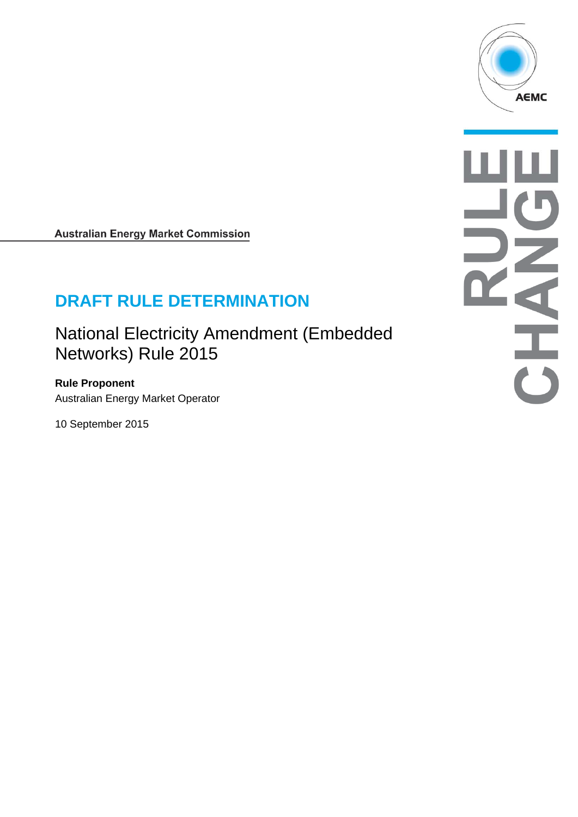

**Australian Energy Market Commission** 

# **DRAFT RULE DETERMINATION**

National Electricity Amendment (Embedded Networks) Rule 2015

**Rule Proponent**  Australian Energy Market Operator

10 September 2015

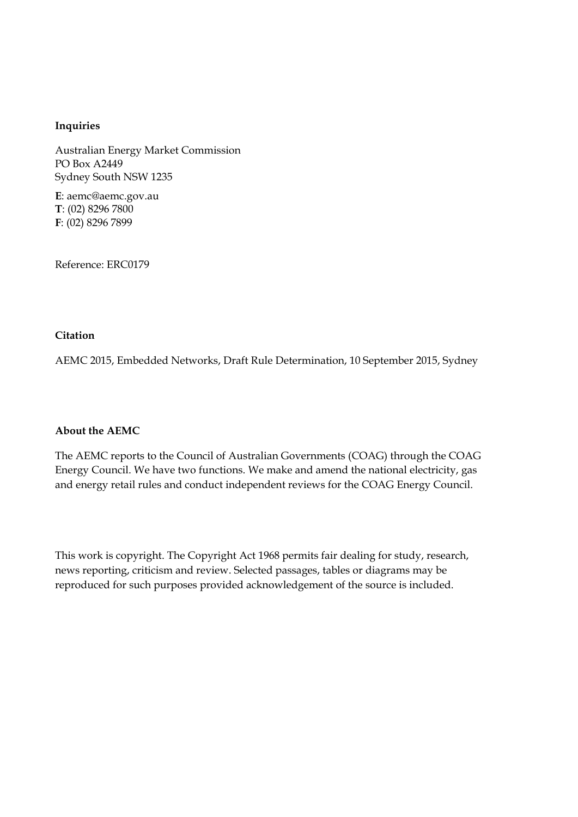#### **Inquiries**

Australian Energy Market Commission PO Box A2449 Sydney South NSW 1235

**E**: aemc@aemc.gov.au **T**: (02) 8296 7800 **F**: (02) 8296 7899

Reference: ERC0179

#### **Citation**

AEMC 2015, Embedded Networks, Draft Rule Determination, 10 September 2015, Sydney

#### **About the AEMC**

The AEMC reports to the Council of Australian Governments (COAG) through the COAG Energy Council. We have two functions. We make and amend the national electricity, gas and energy retail rules and conduct independent reviews for the COAG Energy Council.

This work is copyright. The Copyright Act 1968 permits fair dealing for study, research, news reporting, criticism and review. Selected passages, tables or diagrams may be reproduced for such purposes provided acknowledgement of the source is included.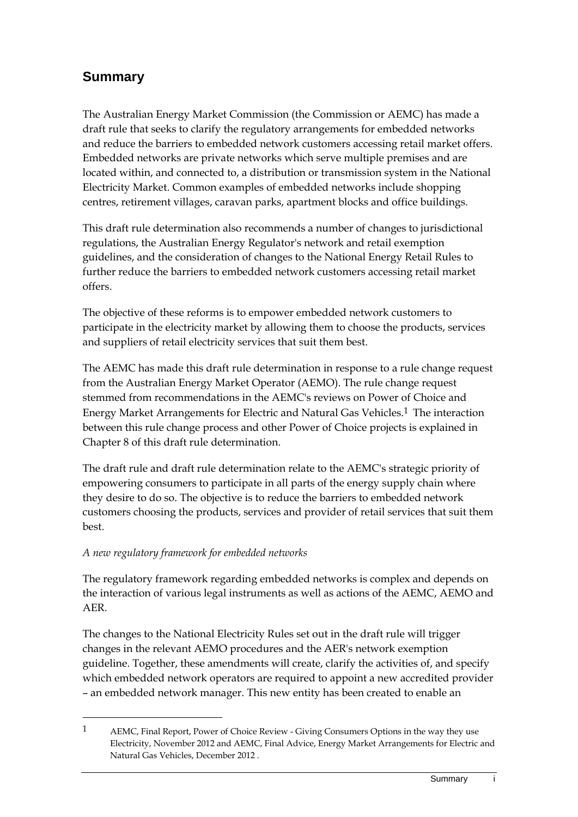# **Summary**

The Australian Energy Market Commission (the Commission or AEMC) has made a draft rule that seeks to clarify the regulatory arrangements for embedded networks and reduce the barriers to embedded network customers accessing retail market offers. Embedded networks are private networks which serve multiple premises and are located within, and connected to, a distribution or transmission system in the National Electricity Market. Common examples of embedded networks include shopping centres, retirement villages, caravan parks, apartment blocks and office buildings.

This draft rule determination also recommends a number of changes to jurisdictional regulations, the Australian Energy Regulator's network and retail exemption guidelines, and the consideration of changes to the National Energy Retail Rules to further reduce the barriers to embedded network customers accessing retail market offers.

The objective of these reforms is to empower embedded network customers to participate in the electricity market by allowing them to choose the products, services and suppliers of retail electricity services that suit them best.

The AEMC has made this draft rule determination in response to a rule change request from the Australian Energy Market Operator (AEMO). The rule change request stemmed from recommendations in the AEMC's reviews on Power of Choice and Energy Market Arrangements for Electric and Natural Gas Vehicles.1 The interaction between this rule change process and other Power of Choice projects is explained in Chapter 8 of this draft rule determination.

The draft rule and draft rule determination relate to the AEMC's strategic priority of empowering consumers to participate in all parts of the energy supply chain where they desire to do so. The objective is to reduce the barriers to embedded network customers choosing the products, services and provider of retail services that suit them best.

### *A new regulatory framework for embedded networks*

<u>.</u>

The regulatory framework regarding embedded networks is complex and depends on the interaction of various legal instruments as well as actions of the AEMC, AEMO and AER.

The changes to the National Electricity Rules set out in the draft rule will trigger changes in the relevant AEMO procedures and the AER's network exemption guideline. Together, these amendments will create, clarify the activities of, and specify which embedded network operators are required to appoint a new accredited provider – an embedded network manager. This new entity has been created to enable an

<sup>1</sup> AEMC, Final Report, Power of Choice Review - Giving Consumers Options in the way they use Electricity, November 2012 and AEMC, Final Advice, Energy Market Arrangements for Electric and Natural Gas Vehicles, December 2012 .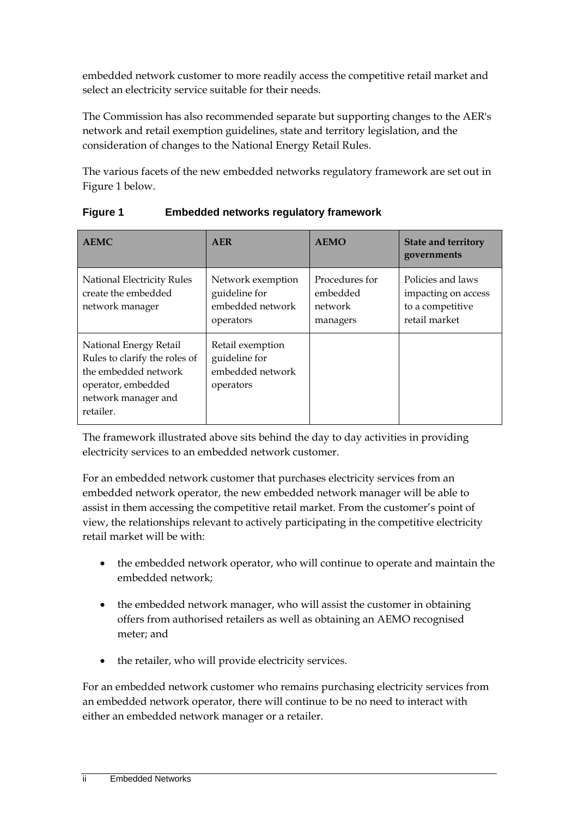embedded network customer to more readily access the competitive retail market and select an electricity service suitable for their needs.

The Commission has also recommended separate but supporting changes to the AER's network and retail exemption guidelines, state and territory legislation, and the consideration of changes to the National Energy Retail Rules.

The various facets of the new embedded networks regulatory framework are set out in Figure 1 below.

| <b>AEMC</b>                                                                                                                               | <b>AER</b>                                                          | <b>AEMO</b>                                       | <b>State and territory</b><br>governments                                     |
|-------------------------------------------------------------------------------------------------------------------------------------------|---------------------------------------------------------------------|---------------------------------------------------|-------------------------------------------------------------------------------|
| National Electricity Rules<br>create the embedded<br>network manager                                                                      | Network exemption<br>guideline for<br>embedded network<br>operators | Procedures for<br>embedded<br>network<br>managers | Policies and laws<br>impacting on access<br>to a competitive<br>retail market |
| National Energy Retail<br>Rules to clarify the roles of<br>the embedded network<br>operator, embedded<br>network manager and<br>retailer. | Retail exemption<br>guideline for<br>embedded network<br>operators  |                                                   |                                                                               |

**Figure 1 Embedded networks regulatory framework** 

The framework illustrated above sits behind the day to day activities in providing electricity services to an embedded network customer.

For an embedded network customer that purchases electricity services from an embedded network operator, the new embedded network manager will be able to assist in them accessing the competitive retail market. From the customer's point of view, the relationships relevant to actively participating in the competitive electricity retail market will be with:

- the embedded network operator, who will continue to operate and maintain the embedded network;
- the embedded network manager, who will assist the customer in obtaining offers from authorised retailers as well as obtaining an AEMO recognised meter; and
- the retailer, who will provide electricity services.

For an embedded network customer who remains purchasing electricity services from an embedded network operator, there will continue to be no need to interact with either an embedded network manager or a retailer.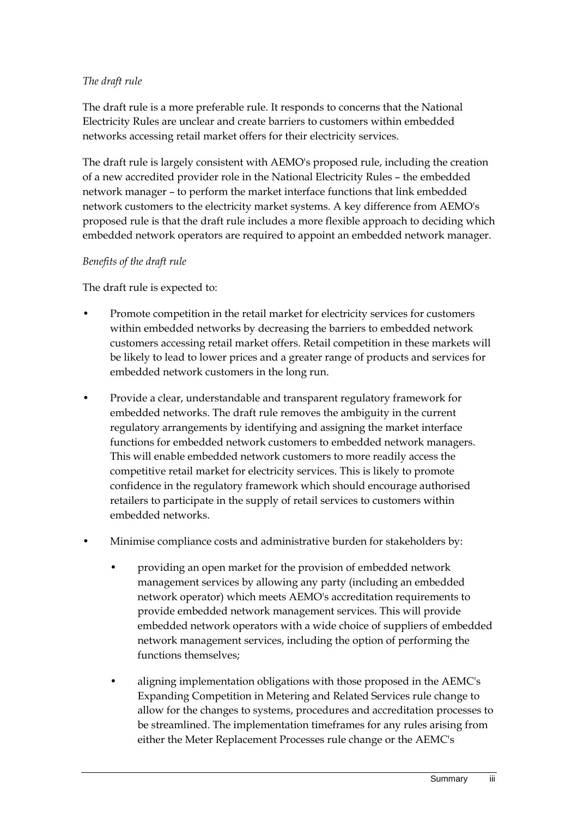#### *The draft rule*

The draft rule is a more preferable rule. It responds to concerns that the National Electricity Rules are unclear and create barriers to customers within embedded networks accessing retail market offers for their electricity services.

The draft rule is largely consistent with AEMO's proposed rule, including the creation of a new accredited provider role in the National Electricity Rules – the embedded network manager – to perform the market interface functions that link embedded network customers to the electricity market systems. A key difference from AEMO's proposed rule is that the draft rule includes a more flexible approach to deciding which embedded network operators are required to appoint an embedded network manager.

#### *Benefits of the draft rule*

The draft rule is expected to:

- Promote competition in the retail market for electricity services for customers within embedded networks by decreasing the barriers to embedded network customers accessing retail market offers. Retail competition in these markets will be likely to lead to lower prices and a greater range of products and services for embedded network customers in the long run.
- Provide a clear, understandable and transparent regulatory framework for embedded networks. The draft rule removes the ambiguity in the current regulatory arrangements by identifying and assigning the market interface functions for embedded network customers to embedded network managers. This will enable embedded network customers to more readily access the competitive retail market for electricity services. This is likely to promote confidence in the regulatory framework which should encourage authorised retailers to participate in the supply of retail services to customers within embedded networks.
- Minimise compliance costs and administrative burden for stakeholders by:
	- providing an open market for the provision of embedded network management services by allowing any party (including an embedded network operator) which meets AEMO's accreditation requirements to provide embedded network management services. This will provide embedded network operators with a wide choice of suppliers of embedded network management services, including the option of performing the functions themselves;
	- aligning implementation obligations with those proposed in the AEMC's Expanding Competition in Metering and Related Services rule change to allow for the changes to systems, procedures and accreditation processes to be streamlined. The implementation timeframes for any rules arising from either the Meter Replacement Processes rule change or the AEMC's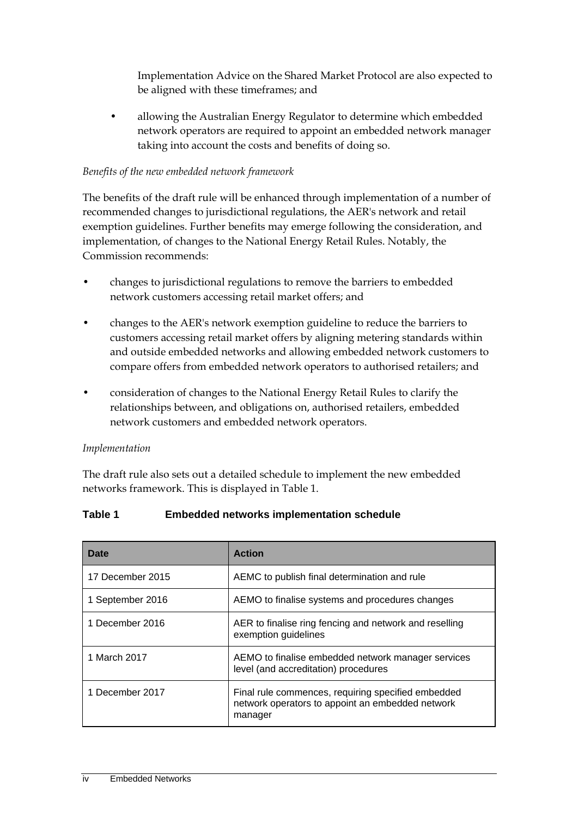Implementation Advice on the Shared Market Protocol are also expected to be aligned with these timeframes; and

• allowing the Australian Energy Regulator to determine which embedded network operators are required to appoint an embedded network manager taking into account the costs and benefits of doing so.

#### *Benefits of the new embedded network framework*

The benefits of the draft rule will be enhanced through implementation of a number of recommended changes to jurisdictional regulations, the AER's network and retail exemption guidelines. Further benefits may emerge following the consideration, and implementation, of changes to the National Energy Retail Rules. Notably, the Commission recommends:

- changes to jurisdictional regulations to remove the barriers to embedded network customers accessing retail market offers; and
- changes to the AER's network exemption guideline to reduce the barriers to customers accessing retail market offers by aligning metering standards within and outside embedded networks and allowing embedded network customers to compare offers from embedded network operators to authorised retailers; and
- consideration of changes to the National Energy Retail Rules to clarify the relationships between, and obligations on, authorised retailers, embedded network customers and embedded network operators.

#### *Implementation*

The draft rule also sets out a detailed schedule to implement the new embedded networks framework. This is displayed in Table 1.

| Date             | <b>Action</b>                                                                                                     |
|------------------|-------------------------------------------------------------------------------------------------------------------|
| 17 December 2015 | AEMC to publish final determination and rule                                                                      |
| 1 September 2016 | AEMO to finalise systems and procedures changes                                                                   |
| 1 December 2016  | AER to finalise ring fencing and network and reselling<br>exemption guidelines                                    |
| 1 March 2017     | AEMO to finalise embedded network manager services<br>level (and accreditation) procedures                        |
| 1 December 2017  | Final rule commences, requiring specified embedded<br>network operators to appoint an embedded network<br>manager |

#### **Table 1 Embedded networks implementation schedule**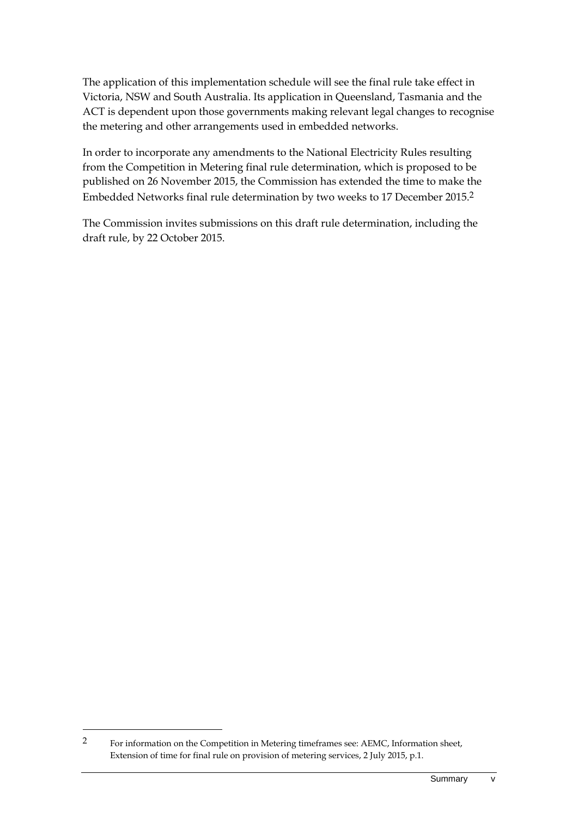The application of this implementation schedule will see the final rule take effect in Victoria, NSW and South Australia. Its application in Queensland, Tasmania and the ACT is dependent upon those governments making relevant legal changes to recognise the metering and other arrangements used in embedded networks.

In order to incorporate any amendments to the National Electricity Rules resulting from the Competition in Metering final rule determination, which is proposed to be published on 26 November 2015, the Commission has extended the time to make the Embedded Networks final rule determination by two weeks to 17 December 2015.2

The Commission invites submissions on this draft rule determination, including the draft rule, by 22 October 2015.

1

<sup>2</sup> For information on the Competition in Metering timeframes see: AEMC, Information sheet, Extension of time for final rule on provision of metering services, 2 July 2015, p.1.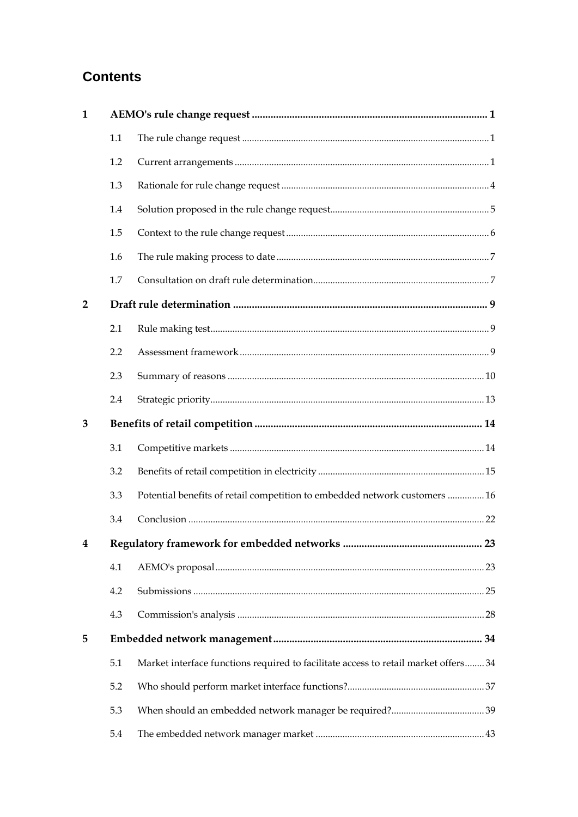# **Contents**

| $\mathbf{1}$   |     |                                                                                     |
|----------------|-----|-------------------------------------------------------------------------------------|
|                | 1.1 |                                                                                     |
|                | 1.2 |                                                                                     |
|                | 1.3 |                                                                                     |
|                | 1.4 |                                                                                     |
|                | 1.5 |                                                                                     |
|                | 1.6 |                                                                                     |
|                | 1.7 |                                                                                     |
| $\overline{2}$ |     |                                                                                     |
|                | 2.1 |                                                                                     |
|                | 2.2 |                                                                                     |
|                | 2.3 |                                                                                     |
|                | 2.4 |                                                                                     |
| 3              |     |                                                                                     |
|                | 3.1 |                                                                                     |
|                | 3.2 |                                                                                     |
|                | 3.3 | Potential benefits of retail competition to embedded network customers  16          |
|                | 3.4 |                                                                                     |
|                |     |                                                                                     |
|                | 4.1 |                                                                                     |
|                | 4.2 |                                                                                     |
|                | 4.3 |                                                                                     |
| 5              |     |                                                                                     |
|                | 5.1 | Market interface functions required to facilitate access to retail market offers 34 |
|                | 5.2 |                                                                                     |
|                | 5.3 |                                                                                     |
|                | 5.4 |                                                                                     |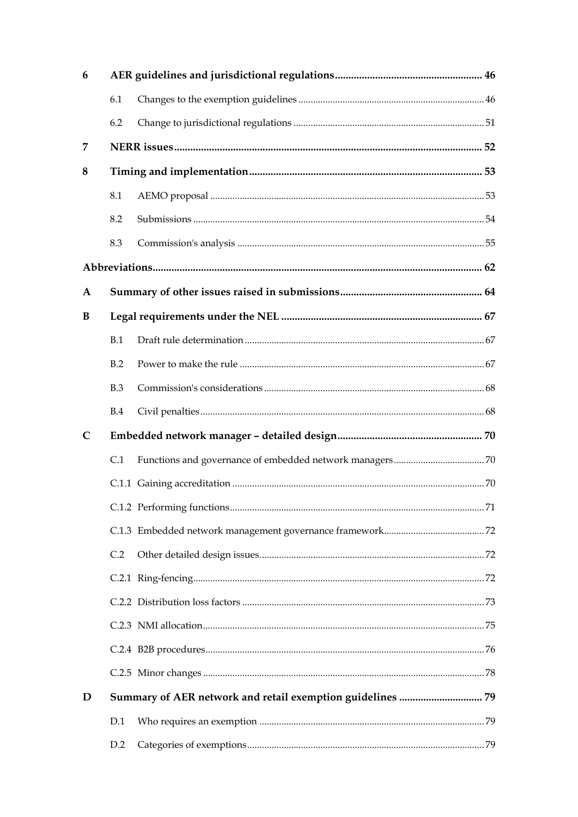| 6            |     |  |  |  |
|--------------|-----|--|--|--|
|              | 6.1 |  |  |  |
|              | 6.2 |  |  |  |
| 7            |     |  |  |  |
| 8            |     |  |  |  |
|              | 8.1 |  |  |  |
|              | 8.2 |  |  |  |
|              | 8.3 |  |  |  |
|              |     |  |  |  |
| A            |     |  |  |  |
| B            |     |  |  |  |
|              | B.1 |  |  |  |
|              | B.2 |  |  |  |
|              | B.3 |  |  |  |
|              | B.4 |  |  |  |
| $\mathsf{C}$ |     |  |  |  |
|              | C.1 |  |  |  |
|              |     |  |  |  |
|              |     |  |  |  |
|              |     |  |  |  |
|              | C.2 |  |  |  |
|              |     |  |  |  |
|              |     |  |  |  |
|              |     |  |  |  |
|              |     |  |  |  |
|              |     |  |  |  |
| D            |     |  |  |  |
|              | D.1 |  |  |  |
|              | D.2 |  |  |  |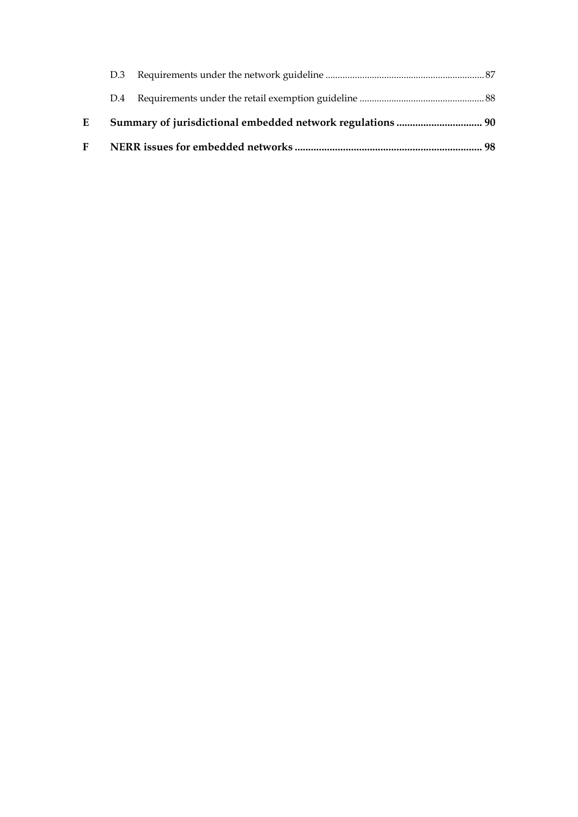| F |     |  |
|---|-----|--|
| E |     |  |
|   | D.4 |  |
|   | D.3 |  |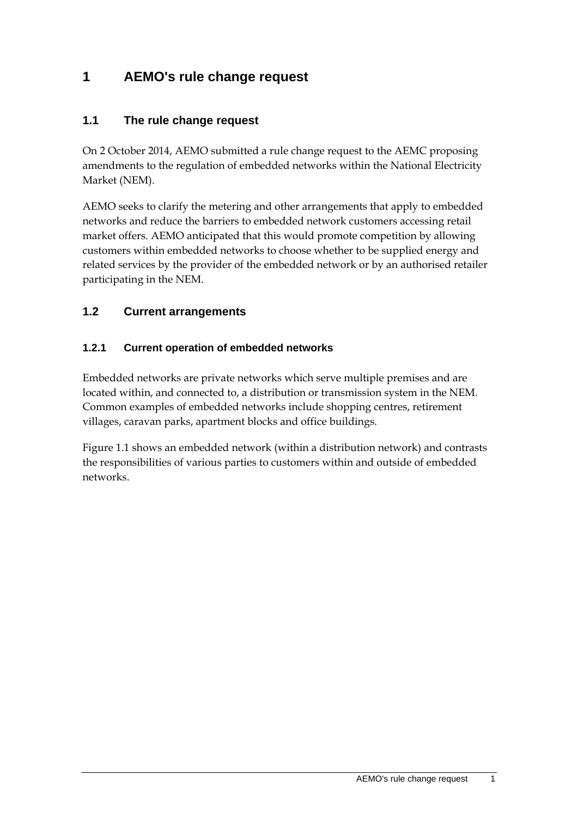# **1 AEMO's rule change request**

### **1.1 The rule change request**

On 2 October 2014, AEMO submitted a rule change request to the AEMC proposing amendments to the regulation of embedded networks within the National Electricity Market (NEM).

AEMO seeks to clarify the metering and other arrangements that apply to embedded networks and reduce the barriers to embedded network customers accessing retail market offers. AEMO anticipated that this would promote competition by allowing customers within embedded networks to choose whether to be supplied energy and related services by the provider of the embedded network or by an authorised retailer participating in the NEM.

### **1.2 Current arrangements**

#### **1.2.1 Current operation of embedded networks**

Embedded networks are private networks which serve multiple premises and are located within, and connected to, a distribution or transmission system in the NEM. Common examples of embedded networks include shopping centres, retirement villages, caravan parks, apartment blocks and office buildings.

Figure 1.1 shows an embedded network (within a distribution network) and contrasts the responsibilities of various parties to customers within and outside of embedded networks.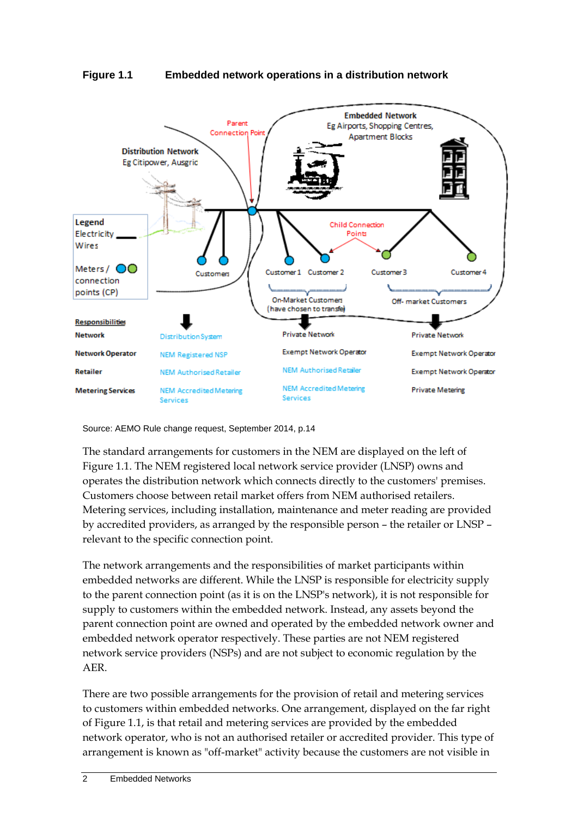



Source: AEMO Rule change request, September 2014, p.14

The standard arrangements for customers in the NEM are displayed on the left of Figure 1.1. The NEM registered local network service provider (LNSP) owns and operates the distribution network which connects directly to the customers' premises. Customers choose between retail market offers from NEM authorised retailers. Metering services, including installation, maintenance and meter reading are provided by accredited providers, as arranged by the responsible person – the retailer or LNSP – relevant to the specific connection point.

The network arrangements and the responsibilities of market participants within embedded networks are different. While the LNSP is responsible for electricity supply to the parent connection point (as it is on the LNSP's network), it is not responsible for supply to customers within the embedded network. Instead, any assets beyond the parent connection point are owned and operated by the embedded network owner and embedded network operator respectively. These parties are not NEM registered network service providers (NSPs) and are not subject to economic regulation by the AER.

There are two possible arrangements for the provision of retail and metering services to customers within embedded networks. One arrangement, displayed on the far right of Figure 1.1, is that retail and metering services are provided by the embedded network operator, who is not an authorised retailer or accredited provider. This type of arrangement is known as "off-market" activity because the customers are not visible in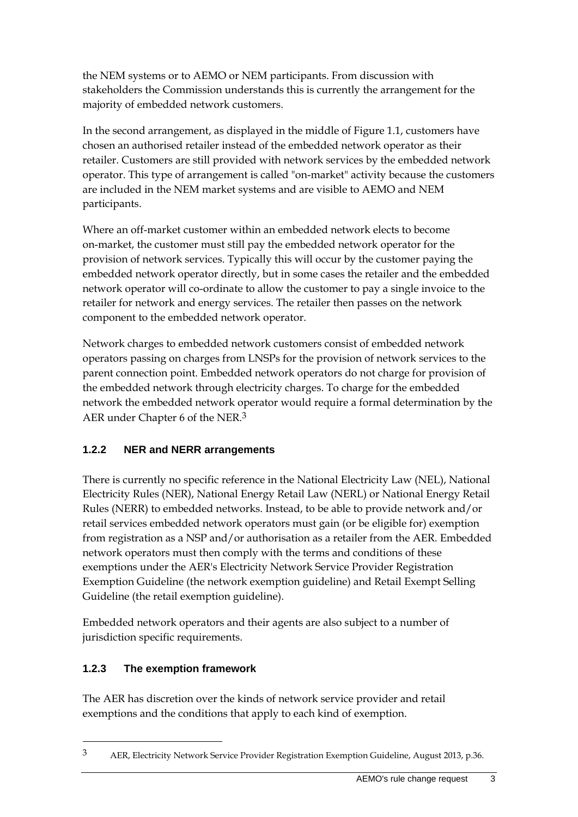the NEM systems or to AEMO or NEM participants. From discussion with stakeholders the Commission understands this is currently the arrangement for the majority of embedded network customers.

In the second arrangement, as displayed in the middle of Figure 1.1, customers have chosen an authorised retailer instead of the embedded network operator as their retailer. Customers are still provided with network services by the embedded network operator. This type of arrangement is called "on-market" activity because the customers are included in the NEM market systems and are visible to AEMO and NEM participants.

Where an off-market customer within an embedded network elects to become on-market, the customer must still pay the embedded network operator for the provision of network services. Typically this will occur by the customer paying the embedded network operator directly, but in some cases the retailer and the embedded network operator will co-ordinate to allow the customer to pay a single invoice to the retailer for network and energy services. The retailer then passes on the network component to the embedded network operator.

Network charges to embedded network customers consist of embedded network operators passing on charges from LNSPs for the provision of network services to the parent connection point. Embedded network operators do not charge for provision of the embedded network through electricity charges. To charge for the embedded network the embedded network operator would require a formal determination by the AER under Chapter 6 of the NER.3

### **1.2.2 NER and NERR arrangements**

There is currently no specific reference in the National Electricity Law (NEL), National Electricity Rules (NER), National Energy Retail Law (NERL) or National Energy Retail Rules (NERR) to embedded networks. Instead, to be able to provide network and/or retail services embedded network operators must gain (or be eligible for) exemption from registration as a NSP and/or authorisation as a retailer from the AER. Embedded network operators must then comply with the terms and conditions of these exemptions under the AER's Electricity Network Service Provider Registration Exemption Guideline (the network exemption guideline) and Retail Exempt Selling Guideline (the retail exemption guideline).

Embedded network operators and their agents are also subject to a number of jurisdiction specific requirements.

### **1.2.3 The exemption framework**

1

The AER has discretion over the kinds of network service provider and retail exemptions and the conditions that apply to each kind of exemption.

<sup>3</sup> AER, Electricity Network Service Provider Registration Exemption Guideline, August 2013, p.36.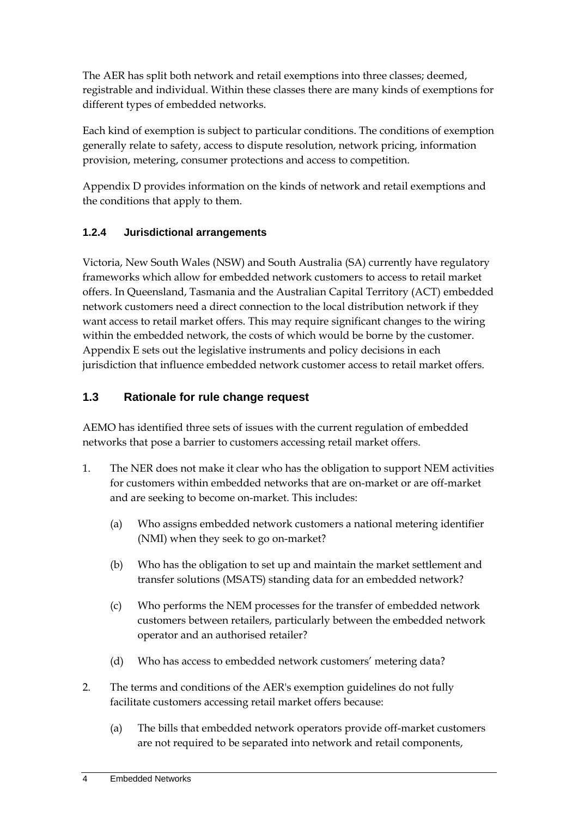The AER has split both network and retail exemptions into three classes; deemed, registrable and individual. Within these classes there are many kinds of exemptions for different types of embedded networks.

Each kind of exemption is subject to particular conditions. The conditions of exemption generally relate to safety, access to dispute resolution, network pricing, information provision, metering, consumer protections and access to competition.

Appendix D provides information on the kinds of network and retail exemptions and the conditions that apply to them.

### **1.2.4 Jurisdictional arrangements**

Victoria, New South Wales (NSW) and South Australia (SA) currently have regulatory frameworks which allow for embedded network customers to access to retail market offers. In Queensland, Tasmania and the Australian Capital Territory (ACT) embedded network customers need a direct connection to the local distribution network if they want access to retail market offers. This may require significant changes to the wiring within the embedded network, the costs of which would be borne by the customer. Appendix E sets out the legislative instruments and policy decisions in each jurisdiction that influence embedded network customer access to retail market offers.

### **1.3 Rationale for rule change request**

AEMO has identified three sets of issues with the current regulation of embedded networks that pose a barrier to customers accessing retail market offers.

- 1. The NER does not make it clear who has the obligation to support NEM activities for customers within embedded networks that are on-market or are off-market and are seeking to become on-market. This includes:
	- (a) Who assigns embedded network customers a national metering identifier (NMI) when they seek to go on-market?
	- (b) Who has the obligation to set up and maintain the market settlement and transfer solutions (MSATS) standing data for an embedded network?
	- (c) Who performs the NEM processes for the transfer of embedded network customers between retailers, particularly between the embedded network operator and an authorised retailer?
	- (d) Who has access to embedded network customers' metering data?
- 2. The terms and conditions of the AER's exemption guidelines do not fully facilitate customers accessing retail market offers because:
	- (a) The bills that embedded network operators provide off-market customers are not required to be separated into network and retail components,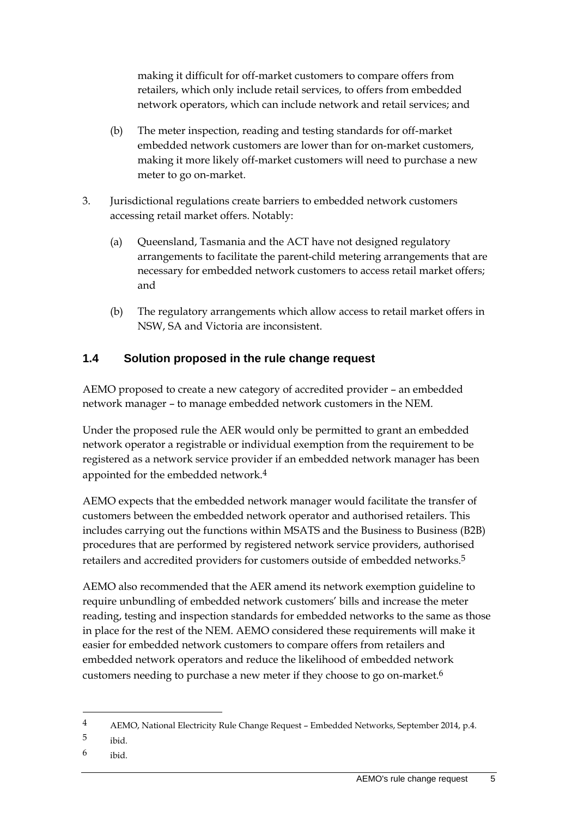making it difficult for off-market customers to compare offers from retailers, which only include retail services, to offers from embedded network operators, which can include network and retail services; and

- (b) The meter inspection, reading and testing standards for off-market embedded network customers are lower than for on-market customers, making it more likely off-market customers will need to purchase a new meter to go on-market.
- 3. Jurisdictional regulations create barriers to embedded network customers accessing retail market offers. Notably:
	- (a) Queensland, Tasmania and the ACT have not designed regulatory arrangements to facilitate the parent-child metering arrangements that are necessary for embedded network customers to access retail market offers; and
	- (b) The regulatory arrangements which allow access to retail market offers in NSW, SA and Victoria are inconsistent.

### **1.4 Solution proposed in the rule change request**

AEMO proposed to create a new category of accredited provider – an embedded network manager – to manage embedded network customers in the NEM.

Under the proposed rule the AER would only be permitted to grant an embedded network operator a registrable or individual exemption from the requirement to be registered as a network service provider if an embedded network manager has been appointed for the embedded network.<sup>4</sup>

AEMO expects that the embedded network manager would facilitate the transfer of customers between the embedded network operator and authorised retailers. This includes carrying out the functions within MSATS and the Business to Business (B2B) procedures that are performed by registered network service providers, authorised retailers and accredited providers for customers outside of embedded networks.5

AEMO also recommended that the AER amend its network exemption guideline to require unbundling of embedded network customers' bills and increase the meter reading, testing and inspection standards for embedded networks to the same as those in place for the rest of the NEM. AEMO considered these requirements will make it easier for embedded network customers to compare offers from retailers and embedded network operators and reduce the likelihood of embedded network customers needing to purchase a new meter if they choose to go on-market.6

<u>.</u>

6 ibid.

<sup>4</sup> AEMO, National Electricity Rule Change Request – Embedded Networks, September 2014, p.4.

<sup>5</sup> ibid.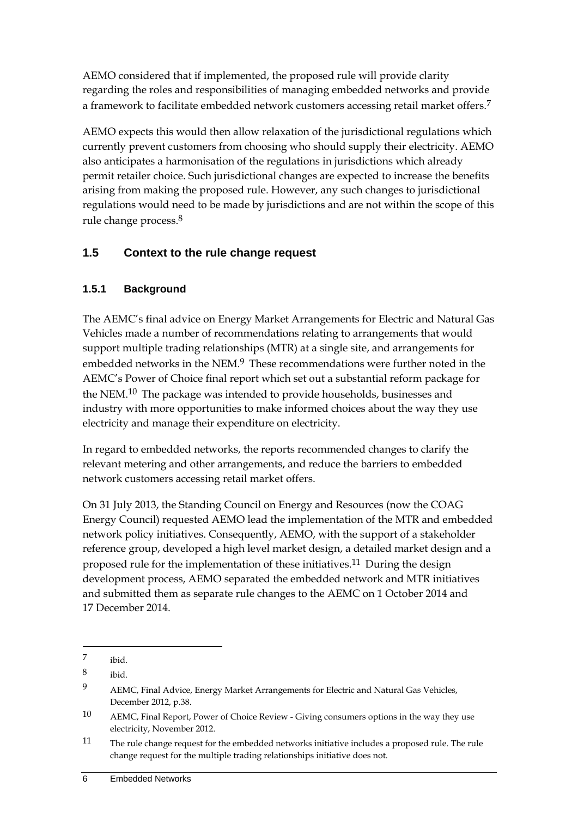AEMO considered that if implemented, the proposed rule will provide clarity regarding the roles and responsibilities of managing embedded networks and provide a framework to facilitate embedded network customers accessing retail market offers.<sup>7</sup>

AEMO expects this would then allow relaxation of the jurisdictional regulations which currently prevent customers from choosing who should supply their electricity. AEMO also anticipates a harmonisation of the regulations in jurisdictions which already permit retailer choice. Such jurisdictional changes are expected to increase the benefits arising from making the proposed rule. However, any such changes to jurisdictional regulations would need to be made by jurisdictions and are not within the scope of this rule change process.8

### **1.5 Context to the rule change request**

### **1.5.1 Background**

The AEMC's final advice on Energy Market Arrangements for Electric and Natural Gas Vehicles made a number of recommendations relating to arrangements that would support multiple trading relationships (MTR) at a single site, and arrangements for embedded networks in the NEM.<sup>9</sup> These recommendations were further noted in the AEMC's Power of Choice final report which set out a substantial reform package for the NEM.<sup>10</sup> The package was intended to provide households, businesses and industry with more opportunities to make informed choices about the way they use electricity and manage their expenditure on electricity.

In regard to embedded networks, the reports recommended changes to clarify the relevant metering and other arrangements, and reduce the barriers to embedded network customers accessing retail market offers.

On 31 July 2013, the Standing Council on Energy and Resources (now the COAG Energy Council) requested AEMO lead the implementation of the MTR and embedded network policy initiatives. Consequently, AEMO, with the support of a stakeholder reference group, developed a high level market design, a detailed market design and a proposed rule for the implementation of these initiatives.11 During the design development process, AEMO separated the embedded network and MTR initiatives and submitted them as separate rule changes to the AEMC on 1 October 2014 and 17 December 2014.

<u>.</u>

<sup>7</sup> ibid.

<sup>8</sup> ibid.

<sup>9</sup> AEMC, Final Advice, Energy Market Arrangements for Electric and Natural Gas Vehicles, December 2012, p.38.

<sup>10</sup> AEMC, Final Report, Power of Choice Review - Giving consumers options in the way they use electricity, November 2012.

<sup>11</sup> The rule change request for the embedded networks initiative includes a proposed rule. The rule change request for the multiple trading relationships initiative does not.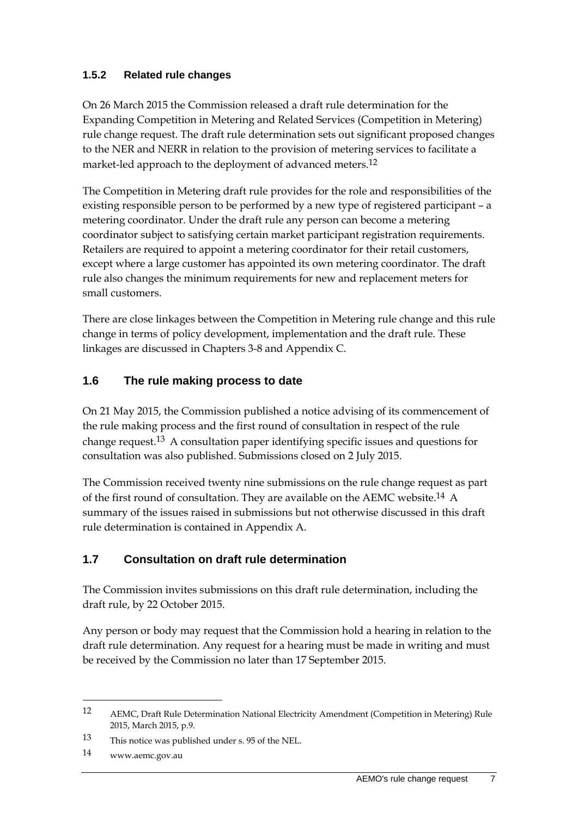### **1.5.2 Related rule changes**

On 26 March 2015 the Commission released a draft rule determination for the Expanding Competition in Metering and Related Services (Competition in Metering) rule change request. The draft rule determination sets out significant proposed changes to the NER and NERR in relation to the provision of metering services to facilitate a market-led approach to the deployment of advanced meters.12

The Competition in Metering draft rule provides for the role and responsibilities of the existing responsible person to be performed by a new type of registered participant – a metering coordinator. Under the draft rule any person can become a metering coordinator subject to satisfying certain market participant registration requirements. Retailers are required to appoint a metering coordinator for their retail customers, except where a large customer has appointed its own metering coordinator. The draft rule also changes the minimum requirements for new and replacement meters for small customers.

There are close linkages between the Competition in Metering rule change and this rule change in terms of policy development, implementation and the draft rule. These linkages are discussed in Chapters 3-8 and Appendix C.

### **1.6 The rule making process to date**

On 21 May 2015, the Commission published a notice advising of its commencement of the rule making process and the first round of consultation in respect of the rule change request.13 A consultation paper identifying specific issues and questions for consultation was also published. Submissions closed on 2 July 2015.

The Commission received twenty nine submissions on the rule change request as part of the first round of consultation. They are available on the AEMC website.<sup>14</sup> A summary of the issues raised in submissions but not otherwise discussed in this draft rule determination is contained in Appendix A.

### **1.7 Consultation on draft rule determination**

The Commission invites submissions on this draft rule determination, including the draft rule, by 22 October 2015.

Any person or body may request that the Commission hold a hearing in relation to the draft rule determination. Any request for a hearing must be made in writing and must be received by the Commission no later than 17 September 2015.

1

<sup>12</sup> AEMC, Draft Rule Determination National Electricity Amendment (Competition in Metering) Rule 2015, March 2015, p.9.

<sup>13</sup> This notice was published under s. 95 of the NEL.

<sup>14</sup> www.aemc.gov.au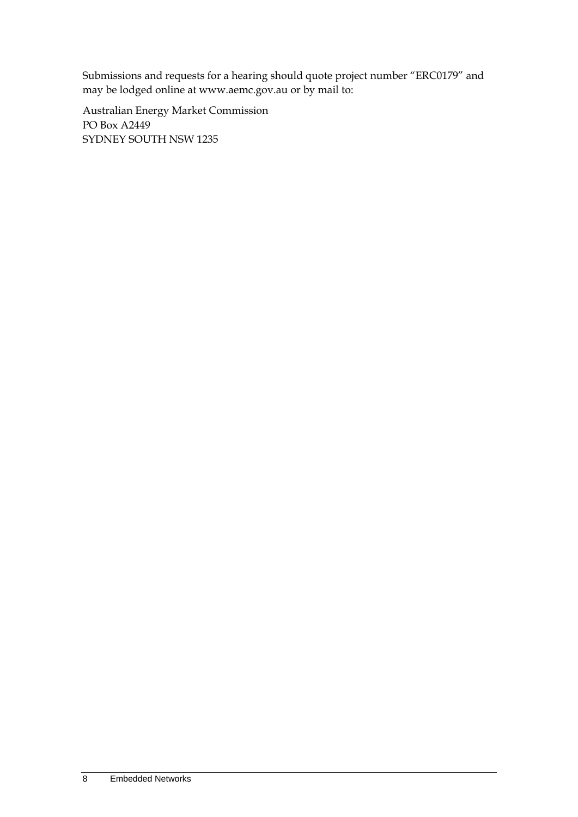Submissions and requests for a hearing should quote project number "ERC0179" and may be lodged online at www.aemc.gov.au or by mail to:

Australian Energy Market Commission PO Box A2449 SYDNEY SOUTH NSW 1235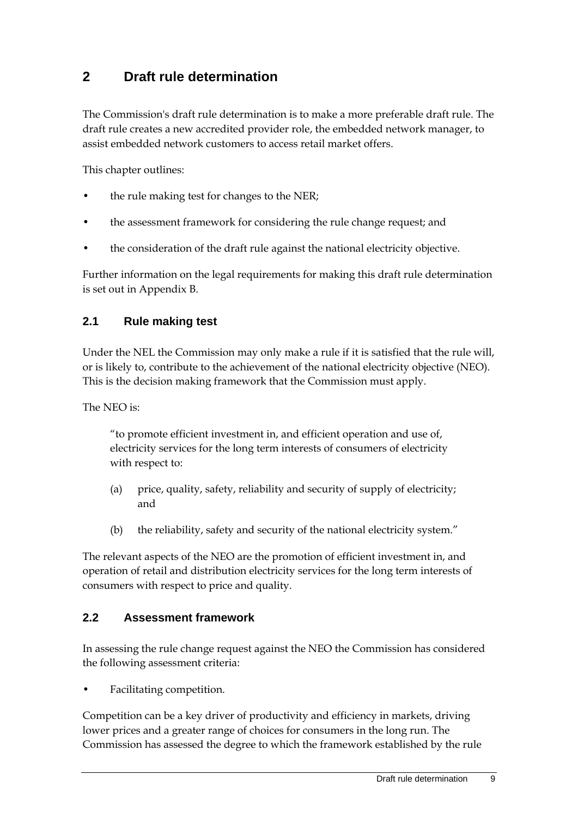# **2 Draft rule determination**

The Commission's draft rule determination is to make a more preferable draft rule. The draft rule creates a new accredited provider role, the embedded network manager, to assist embedded network customers to access retail market offers.

This chapter outlines:

- the rule making test for changes to the NER;
- the assessment framework for considering the rule change request; and
- the consideration of the draft rule against the national electricity objective.

Further information on the legal requirements for making this draft rule determination is set out in Appendix B.

### **2.1 Rule making test**

Under the NEL the Commission may only make a rule if it is satisfied that the rule will, or is likely to, contribute to the achievement of the national electricity objective (NEO). This is the decision making framework that the Commission must apply.

The NEO is:

"to promote efficient investment in, and efficient operation and use of, electricity services for the long term interests of consumers of electricity with respect to:

- (a) price, quality, safety, reliability and security of supply of electricity; and
- (b) the reliability, safety and security of the national electricity system."

The relevant aspects of the NEO are the promotion of efficient investment in, and operation of retail and distribution electricity services for the long term interests of consumers with respect to price and quality.

### **2.2 Assessment framework**

In assessing the rule change request against the NEO the Commission has considered the following assessment criteria:

• Facilitating competition.

Competition can be a key driver of productivity and efficiency in markets, driving lower prices and a greater range of choices for consumers in the long run. The Commission has assessed the degree to which the framework established by the rule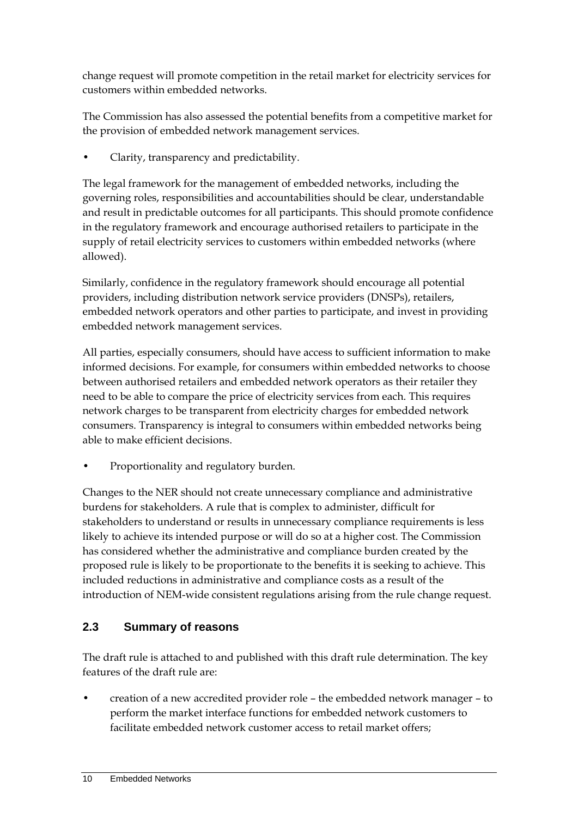change request will promote competition in the retail market for electricity services for customers within embedded networks.

The Commission has also assessed the potential benefits from a competitive market for the provision of embedded network management services.

• Clarity, transparency and predictability.

The legal framework for the management of embedded networks, including the governing roles, responsibilities and accountabilities should be clear, understandable and result in predictable outcomes for all participants. This should promote confidence in the regulatory framework and encourage authorised retailers to participate in the supply of retail electricity services to customers within embedded networks (where allowed).

Similarly, confidence in the regulatory framework should encourage all potential providers, including distribution network service providers (DNSPs), retailers, embedded network operators and other parties to participate, and invest in providing embedded network management services.

All parties, especially consumers, should have access to sufficient information to make informed decisions. For example, for consumers within embedded networks to choose between authorised retailers and embedded network operators as their retailer they need to be able to compare the price of electricity services from each. This requires network charges to be transparent from electricity charges for embedded network consumers. Transparency is integral to consumers within embedded networks being able to make efficient decisions.

• Proportionality and regulatory burden.

Changes to the NER should not create unnecessary compliance and administrative burdens for stakeholders. A rule that is complex to administer, difficult for stakeholders to understand or results in unnecessary compliance requirements is less likely to achieve its intended purpose or will do so at a higher cost. The Commission has considered whether the administrative and compliance burden created by the proposed rule is likely to be proportionate to the benefits it is seeking to achieve. This included reductions in administrative and compliance costs as a result of the introduction of NEM-wide consistent regulations arising from the rule change request.

### **2.3 Summary of reasons**

The draft rule is attached to and published with this draft rule determination. The key features of the draft rule are:

• creation of a new accredited provider role – the embedded network manager – to perform the market interface functions for embedded network customers to facilitate embedded network customer access to retail market offers;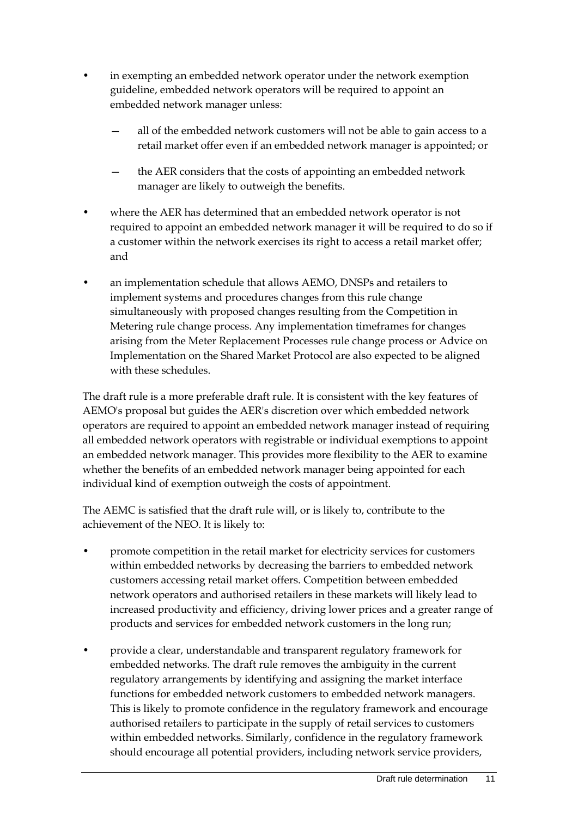- in exempting an embedded network operator under the network exemption guideline, embedded network operators will be required to appoint an embedded network manager unless:
	- all of the embedded network customers will not be able to gain access to a retail market offer even if an embedded network manager is appointed; or
	- the AER considers that the costs of appointing an embedded network manager are likely to outweigh the benefits.
- where the AER has determined that an embedded network operator is not required to appoint an embedded network manager it will be required to do so if a customer within the network exercises its right to access a retail market offer; and
- an implementation schedule that allows AEMO, DNSPs and retailers to implement systems and procedures changes from this rule change simultaneously with proposed changes resulting from the Competition in Metering rule change process. Any implementation timeframes for changes arising from the Meter Replacement Processes rule change process or Advice on Implementation on the Shared Market Protocol are also expected to be aligned with these schedules.

The draft rule is a more preferable draft rule. It is consistent with the key features of AEMO's proposal but guides the AER's discretion over which embedded network operators are required to appoint an embedded network manager instead of requiring all embedded network operators with registrable or individual exemptions to appoint an embedded network manager. This provides more flexibility to the AER to examine whether the benefits of an embedded network manager being appointed for each individual kind of exemption outweigh the costs of appointment.

The AEMC is satisfied that the draft rule will, or is likely to, contribute to the achievement of the NEO. It is likely to:

- promote competition in the retail market for electricity services for customers within embedded networks by decreasing the barriers to embedded network customers accessing retail market offers. Competition between embedded network operators and authorised retailers in these markets will likely lead to increased productivity and efficiency, driving lower prices and a greater range of products and services for embedded network customers in the long run;
- provide a clear, understandable and transparent regulatory framework for embedded networks. The draft rule removes the ambiguity in the current regulatory arrangements by identifying and assigning the market interface functions for embedded network customers to embedded network managers. This is likely to promote confidence in the regulatory framework and encourage authorised retailers to participate in the supply of retail services to customers within embedded networks. Similarly, confidence in the regulatory framework should encourage all potential providers, including network service providers,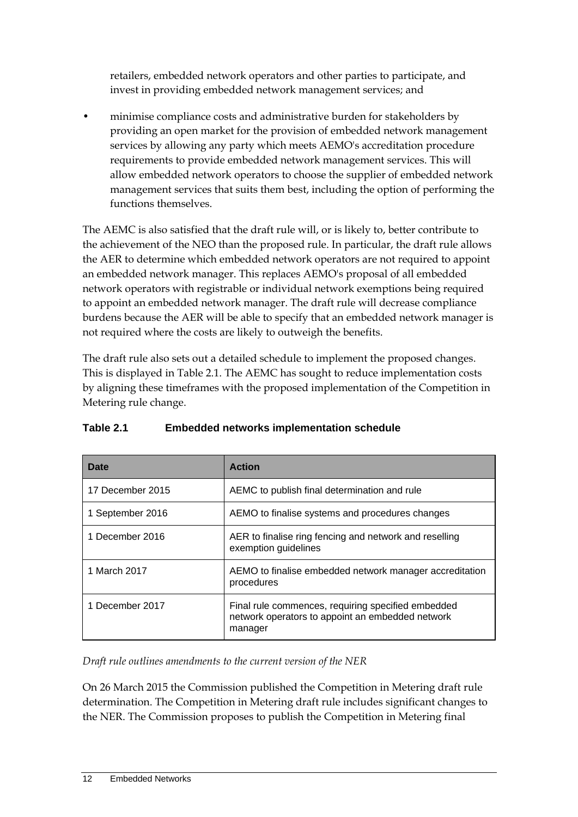retailers, embedded network operators and other parties to participate, and invest in providing embedded network management services; and

• minimise compliance costs and administrative burden for stakeholders by providing an open market for the provision of embedded network management services by allowing any party which meets AEMO's accreditation procedure requirements to provide embedded network management services. This will allow embedded network operators to choose the supplier of embedded network management services that suits them best, including the option of performing the functions themselves.

The AEMC is also satisfied that the draft rule will, or is likely to, better contribute to the achievement of the NEO than the proposed rule. In particular, the draft rule allows the AER to determine which embedded network operators are not required to appoint an embedded network manager. This replaces AEMO's proposal of all embedded network operators with registrable or individual network exemptions being required to appoint an embedded network manager. The draft rule will decrease compliance burdens because the AER will be able to specify that an embedded network manager is not required where the costs are likely to outweigh the benefits.

The draft rule also sets out a detailed schedule to implement the proposed changes. This is displayed in Table 2.1. The AEMC has sought to reduce implementation costs by aligning these timeframes with the proposed implementation of the Competition in Metering rule change.

| Date             | <b>Action</b>                                                                                                     |
|------------------|-------------------------------------------------------------------------------------------------------------------|
| 17 December 2015 | AEMC to publish final determination and rule                                                                      |
| 1 September 2016 | AEMO to finalise systems and procedures changes                                                                   |
| 1 December 2016  | AER to finalise ring fencing and network and reselling<br>exemption guidelines                                    |
| 1 March 2017     | AEMO to finalise embedded network manager accreditation<br>procedures                                             |
| 1 December 2017  | Final rule commences, requiring specified embedded<br>network operators to appoint an embedded network<br>manager |

### **Table 2.1 Embedded networks implementation schedule**

*Draft rule outlines amendments to the current version of the NER*

On 26 March 2015 the Commission published the Competition in Metering draft rule determination. The Competition in Metering draft rule includes significant changes to the NER. The Commission proposes to publish the Competition in Metering final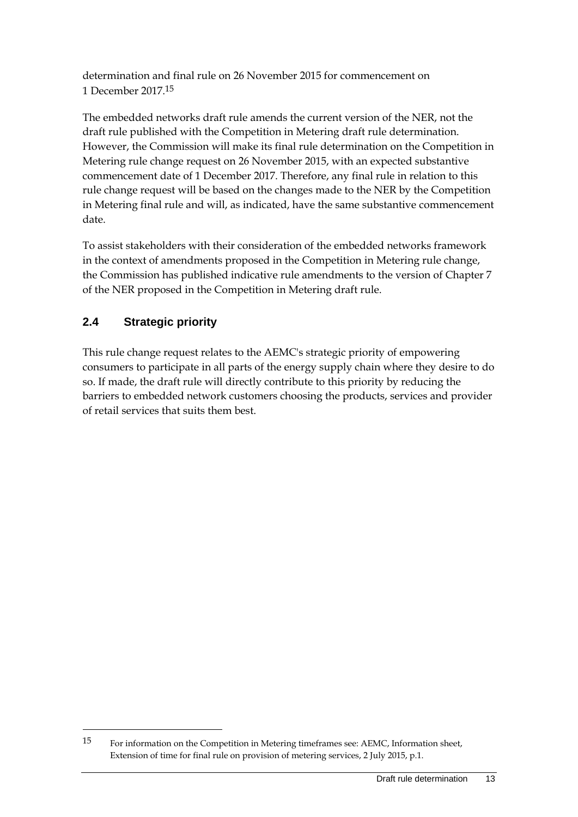determination and final rule on 26 November 2015 for commencement on 1 December 2017.15

The embedded networks draft rule amends the current version of the NER, not the draft rule published with the Competition in Metering draft rule determination. However, the Commission will make its final rule determination on the Competition in Metering rule change request on 26 November 2015, with an expected substantive commencement date of 1 December 2017. Therefore, any final rule in relation to this rule change request will be based on the changes made to the NER by the Competition in Metering final rule and will, as indicated, have the same substantive commencement date.

To assist stakeholders with their consideration of the embedded networks framework in the context of amendments proposed in the Competition in Metering rule change, the Commission has published indicative rule amendments to the version of Chapter 7 of the NER proposed in the Competition in Metering draft rule.

### **2.4 Strategic priority**

1

This rule change request relates to the AEMC's strategic priority of empowering consumers to participate in all parts of the energy supply chain where they desire to do so. If made, the draft rule will directly contribute to this priority by reducing the barriers to embedded network customers choosing the products, services and provider of retail services that suits them best.

<sup>15</sup> For information on the Competition in Metering timeframes see: AEMC, Information sheet, Extension of time for final rule on provision of metering services, 2 July 2015, p.1.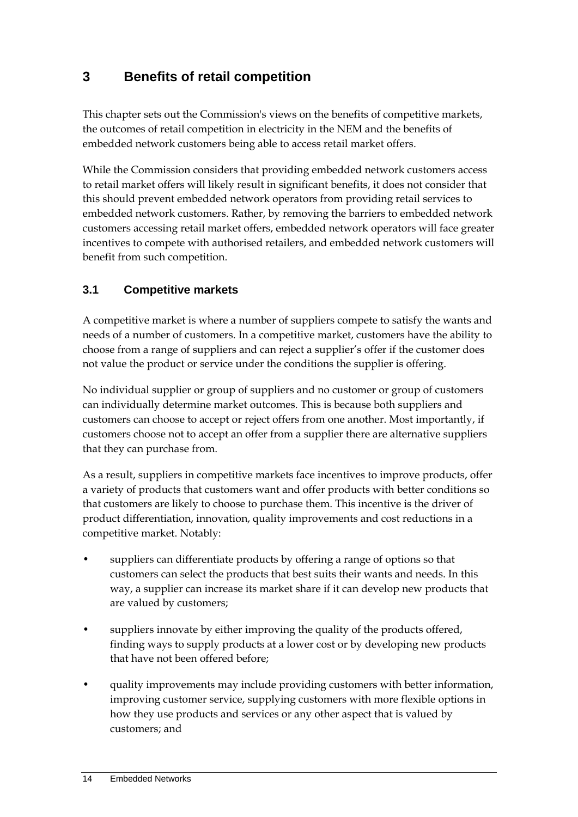# **3 Benefits of retail competition**

This chapter sets out the Commission's views on the benefits of competitive markets, the outcomes of retail competition in electricity in the NEM and the benefits of embedded network customers being able to access retail market offers.

While the Commission considers that providing embedded network customers access to retail market offers will likely result in significant benefits, it does not consider that this should prevent embedded network operators from providing retail services to embedded network customers. Rather, by removing the barriers to embedded network customers accessing retail market offers, embedded network operators will face greater incentives to compete with authorised retailers, and embedded network customers will benefit from such competition.

### **3.1 Competitive markets**

A competitive market is where a number of suppliers compete to satisfy the wants and needs of a number of customers. In a competitive market, customers have the ability to choose from a range of suppliers and can reject a supplier's offer if the customer does not value the product or service under the conditions the supplier is offering.

No individual supplier or group of suppliers and no customer or group of customers can individually determine market outcomes. This is because both suppliers and customers can choose to accept or reject offers from one another. Most importantly, if customers choose not to accept an offer from a supplier there are alternative suppliers that they can purchase from.

As a result, suppliers in competitive markets face incentives to improve products, offer a variety of products that customers want and offer products with better conditions so that customers are likely to choose to purchase them. This incentive is the driver of product differentiation, innovation, quality improvements and cost reductions in a competitive market. Notably:

- suppliers can differentiate products by offering a range of options so that customers can select the products that best suits their wants and needs. In this way, a supplier can increase its market share if it can develop new products that are valued by customers;
- suppliers innovate by either improving the quality of the products offered, finding ways to supply products at a lower cost or by developing new products that have not been offered before;
- quality improvements may include providing customers with better information, improving customer service, supplying customers with more flexible options in how they use products and services or any other aspect that is valued by customers; and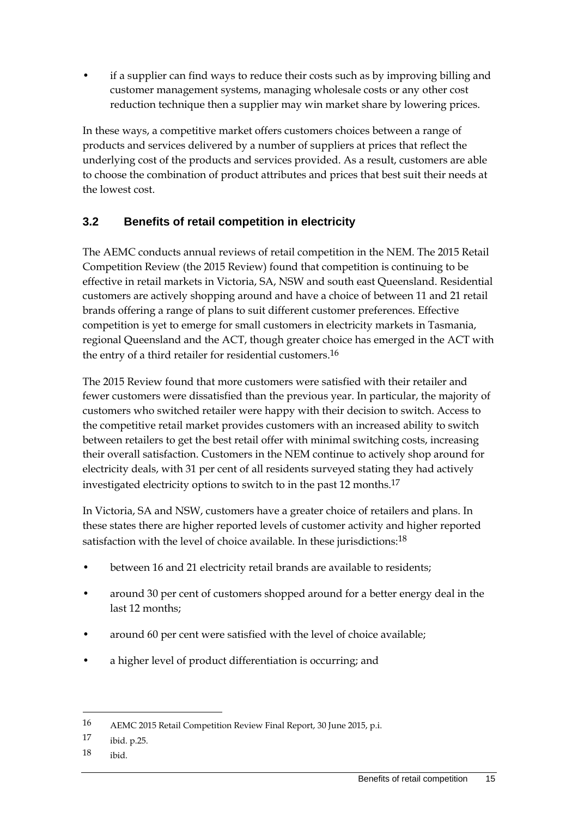• if a supplier can find ways to reduce their costs such as by improving billing and customer management systems, managing wholesale costs or any other cost reduction technique then a supplier may win market share by lowering prices.

In these ways, a competitive market offers customers choices between a range of products and services delivered by a number of suppliers at prices that reflect the underlying cost of the products and services provided. As a result, customers are able to choose the combination of product attributes and prices that best suit their needs at the lowest cost.

### **3.2 Benefits of retail competition in electricity**

The AEMC conducts annual reviews of retail competition in the NEM. The 2015 Retail Competition Review (the 2015 Review) found that competition is continuing to be effective in retail markets in Victoria, SA, NSW and south east Queensland. Residential customers are actively shopping around and have a choice of between 11 and 21 retail brands offering a range of plans to suit different customer preferences. Effective competition is yet to emerge for small customers in electricity markets in Tasmania, regional Queensland and the ACT, though greater choice has emerged in the ACT with the entry of a third retailer for residential customers.16

The 2015 Review found that more customers were satisfied with their retailer and fewer customers were dissatisfied than the previous year. In particular, the majority of customers who switched retailer were happy with their decision to switch. Access to the competitive retail market provides customers with an increased ability to switch between retailers to get the best retail offer with minimal switching costs, increasing their overall satisfaction. Customers in the NEM continue to actively shop around for electricity deals, with 31 per cent of all residents surveyed stating they had actively investigated electricity options to switch to in the past 12 months.17

In Victoria, SA and NSW, customers have a greater choice of retailers and plans. In these states there are higher reported levels of customer activity and higher reported satisfaction with the level of choice available. In these jurisdictions:18

- between 16 and 21 electricity retail brands are available to residents;
- around 30 per cent of customers shopped around for a better energy deal in the last 12 months;
- around 60 per cent were satisfied with the level of choice available;
- a higher level of product differentiation is occurring; and

18 ibid.

<u>.</u>

<sup>16</sup> AEMC 2015 Retail Competition Review Final Report, 30 June 2015, p.i.

<sup>17</sup> ibid. p.25.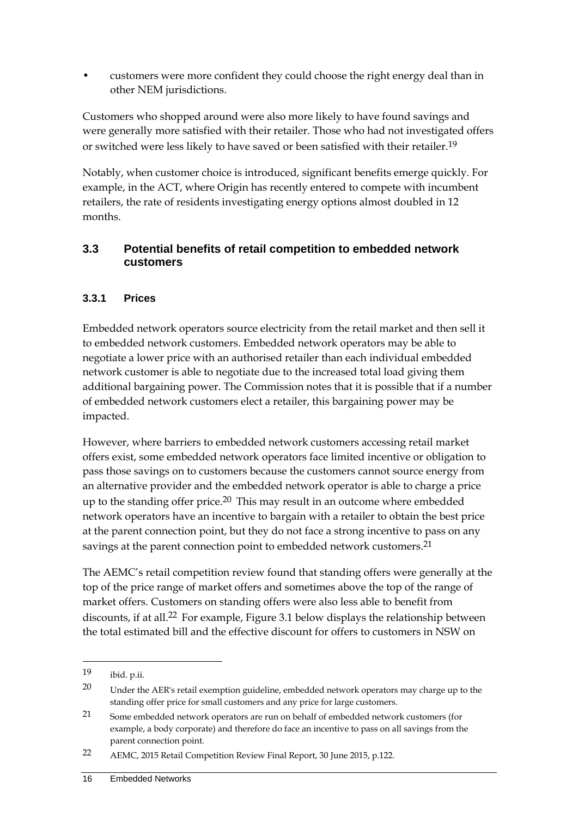• customers were more confident they could choose the right energy deal than in other NEM jurisdictions.

Customers who shopped around were also more likely to have found savings and were generally more satisfied with their retailer. Those who had not investigated offers or switched were less likely to have saved or been satisfied with their retailer.19

Notably, when customer choice is introduced, significant benefits emerge quickly. For example, in the ACT, where Origin has recently entered to compete with incumbent retailers, the rate of residents investigating energy options almost doubled in 12 months.

### **3.3 Potential benefits of retail competition to embedded network customers**

### **3.3.1 Prices**

Embedded network operators source electricity from the retail market and then sell it to embedded network customers. Embedded network operators may be able to negotiate a lower price with an authorised retailer than each individual embedded network customer is able to negotiate due to the increased total load giving them additional bargaining power. The Commission notes that it is possible that if a number of embedded network customers elect a retailer, this bargaining power may be impacted.

However, where barriers to embedded network customers accessing retail market offers exist, some embedded network operators face limited incentive or obligation to pass those savings on to customers because the customers cannot source energy from an alternative provider and the embedded network operator is able to charge a price up to the standing offer price.<sup>20</sup> This may result in an outcome where embedded network operators have an incentive to bargain with a retailer to obtain the best price at the parent connection point, but they do not face a strong incentive to pass on any savings at the parent connection point to embedded network customers.<sup>21</sup>

The AEMC's retail competition review found that standing offers were generally at the top of the price range of market offers and sometimes above the top of the range of market offers. Customers on standing offers were also less able to benefit from discounts, if at all.<sup>22</sup> For example, Figure 3.1 below displays the relationship between the total estimated bill and the effective discount for offers to customers in NSW on

1

<sup>19</sup> ibid. p.ii.

<sup>20</sup> Under the AER's retail exemption guideline, embedded network operators may charge up to the standing offer price for small customers and any price for large customers.

<sup>21</sup> Some embedded network operators are run on behalf of embedded network customers (for example, a body corporate) and therefore do face an incentive to pass on all savings from the parent connection point.

<sup>22</sup> AEMC, 2015 Retail Competition Review Final Report, 30 June 2015, p.122.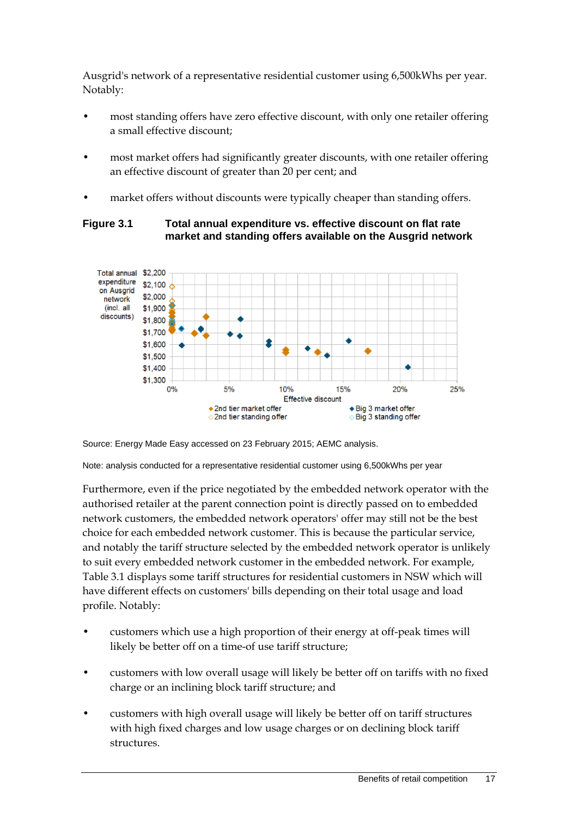Ausgrid's network of a representative residential customer using 6,500kWhs per year. Notably:

- most standing offers have zero effective discount, with only one retailer offering a small effective discount;
- most market offers had significantly greater discounts, with one retailer offering an effective discount of greater than 20 per cent; and
- market offers without discounts were typically cheaper than standing offers.

#### **Figure 3.1 Total annual expenditure vs. effective discount on flat rate market and standing offers available on the Ausgrid network**



Source: Energy Made Easy accessed on 23 February 2015; AEMC analysis.

Note: analysis conducted for a representative residential customer using 6,500kWhs per year

Furthermore, even if the price negotiated by the embedded network operator with the authorised retailer at the parent connection point is directly passed on to embedded network customers, the embedded network operators' offer may still not be the best choice for each embedded network customer. This is because the particular service, and notably the tariff structure selected by the embedded network operator is unlikely to suit every embedded network customer in the embedded network. For example, Table 3.1 displays some tariff structures for residential customers in NSW which will have different effects on customers' bills depending on their total usage and load profile. Notably:

- customers which use a high proportion of their energy at off-peak times will likely be better off on a time-of use tariff structure;
- customers with low overall usage will likely be better off on tariffs with no fixed charge or an inclining block tariff structure; and
- customers with high overall usage will likely be better off on tariff structures with high fixed charges and low usage charges or on declining block tariff structures.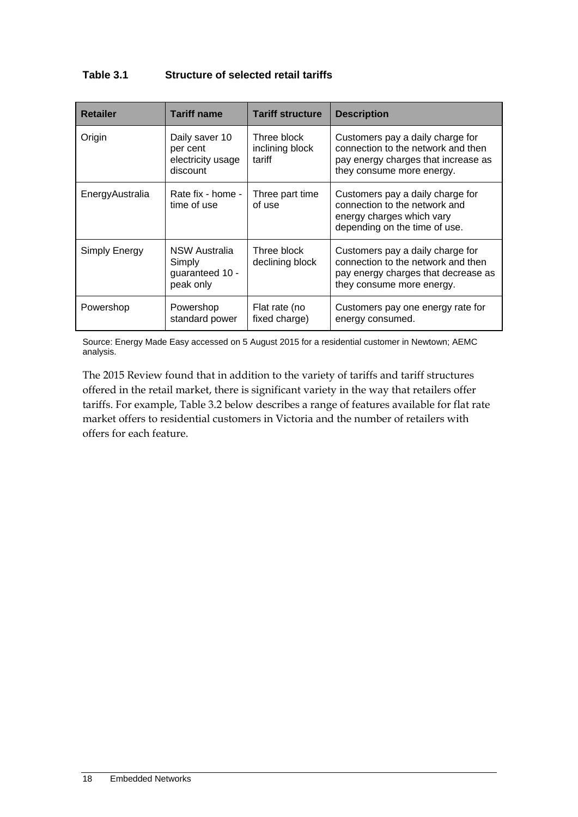#### **Table 3.1 Structure of selected retail tariffs**

| <b>Retailer</b> | <b>Tariff name</b>                                             | <b>Tariff structure</b>                  | <b>Description</b>                                                                                                                         |
|-----------------|----------------------------------------------------------------|------------------------------------------|--------------------------------------------------------------------------------------------------------------------------------------------|
| Origin          | Daily saver 10<br>per cent<br>electricity usage<br>discount    | Three block<br>inclining block<br>tariff | Customers pay a daily charge for<br>connection to the network and then<br>pay energy charges that increase as<br>they consume more energy. |
| EnergyAustralia | Rate fix - home -<br>time of use                               | Three part time<br>of use                | Customers pay a daily charge for<br>connection to the network and<br>energy charges which vary<br>depending on the time of use.            |
| Simply Energy   | <b>NSW Australia</b><br>Simply<br>guaranteed 10 -<br>peak only | Three block<br>declining block           | Customers pay a daily charge for<br>connection to the network and then<br>pay energy charges that decrease as<br>they consume more energy. |
| Powershop       | Powershop<br>standard power                                    | Flat rate (no<br>fixed charge)           | Customers pay one energy rate for<br>energy consumed.                                                                                      |

Source: Energy Made Easy accessed on 5 August 2015 for a residential customer in Newtown; AEMC analysis.

The 2015 Review found that in addition to the variety of tariffs and tariff structures offered in the retail market, there is significant variety in the way that retailers offer tariffs. For example, Table 3.2 below describes a range of features available for flat rate market offers to residential customers in Victoria and the number of retailers with offers for each feature.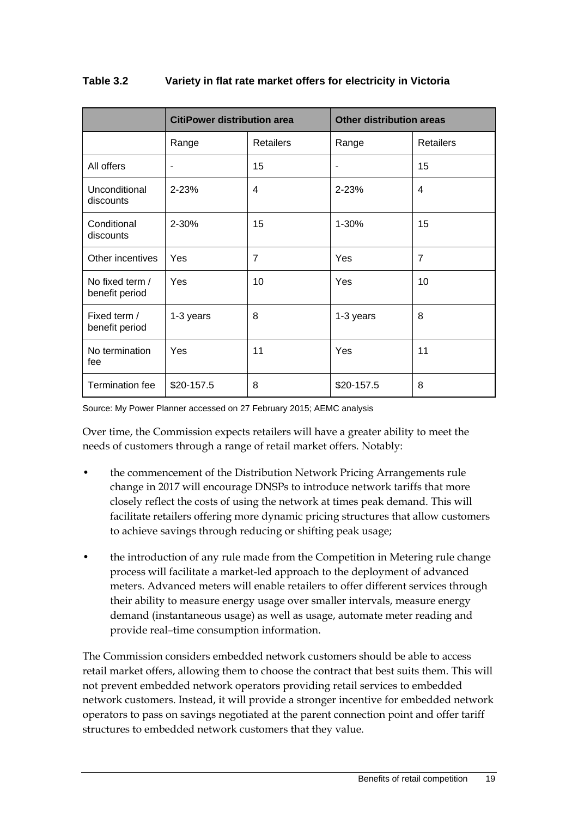|                                   | <b>CitiPower distribution area</b> |                  | <b>Other distribution areas</b> |                  |
|-----------------------------------|------------------------------------|------------------|---------------------------------|------------------|
|                                   | Range                              | <b>Retailers</b> | Range                           | <b>Retailers</b> |
| All offers                        | ٠                                  | 15               |                                 | 15               |
| Unconditional<br>discounts        | 2-23%                              | 4                | 2-23%                           | 4                |
| Conditional<br>discounts          | 2-30%                              | 15               | 1-30%                           | 15               |
| Other incentives                  | Yes                                | $\overline{7}$   | Yes                             | $\overline{7}$   |
| No fixed term /<br>benefit period | Yes                                | 10               | Yes                             | 10               |
| Fixed term /<br>benefit period    | 1-3 years                          | 8                | 1-3 years                       | 8                |
| No termination<br>fee             | Yes                                | 11               | Yes                             | 11               |
| <b>Termination fee</b>            | \$20-157.5                         | 8                | \$20-157.5                      | 8                |

#### **Table 3.2 Variety in flat rate market offers for electricity in Victoria**

Source: My Power Planner accessed on 27 February 2015; AEMC analysis

Over time, the Commission expects retailers will have a greater ability to meet the needs of customers through a range of retail market offers. Notably:

- the commencement of the Distribution Network Pricing Arrangements rule change in 2017 will encourage DNSPs to introduce network tariffs that more closely reflect the costs of using the network at times peak demand. This will facilitate retailers offering more dynamic pricing structures that allow customers to achieve savings through reducing or shifting peak usage;
- the introduction of any rule made from the Competition in Metering rule change process will facilitate a market-led approach to the deployment of advanced meters. Advanced meters will enable retailers to offer different services through their ability to measure energy usage over smaller intervals, measure energy demand (instantaneous usage) as well as usage, automate meter reading and provide real–time consumption information.

The Commission considers embedded network customers should be able to access retail market offers, allowing them to choose the contract that best suits them. This will not prevent embedded network operators providing retail services to embedded network customers. Instead, it will provide a stronger incentive for embedded network operators to pass on savings negotiated at the parent connection point and offer tariff structures to embedded network customers that they value.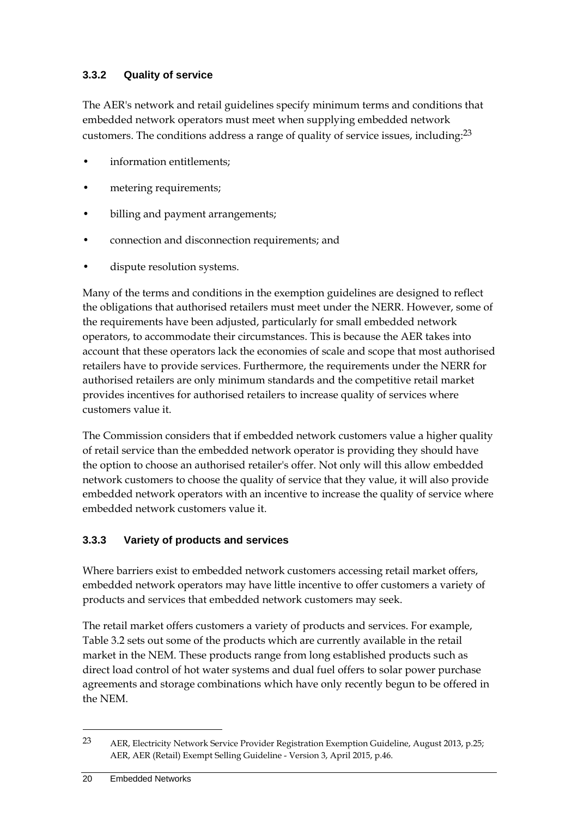### **3.3.2 Quality of service**

The AER's network and retail guidelines specify minimum terms and conditions that embedded network operators must meet when supplying embedded network customers. The conditions address a range of quality of service issues, including:23

- information entitlements:
- metering requirements;
- billing and payment arrangements;
- connection and disconnection requirements; and
- dispute resolution systems.

Many of the terms and conditions in the exemption guidelines are designed to reflect the obligations that authorised retailers must meet under the NERR. However, some of the requirements have been adjusted, particularly for small embedded network operators, to accommodate their circumstances. This is because the AER takes into account that these operators lack the economies of scale and scope that most authorised retailers have to provide services. Furthermore, the requirements under the NERR for authorised retailers are only minimum standards and the competitive retail market provides incentives for authorised retailers to increase quality of services where customers value it.

The Commission considers that if embedded network customers value a higher quality of retail service than the embedded network operator is providing they should have the option to choose an authorised retailer's offer. Not only will this allow embedded network customers to choose the quality of service that they value, it will also provide embedded network operators with an incentive to increase the quality of service where embedded network customers value it.

### **3.3.3 Variety of products and services**

Where barriers exist to embedded network customers accessing retail market offers, embedded network operators may have little incentive to offer customers a variety of products and services that embedded network customers may seek.

The retail market offers customers a variety of products and services. For example, Table 3.2 sets out some of the products which are currently available in the retail market in the NEM. These products range from long established products such as direct load control of hot water systems and dual fuel offers to solar power purchase agreements and storage combinations which have only recently begun to be offered in the NEM.

1

<sup>23</sup> AER, Electricity Network Service Provider Registration Exemption Guideline, August 2013, p.25; AER, AER (Retail) Exempt Selling Guideline - Version 3, April 2015, p.46.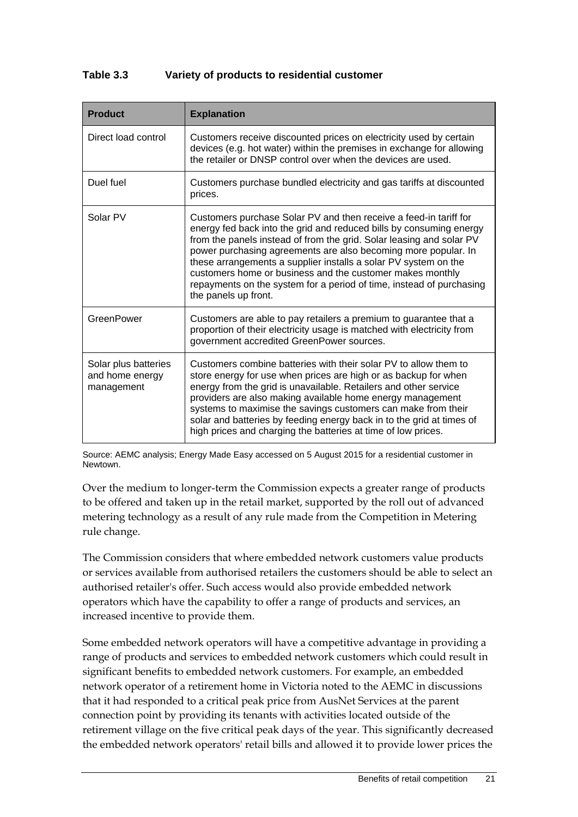#### **Table 3.3 Variety of products to residential customer**

| <b>Product</b>                                        | <b>Explanation</b>                                                                                                                                                                                                                                                                                                                                                                                                                                                                                                 |
|-------------------------------------------------------|--------------------------------------------------------------------------------------------------------------------------------------------------------------------------------------------------------------------------------------------------------------------------------------------------------------------------------------------------------------------------------------------------------------------------------------------------------------------------------------------------------------------|
| Direct load control                                   | Customers receive discounted prices on electricity used by certain<br>devices (e.g. hot water) within the premises in exchange for allowing<br>the retailer or DNSP control over when the devices are used.                                                                                                                                                                                                                                                                                                        |
| Duel fuel                                             | Customers purchase bundled electricity and gas tariffs at discounted<br>prices.                                                                                                                                                                                                                                                                                                                                                                                                                                    |
| Solar PV                                              | Customers purchase Solar PV and then receive a feed-in tariff for<br>energy fed back into the grid and reduced bills by consuming energy<br>from the panels instead of from the grid. Solar leasing and solar PV<br>power purchasing agreements are also becoming more popular. In<br>these arrangements a supplier installs a solar PV system on the<br>customers home or business and the customer makes monthly<br>repayments on the system for a period of time, instead of purchasing<br>the panels up front. |
| GreenPower                                            | Customers are able to pay retailers a premium to guarantee that a<br>proportion of their electricity usage is matched with electricity from<br>government accredited GreenPower sources.                                                                                                                                                                                                                                                                                                                           |
| Solar plus batteries<br>and home energy<br>management | Customers combine batteries with their solar PV to allow them to<br>store energy for use when prices are high or as backup for when<br>energy from the grid is unavailable. Retailers and other service<br>providers are also making available home energy management<br>systems to maximise the savings customers can make from their<br>solar and batteries by feeding energy back in to the grid at times of<br>high prices and charging the batteries at time of low prices.                                   |

Source: AEMC analysis; Energy Made Easy accessed on 5 August 2015 for a residential customer in Newtown.

Over the medium to longer-term the Commission expects a greater range of products to be offered and taken up in the retail market, supported by the roll out of advanced metering technology as a result of any rule made from the Competition in Metering rule change.

The Commission considers that where embedded network customers value products or services available from authorised retailers the customers should be able to select an authorised retailer's offer. Such access would also provide embedded network operators which have the capability to offer a range of products and services, an increased incentive to provide them.

Some embedded network operators will have a competitive advantage in providing a range of products and services to embedded network customers which could result in significant benefits to embedded network customers. For example, an embedded network operator of a retirement home in Victoria noted to the AEMC in discussions that it had responded to a critical peak price from AusNet Services at the parent connection point by providing its tenants with activities located outside of the retirement village on the five critical peak days of the year. This significantly decreased the embedded network operators' retail bills and allowed it to provide lower prices the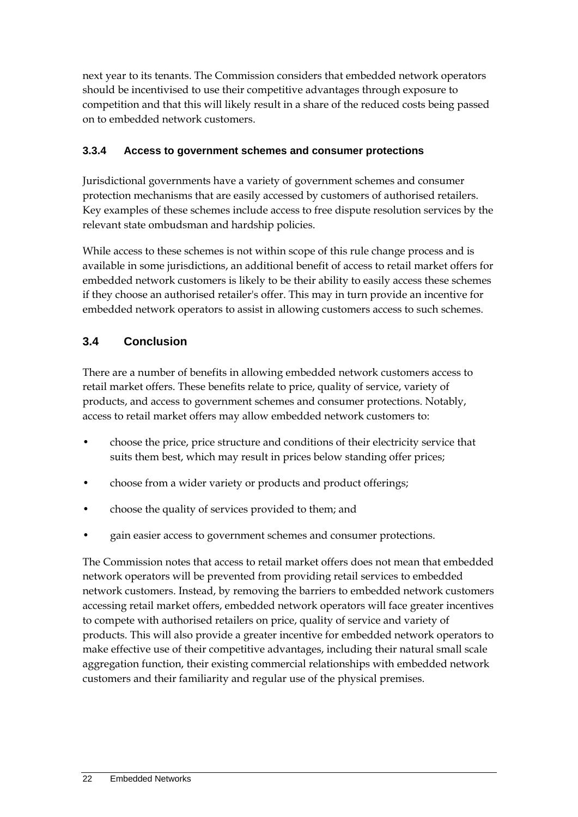next year to its tenants. The Commission considers that embedded network operators should be incentivised to use their competitive advantages through exposure to competition and that this will likely result in a share of the reduced costs being passed on to embedded network customers.

### **3.3.4 Access to government schemes and consumer protections**

Jurisdictional governments have a variety of government schemes and consumer protection mechanisms that are easily accessed by customers of authorised retailers. Key examples of these schemes include access to free dispute resolution services by the relevant state ombudsman and hardship policies.

While access to these schemes is not within scope of this rule change process and is available in some jurisdictions, an additional benefit of access to retail market offers for embedded network customers is likely to be their ability to easily access these schemes if they choose an authorised retailer's offer. This may in turn provide an incentive for embedded network operators to assist in allowing customers access to such schemes.

## **3.4 Conclusion**

There are a number of benefits in allowing embedded network customers access to retail market offers. These benefits relate to price, quality of service, variety of products, and access to government schemes and consumer protections. Notably, access to retail market offers may allow embedded network customers to:

- choose the price, price structure and conditions of their electricity service that suits them best, which may result in prices below standing offer prices;
- choose from a wider variety or products and product offerings;
- choose the quality of services provided to them; and
- gain easier access to government schemes and consumer protections.

The Commission notes that access to retail market offers does not mean that embedded network operators will be prevented from providing retail services to embedded network customers. Instead, by removing the barriers to embedded network customers accessing retail market offers, embedded network operators will face greater incentives to compete with authorised retailers on price, quality of service and variety of products. This will also provide a greater incentive for embedded network operators to make effective use of their competitive advantages, including their natural small scale aggregation function, their existing commercial relationships with embedded network customers and their familiarity and regular use of the physical premises.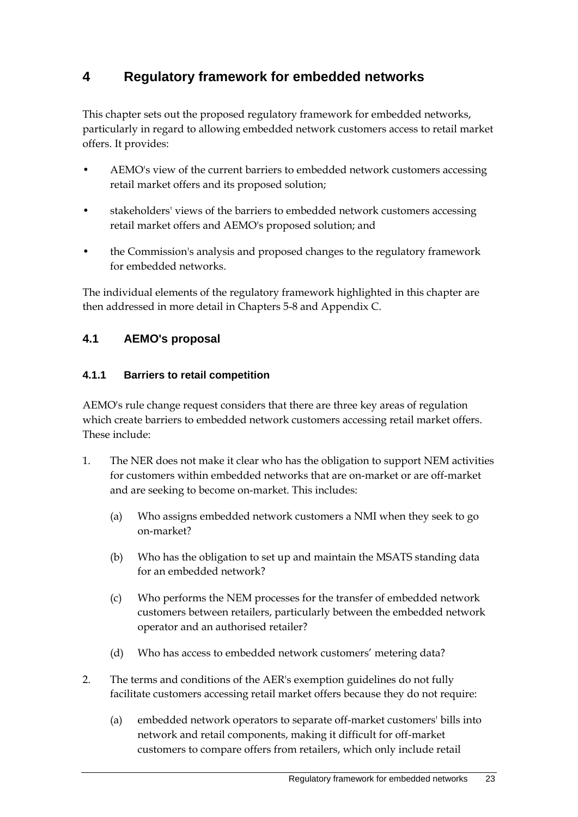# **4 Regulatory framework for embedded networks**

This chapter sets out the proposed regulatory framework for embedded networks, particularly in regard to allowing embedded network customers access to retail market offers. It provides:

- AEMO's view of the current barriers to embedded network customers accessing retail market offers and its proposed solution;
- stakeholders' views of the barriers to embedded network customers accessing retail market offers and AEMO's proposed solution; and
- the Commission's analysis and proposed changes to the regulatory framework for embedded networks.

The individual elements of the regulatory framework highlighted in this chapter are then addressed in more detail in Chapters 5-8 and Appendix C.

### **4.1 AEMO's proposal**

### **4.1.1 Barriers to retail competition**

AEMO's rule change request considers that there are three key areas of regulation which create barriers to embedded network customers accessing retail market offers. These include:

- 1. The NER does not make it clear who has the obligation to support NEM activities for customers within embedded networks that are on-market or are off-market and are seeking to become on-market. This includes:
	- (a) Who assigns embedded network customers a NMI when they seek to go on-market?
	- (b) Who has the obligation to set up and maintain the MSATS standing data for an embedded network?
	- (c) Who performs the NEM processes for the transfer of embedded network customers between retailers, particularly between the embedded network operator and an authorised retailer?
	- (d) Who has access to embedded network customers' metering data?
- 2. The terms and conditions of the AER's exemption guidelines do not fully facilitate customers accessing retail market offers because they do not require:
	- (a) embedded network operators to separate off-market customers' bills into network and retail components, making it difficult for off-market customers to compare offers from retailers, which only include retail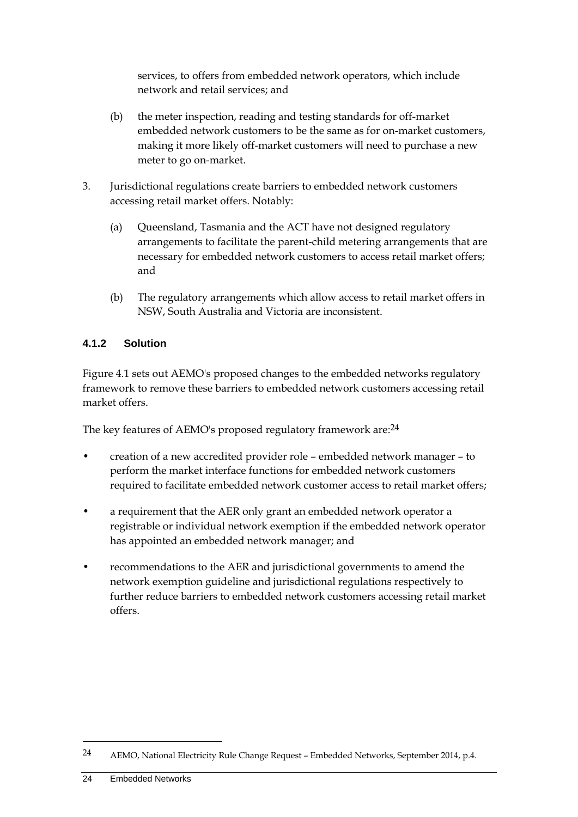services, to offers from embedded network operators, which include network and retail services; and

- (b) the meter inspection, reading and testing standards for off-market embedded network customers to be the same as for on-market customers, making it more likely off-market customers will need to purchase a new meter to go on-market.
- 3. Jurisdictional regulations create barriers to embedded network customers accessing retail market offers. Notably:
	- (a) Queensland, Tasmania and the ACT have not designed regulatory arrangements to facilitate the parent-child metering arrangements that are necessary for embedded network customers to access retail market offers; and
	- (b) The regulatory arrangements which allow access to retail market offers in NSW, South Australia and Victoria are inconsistent.

#### **4.1.2 Solution**

Figure 4.1 sets out AEMO's proposed changes to the embedded networks regulatory framework to remove these barriers to embedded network customers accessing retail market offers.

The key features of AEMO's proposed regulatory framework are:24

- creation of a new accredited provider role embedded network manager to perform the market interface functions for embedded network customers required to facilitate embedded network customer access to retail market offers;
- a requirement that the AER only grant an embedded network operator a registrable or individual network exemption if the embedded network operator has appointed an embedded network manager; and
- recommendations to the AER and jurisdictional governments to amend the network exemption guideline and jurisdictional regulations respectively to further reduce barriers to embedded network customers accessing retail market offers.

1

<sup>24</sup> AEMO, National Electricity Rule Change Request – Embedded Networks, September 2014, p.4.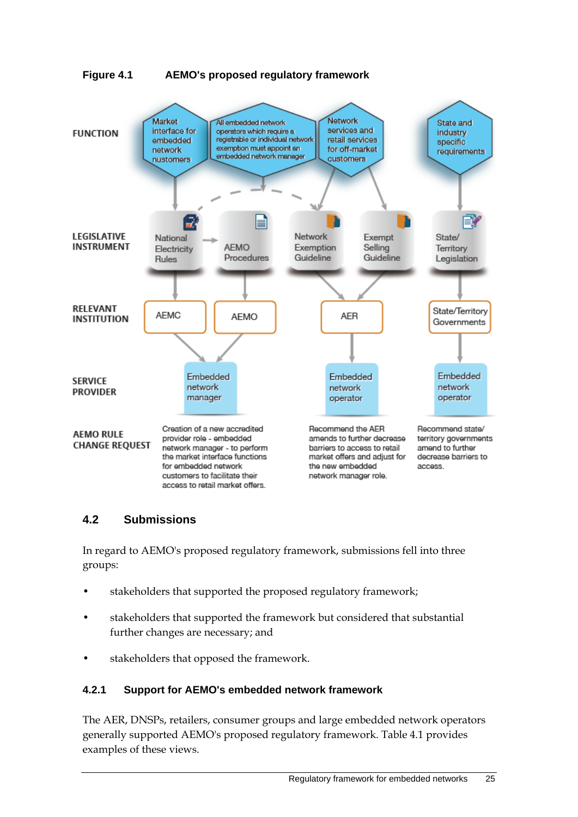



### **4.2 Submissions**

In regard to AEMO's proposed regulatory framework, submissions fell into three groups:

- stakeholders that supported the proposed regulatory framework;
- stakeholders that supported the framework but considered that substantial further changes are necessary; and
- stakeholders that opposed the framework.

#### **4.2.1 Support for AEMO's embedded network framework**

The AER, DNSPs, retailers, consumer groups and large embedded network operators generally supported AEMO's proposed regulatory framework. Table 4.1 provides examples of these views.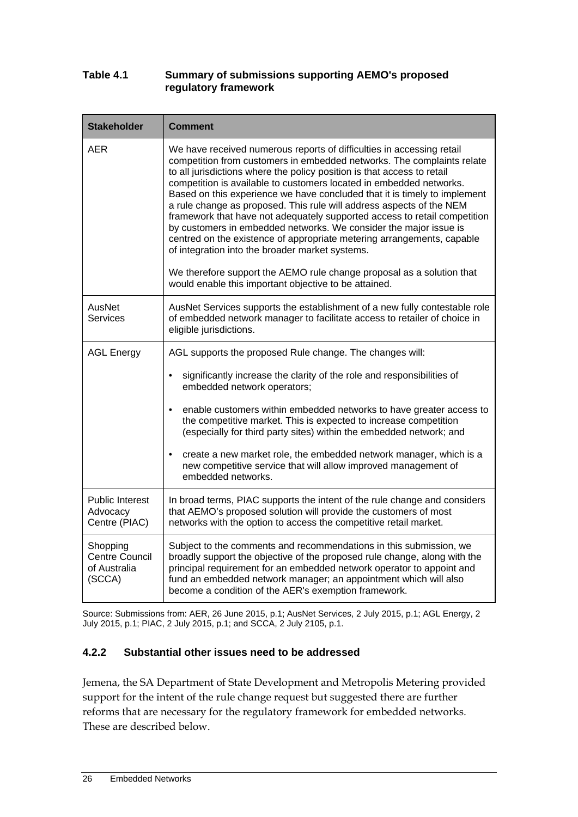#### **Table 4.1 Summary of submissions supporting AEMO's proposed regulatory framework**

| <b>Stakeholder</b>                                                            | <b>Comment</b>                                                                                                                                                                                                                                                                                                                                                                                                                                                                                                                                                                                                                                                                                                                                                                                                                                                          |
|-------------------------------------------------------------------------------|-------------------------------------------------------------------------------------------------------------------------------------------------------------------------------------------------------------------------------------------------------------------------------------------------------------------------------------------------------------------------------------------------------------------------------------------------------------------------------------------------------------------------------------------------------------------------------------------------------------------------------------------------------------------------------------------------------------------------------------------------------------------------------------------------------------------------------------------------------------------------|
| AER                                                                           | We have received numerous reports of difficulties in accessing retail<br>competition from customers in embedded networks. The complaints relate<br>to all jurisdictions where the policy position is that access to retail<br>competition is available to customers located in embedded networks.<br>Based on this experience we have concluded that it is timely to implement<br>a rule change as proposed. This rule will address aspects of the NEM<br>framework that have not adequately supported access to retail competition<br>by customers in embedded networks. We consider the major issue is<br>centred on the existence of appropriate metering arrangements, capable<br>of integration into the broader market systems.<br>We therefore support the AEMO rule change proposal as a solution that<br>would enable this important objective to be attained. |
| AusNet<br><b>Services</b>                                                     | AusNet Services supports the establishment of a new fully contestable role<br>of embedded network manager to facilitate access to retailer of choice in<br>eligible jurisdictions.                                                                                                                                                                                                                                                                                                                                                                                                                                                                                                                                                                                                                                                                                      |
| <b>AGL Energy</b><br>AGL supports the proposed Rule change. The changes will: |                                                                                                                                                                                                                                                                                                                                                                                                                                                                                                                                                                                                                                                                                                                                                                                                                                                                         |
|                                                                               | significantly increase the clarity of the role and responsibilities of<br>$\bullet$<br>embedded network operators;                                                                                                                                                                                                                                                                                                                                                                                                                                                                                                                                                                                                                                                                                                                                                      |
|                                                                               | $\bullet$<br>enable customers within embedded networks to have greater access to<br>the competitive market. This is expected to increase competition<br>(especially for third party sites) within the embedded network; and                                                                                                                                                                                                                                                                                                                                                                                                                                                                                                                                                                                                                                             |
|                                                                               | create a new market role, the embedded network manager, which is a<br>$\bullet$<br>new competitive service that will allow improved management of<br>embedded networks.                                                                                                                                                                                                                                                                                                                                                                                                                                                                                                                                                                                                                                                                                                 |
| <b>Public Interest</b><br>Advocacy<br>Centre (PIAC)                           | In broad terms, PIAC supports the intent of the rule change and considers<br>that AEMO's proposed solution will provide the customers of most<br>networks with the option to access the competitive retail market.                                                                                                                                                                                                                                                                                                                                                                                                                                                                                                                                                                                                                                                      |
| Shopping<br><b>Centre Council</b><br>of Australia<br>(SCCA)                   | Subject to the comments and recommendations in this submission, we<br>broadly support the objective of the proposed rule change, along with the<br>principal requirement for an embedded network operator to appoint and<br>fund an embedded network manager; an appointment which will also<br>become a condition of the AER's exemption framework.                                                                                                                                                                                                                                                                                                                                                                                                                                                                                                                    |

Source: Submissions from: AER, 26 June 2015, p.1; AusNet Services, 2 July 2015, p.1; AGL Energy, 2 July 2015, p.1; PIAC, 2 July 2015, p.1; and SCCA, 2 July 2105, p.1.

#### **4.2.2 Substantial other issues need to be addressed**

Jemena, the SA Department of State Development and Metropolis Metering provided support for the intent of the rule change request but suggested there are further reforms that are necessary for the regulatory framework for embedded networks. These are described below.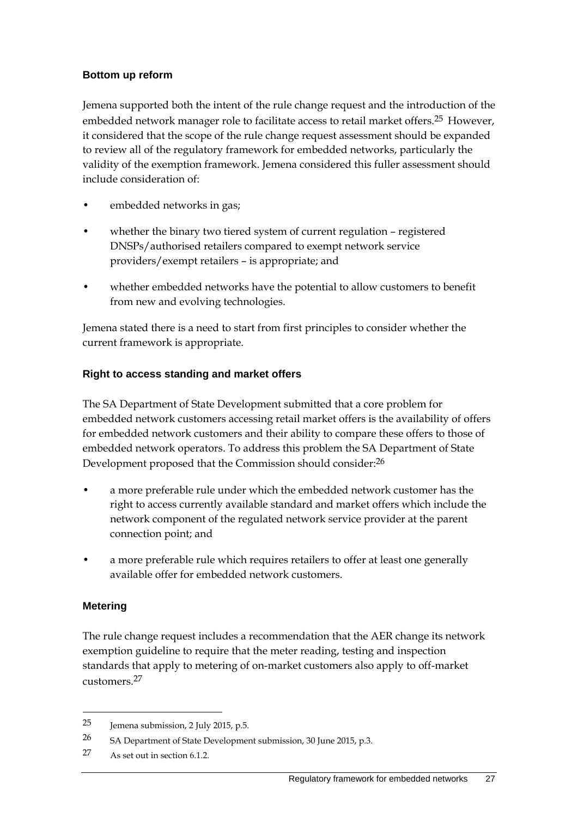#### **Bottom up reform**

Jemena supported both the intent of the rule change request and the introduction of the embedded network manager role to facilitate access to retail market offers.<sup>25</sup> However, it considered that the scope of the rule change request assessment should be expanded to review all of the regulatory framework for embedded networks, particularly the validity of the exemption framework. Jemena considered this fuller assessment should include consideration of:

- embedded networks in gas;
- whether the binary two tiered system of current regulation registered DNSPs/authorised retailers compared to exempt network service providers/exempt retailers – is appropriate; and
- whether embedded networks have the potential to allow customers to benefit from new and evolving technologies.

Jemena stated there is a need to start from first principles to consider whether the current framework is appropriate.

#### **Right to access standing and market offers**

The SA Department of State Development submitted that a core problem for embedded network customers accessing retail market offers is the availability of offers for embedded network customers and their ability to compare these offers to those of embedded network operators. To address this problem the SA Department of State Development proposed that the Commission should consider:26

- a more preferable rule under which the embedded network customer has the right to access currently available standard and market offers which include the network component of the regulated network service provider at the parent connection point; and
- a more preferable rule which requires retailers to offer at least one generally available offer for embedded network customers.

#### **Metering**

<u>.</u>

The rule change request includes a recommendation that the AER change its network exemption guideline to require that the meter reading, testing and inspection standards that apply to metering of on-market customers also apply to off-market customers.27

<sup>25</sup> Jemena submission, 2 July 2015, p.5.

<sup>26</sup> SA Department of State Development submission, 30 June 2015, p.3.

<sup>27</sup> As set out in section 6.1.2.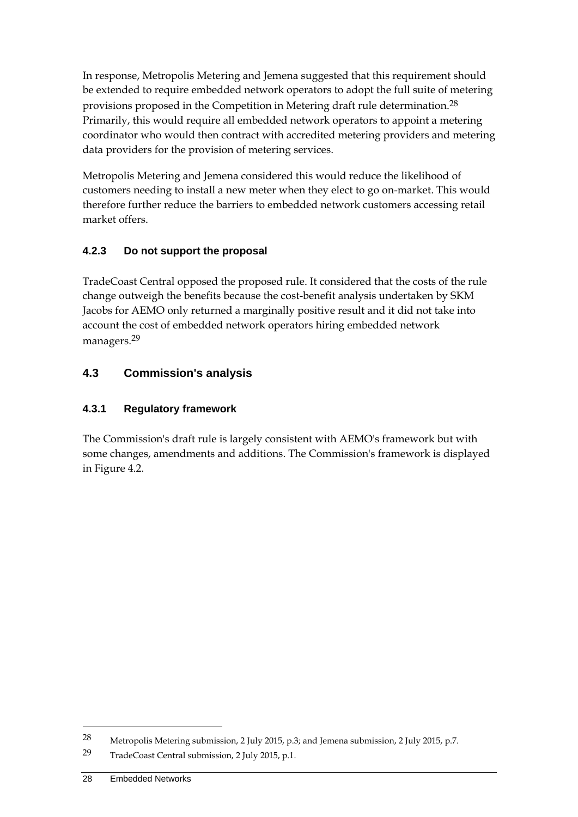In response, Metropolis Metering and Jemena suggested that this requirement should be extended to require embedded network operators to adopt the full suite of metering provisions proposed in the Competition in Metering draft rule determination.28 Primarily, this would require all embedded network operators to appoint a metering coordinator who would then contract with accredited metering providers and metering data providers for the provision of metering services.

Metropolis Metering and Jemena considered this would reduce the likelihood of customers needing to install a new meter when they elect to go on-market. This would therefore further reduce the barriers to embedded network customers accessing retail market offers.

## **4.2.3 Do not support the proposal**

TradeCoast Central opposed the proposed rule. It considered that the costs of the rule change outweigh the benefits because the cost-benefit analysis undertaken by SKM Jacobs for AEMO only returned a marginally positive result and it did not take into account the cost of embedded network operators hiring embedded network managers.29

# **4.3 Commission's analysis**

# **4.3.1 Regulatory framework**

The Commission's draft rule is largely consistent with AEMO's framework but with some changes, amendments and additions. The Commission's framework is displayed in Figure 4.2.

<sup>28</sup> Metropolis Metering submission, 2 July 2015, p.3; and Jemena submission, 2 July 2015, p.7.

<sup>29</sup> TradeCoast Central submission, 2 July 2015, p.1.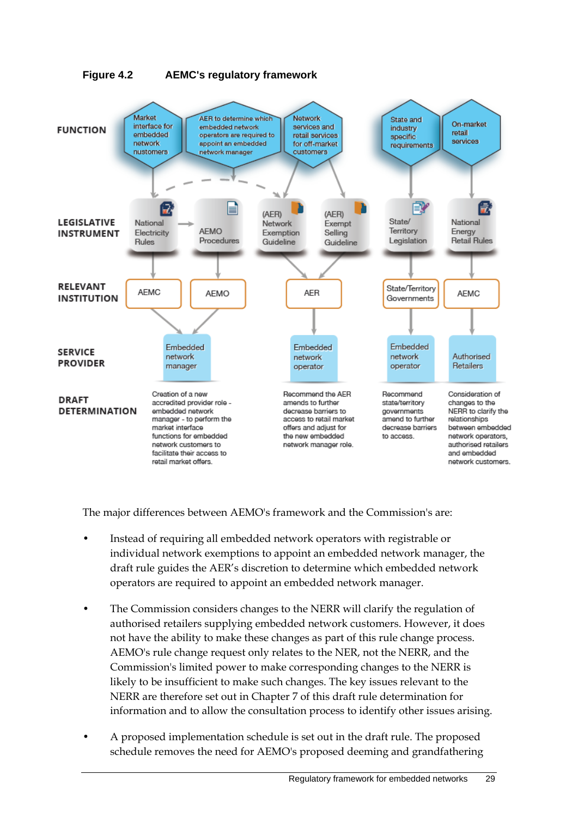

The major differences between AEMO's framework and the Commission's are:

- Instead of requiring all embedded network operators with registrable or individual network exemptions to appoint an embedded network manager, the draft rule guides the AER's discretion to determine which embedded network operators are required to appoint an embedded network manager.
- The Commission considers changes to the NERR will clarify the regulation of authorised retailers supplying embedded network customers. However, it does not have the ability to make these changes as part of this rule change process. AEMO's rule change request only relates to the NER, not the NERR, and the Commission's limited power to make corresponding changes to the NERR is likely to be insufficient to make such changes. The key issues relevant to the NERR are therefore set out in Chapter 7 of this draft rule determination for information and to allow the consultation process to identify other issues arising.
- A proposed implementation schedule is set out in the draft rule. The proposed schedule removes the need for AEMO's proposed deeming and grandfathering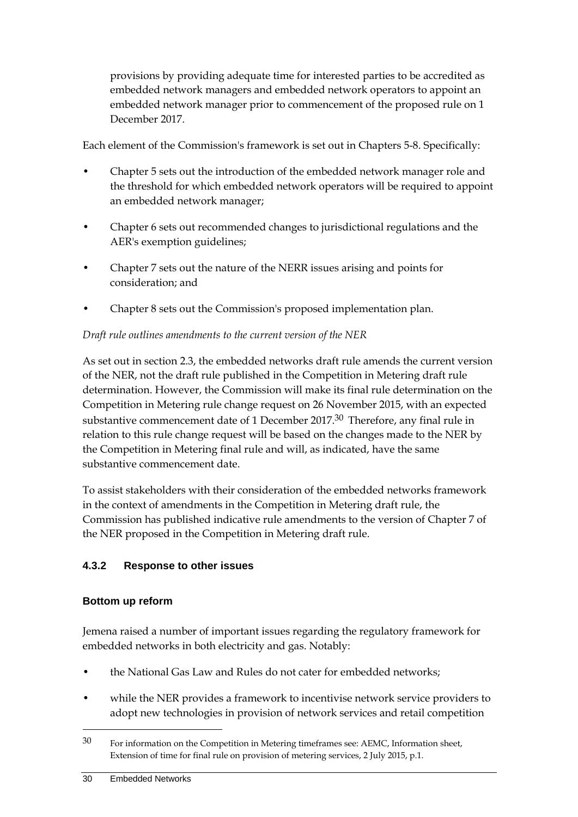provisions by providing adequate time for interested parties to be accredited as embedded network managers and embedded network operators to appoint an embedded network manager prior to commencement of the proposed rule on 1 December 2017.

Each element of the Commission's framework is set out in Chapters 5-8. Specifically:

- Chapter 5 sets out the introduction of the embedded network manager role and the threshold for which embedded network operators will be required to appoint an embedded network manager;
- Chapter 6 sets out recommended changes to jurisdictional regulations and the AER's exemption guidelines;
- Chapter 7 sets out the nature of the NERR issues arising and points for consideration; and
- Chapter 8 sets out the Commission's proposed implementation plan.

#### *Draft rule outlines amendments to the current version of the NER*

As set out in section 2.3, the embedded networks draft rule amends the current version of the NER, not the draft rule published in the Competition in Metering draft rule determination. However, the Commission will make its final rule determination on the Competition in Metering rule change request on 26 November 2015, with an expected substantive commencement date of 1 December 2017.<sup>30</sup> Therefore, any final rule in relation to this rule change request will be based on the changes made to the NER by the Competition in Metering final rule and will, as indicated, have the same substantive commencement date.

To assist stakeholders with their consideration of the embedded networks framework in the context of amendments in the Competition in Metering draft rule, the Commission has published indicative rule amendments to the version of Chapter 7 of the NER proposed in the Competition in Metering draft rule.

## **4.3.2 Response to other issues**

#### **Bottom up reform**

Jemena raised a number of important issues regarding the regulatory framework for embedded networks in both electricity and gas. Notably:

- the National Gas Law and Rules do not cater for embedded networks;
- while the NER provides a framework to incentivise network service providers to adopt new technologies in provision of network services and retail competition

<sup>30</sup> For information on the Competition in Metering timeframes see: AEMC, Information sheet, Extension of time for final rule on provision of metering services, 2 July 2015, p.1.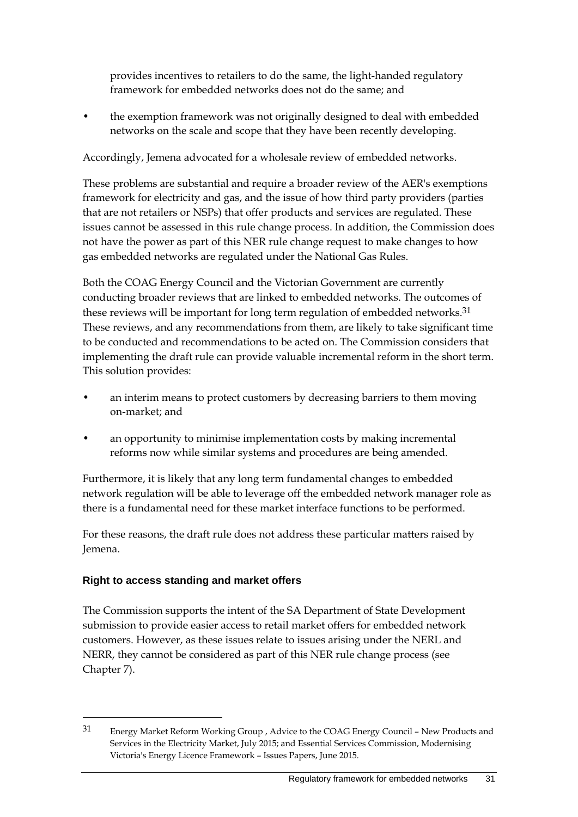provides incentives to retailers to do the same, the light-handed regulatory framework for embedded networks does not do the same; and

• the exemption framework was not originally designed to deal with embedded networks on the scale and scope that they have been recently developing.

Accordingly, Jemena advocated for a wholesale review of embedded networks.

These problems are substantial and require a broader review of the AER's exemptions framework for electricity and gas, and the issue of how third party providers (parties that are not retailers or NSPs) that offer products and services are regulated. These issues cannot be assessed in this rule change process. In addition, the Commission does not have the power as part of this NER rule change request to make changes to how gas embedded networks are regulated under the National Gas Rules.

Both the COAG Energy Council and the Victorian Government are currently conducting broader reviews that are linked to embedded networks. The outcomes of these reviews will be important for long term regulation of embedded networks.<sup>31</sup> These reviews, and any recommendations from them, are likely to take significant time to be conducted and recommendations to be acted on. The Commission considers that implementing the draft rule can provide valuable incremental reform in the short term. This solution provides:

- an interim means to protect customers by decreasing barriers to them moving on-market; and
- an opportunity to minimise implementation costs by making incremental reforms now while similar systems and procedures are being amended.

Furthermore, it is likely that any long term fundamental changes to embedded network regulation will be able to leverage off the embedded network manager role as there is a fundamental need for these market interface functions to be performed.

For these reasons, the draft rule does not address these particular matters raised by Jemena.

## **Right to access standing and market offers**

<u>.</u>

The Commission supports the intent of the SA Department of State Development submission to provide easier access to retail market offers for embedded network customers. However, as these issues relate to issues arising under the NERL and NERR, they cannot be considered as part of this NER rule change process (see Chapter 7).

<sup>31</sup> Energy Market Reform Working Group , Advice to the COAG Energy Council – New Products and Services in the Electricity Market, July 2015; and Essential Services Commission, Modernising Victoria's Energy Licence Framework – Issues Papers, June 2015.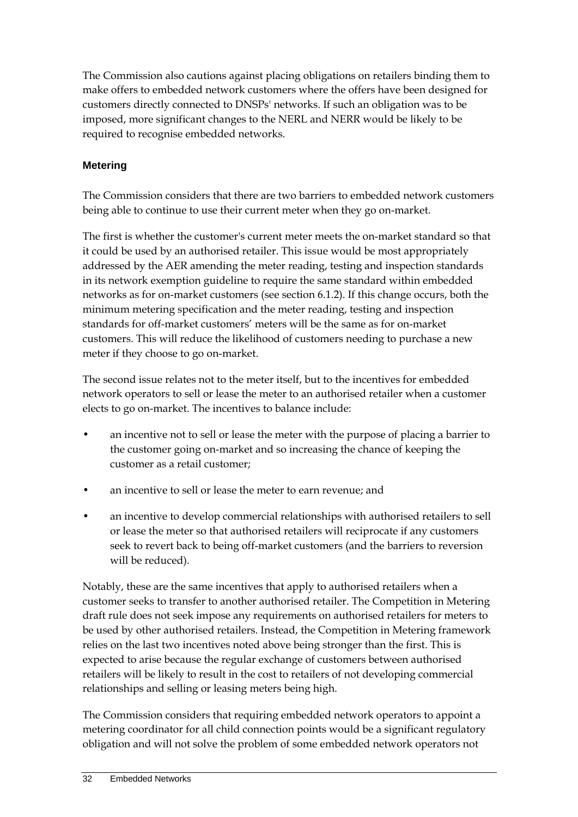The Commission also cautions against placing obligations on retailers binding them to make offers to embedded network customers where the offers have been designed for customers directly connected to DNSPs' networks. If such an obligation was to be imposed, more significant changes to the NERL and NERR would be likely to be required to recognise embedded networks.

## **Metering**

The Commission considers that there are two barriers to embedded network customers being able to continue to use their current meter when they go on-market.

The first is whether the customer's current meter meets the on-market standard so that it could be used by an authorised retailer. This issue would be most appropriately addressed by the AER amending the meter reading, testing and inspection standards in its network exemption guideline to require the same standard within embedded networks as for on-market customers (see section 6.1.2). If this change occurs, both the minimum metering specification and the meter reading, testing and inspection standards for off-market customers' meters will be the same as for on-market customers. This will reduce the likelihood of customers needing to purchase a new meter if they choose to go on-market.

The second issue relates not to the meter itself, but to the incentives for embedded network operators to sell or lease the meter to an authorised retailer when a customer elects to go on-market. The incentives to balance include:

- an incentive not to sell or lease the meter with the purpose of placing a barrier to the customer going on-market and so increasing the chance of keeping the customer as a retail customer;
- an incentive to sell or lease the meter to earn revenue; and
- an incentive to develop commercial relationships with authorised retailers to sell or lease the meter so that authorised retailers will reciprocate if any customers seek to revert back to being off-market customers (and the barriers to reversion will be reduced).

Notably, these are the same incentives that apply to authorised retailers when a customer seeks to transfer to another authorised retailer. The Competition in Metering draft rule does not seek impose any requirements on authorised retailers for meters to be used by other authorised retailers. Instead, the Competition in Metering framework relies on the last two incentives noted above being stronger than the first. This is expected to arise because the regular exchange of customers between authorised retailers will be likely to result in the cost to retailers of not developing commercial relationships and selling or leasing meters being high.

The Commission considers that requiring embedded network operators to appoint a metering coordinator for all child connection points would be a significant regulatory obligation and will not solve the problem of some embedded network operators not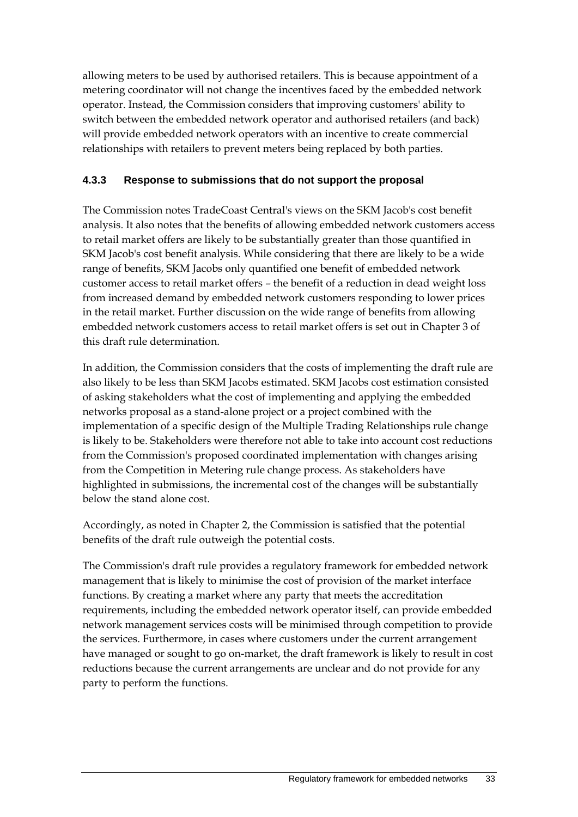allowing meters to be used by authorised retailers. This is because appointment of a metering coordinator will not change the incentives faced by the embedded network operator. Instead, the Commission considers that improving customers' ability to switch between the embedded network operator and authorised retailers (and back) will provide embedded network operators with an incentive to create commercial relationships with retailers to prevent meters being replaced by both parties.

## **4.3.3 Response to submissions that do not support the proposal**

The Commission notes TradeCoast Central's views on the SKM Jacob's cost benefit analysis. It also notes that the benefits of allowing embedded network customers access to retail market offers are likely to be substantially greater than those quantified in SKM Jacob's cost benefit analysis. While considering that there are likely to be a wide range of benefits, SKM Jacobs only quantified one benefit of embedded network customer access to retail market offers – the benefit of a reduction in dead weight loss from increased demand by embedded network customers responding to lower prices in the retail market. Further discussion on the wide range of benefits from allowing embedded network customers access to retail market offers is set out in Chapter 3 of this draft rule determination.

In addition, the Commission considers that the costs of implementing the draft rule are also likely to be less than SKM Jacobs estimated. SKM Jacobs cost estimation consisted of asking stakeholders what the cost of implementing and applying the embedded networks proposal as a stand-alone project or a project combined with the implementation of a specific design of the Multiple Trading Relationships rule change is likely to be. Stakeholders were therefore not able to take into account cost reductions from the Commission's proposed coordinated implementation with changes arising from the Competition in Metering rule change process. As stakeholders have highlighted in submissions, the incremental cost of the changes will be substantially below the stand alone cost.

Accordingly, as noted in Chapter 2, the Commission is satisfied that the potential benefits of the draft rule outweigh the potential costs.

The Commission's draft rule provides a regulatory framework for embedded network management that is likely to minimise the cost of provision of the market interface functions. By creating a market where any party that meets the accreditation requirements, including the embedded network operator itself, can provide embedded network management services costs will be minimised through competition to provide the services. Furthermore, in cases where customers under the current arrangement have managed or sought to go on-market, the draft framework is likely to result in cost reductions because the current arrangements are unclear and do not provide for any party to perform the functions.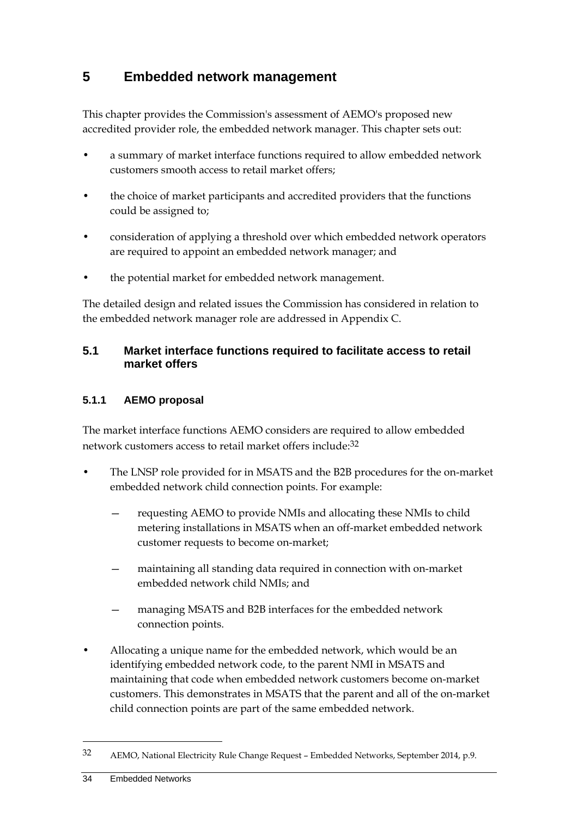# **5 Embedded network management**

This chapter provides the Commission's assessment of AEMO's proposed new accredited provider role, the embedded network manager. This chapter sets out:

- a summary of market interface functions required to allow embedded network customers smooth access to retail market offers;
- the choice of market participants and accredited providers that the functions could be assigned to;
- consideration of applying a threshold over which embedded network operators are required to appoint an embedded network manager; and
- the potential market for embedded network management.

The detailed design and related issues the Commission has considered in relation to the embedded network manager role are addressed in Appendix C.

## **5.1 Market interface functions required to facilitate access to retail market offers**

#### **5.1.1 AEMO proposal**

The market interface functions AEMO considers are required to allow embedded network customers access to retail market offers include:<sup>32</sup>

- The LNSP role provided for in MSATS and the B2B procedures for the on-market embedded network child connection points. For example:
	- requesting AEMO to provide NMIs and allocating these NMIs to child metering installations in MSATS when an off-market embedded network customer requests to become on-market;
	- maintaining all standing data required in connection with on-market embedded network child NMIs; and
	- managing MSATS and B2B interfaces for the embedded network connection points.
- Allocating a unique name for the embedded network, which would be an identifying embedded network code, to the parent NMI in MSATS and maintaining that code when embedded network customers become on-market customers. This demonstrates in MSATS that the parent and all of the on-market child connection points are part of the same embedded network.

<sup>32</sup> AEMO, National Electricity Rule Change Request – Embedded Networks, September 2014, p.9.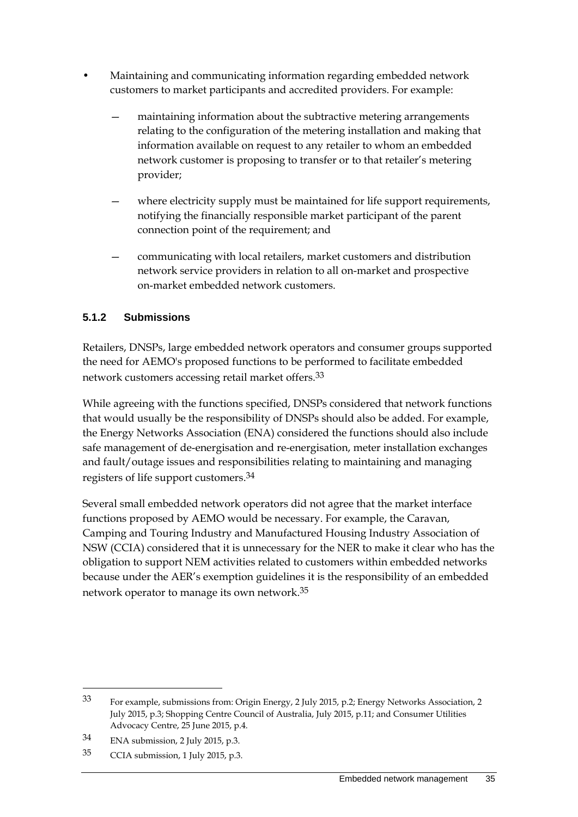- Maintaining and communicating information regarding embedded network customers to market participants and accredited providers. For example:
	- maintaining information about the subtractive metering arrangements relating to the configuration of the metering installation and making that information available on request to any retailer to whom an embedded network customer is proposing to transfer or to that retailer's metering provider;
	- where electricity supply must be maintained for life support requirements, notifying the financially responsible market participant of the parent connection point of the requirement; and
	- communicating with local retailers, market customers and distribution network service providers in relation to all on-market and prospective on-market embedded network customers.

# **5.1.2 Submissions**

Retailers, DNSPs, large embedded network operators and consumer groups supported the need for AEMO's proposed functions to be performed to facilitate embedded network customers accessing retail market offers.33

While agreeing with the functions specified, DNSPs considered that network functions that would usually be the responsibility of DNSPs should also be added. For example, the Energy Networks Association (ENA) considered the functions should also include safe management of de-energisation and re-energisation, meter installation exchanges and fault/outage issues and responsibilities relating to maintaining and managing registers of life support customers.34

Several small embedded network operators did not agree that the market interface functions proposed by AEMO would be necessary. For example, the Caravan, Camping and Touring Industry and Manufactured Housing Industry Association of NSW (CCIA) considered that it is unnecessary for the NER to make it clear who has the obligation to support NEM activities related to customers within embedded networks because under the AER's exemption guidelines it is the responsibility of an embedded network operator to manage its own network.35

<sup>33</sup> For example, submissions from: Origin Energy, 2 July 2015, p.2; Energy Networks Association, 2 July 2015, p.3; Shopping Centre Council of Australia, July 2015, p.11; and Consumer Utilities Advocacy Centre, 25 June 2015, p.4.

<sup>34</sup> ENA submission, 2 July 2015, p.3.

<sup>35</sup> CCIA submission, 1 July 2015, p.3.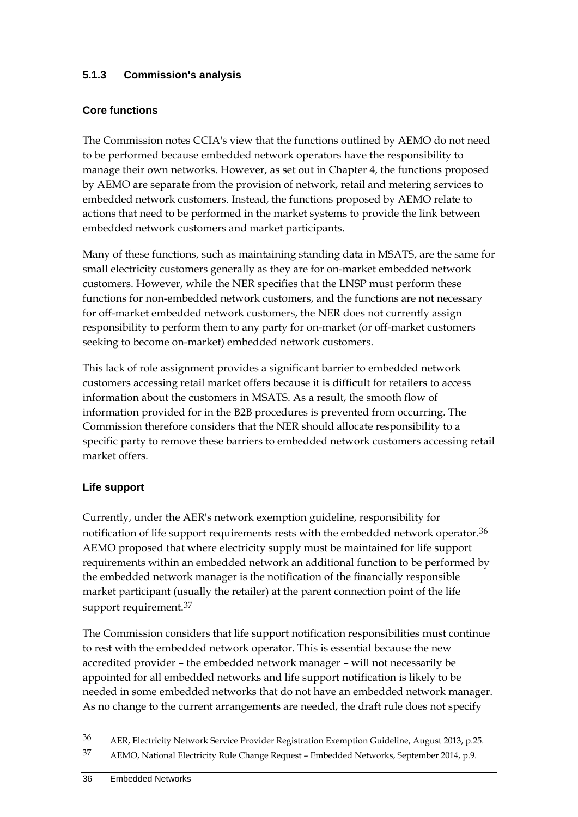## **5.1.3 Commission's analysis**

#### **Core functions**

The Commission notes CCIA's view that the functions outlined by AEMO do not need to be performed because embedded network operators have the responsibility to manage their own networks. However, as set out in Chapter 4, the functions proposed by AEMO are separate from the provision of network, retail and metering services to embedded network customers. Instead, the functions proposed by AEMO relate to actions that need to be performed in the market systems to provide the link between embedded network customers and market participants.

Many of these functions, such as maintaining standing data in MSATS, are the same for small electricity customers generally as they are for on-market embedded network customers. However, while the NER specifies that the LNSP must perform these functions for non-embedded network customers, and the functions are not necessary for off-market embedded network customers, the NER does not currently assign responsibility to perform them to any party for on-market (or off-market customers seeking to become on-market) embedded network customers.

This lack of role assignment provides a significant barrier to embedded network customers accessing retail market offers because it is difficult for retailers to access information about the customers in MSATS. As a result, the smooth flow of information provided for in the B2B procedures is prevented from occurring. The Commission therefore considers that the NER should allocate responsibility to a specific party to remove these barriers to embedded network customers accessing retail market offers.

#### **Life support**

Currently, under the AER's network exemption guideline, responsibility for notification of life support requirements rests with the embedded network operator.<sup>36</sup> AEMO proposed that where electricity supply must be maintained for life support requirements within an embedded network an additional function to be performed by the embedded network manager is the notification of the financially responsible market participant (usually the retailer) at the parent connection point of the life support requirement.<sup>37</sup>

The Commission considers that life support notification responsibilities must continue to rest with the embedded network operator. This is essential because the new accredited provider – the embedded network manager – will not necessarily be appointed for all embedded networks and life support notification is likely to be needed in some embedded networks that do not have an embedded network manager. As no change to the current arrangements are needed, the draft rule does not specify

<sup>36</sup> AER, Electricity Network Service Provider Registration Exemption Guideline, August 2013, p.25.

<sup>37</sup> AEMO, National Electricity Rule Change Request – Embedded Networks, September 2014, p.9.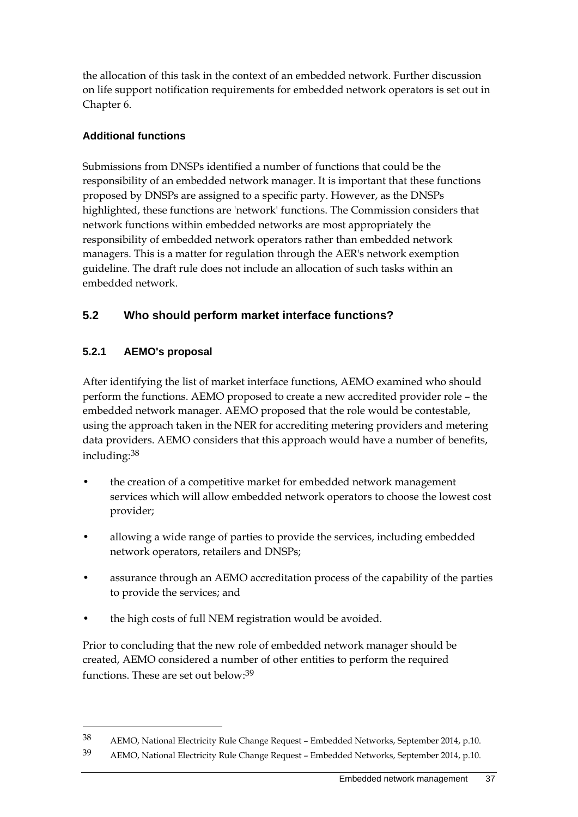the allocation of this task in the context of an embedded network. Further discussion on life support notification requirements for embedded network operators is set out in Chapter 6.

#### **Additional functions**

Submissions from DNSPs identified a number of functions that could be the responsibility of an embedded network manager. It is important that these functions proposed by DNSPs are assigned to a specific party. However, as the DNSPs highlighted, these functions are 'network' functions. The Commission considers that network functions within embedded networks are most appropriately the responsibility of embedded network operators rather than embedded network managers. This is a matter for regulation through the AER's network exemption guideline. The draft rule does not include an allocation of such tasks within an embedded network.

# **5.2 Who should perform market interface functions?**

## **5.2.1 AEMO's proposal**

1

After identifying the list of market interface functions, AEMO examined who should perform the functions. AEMO proposed to create a new accredited provider role – the embedded network manager. AEMO proposed that the role would be contestable, using the approach taken in the NER for accrediting metering providers and metering data providers. AEMO considers that this approach would have a number of benefits, including:38

- the creation of a competitive market for embedded network management services which will allow embedded network operators to choose the lowest cost provider;
- allowing a wide range of parties to provide the services, including embedded network operators, retailers and DNSPs;
- assurance through an AEMO accreditation process of the capability of the parties to provide the services; and
- the high costs of full NEM registration would be avoided.

Prior to concluding that the new role of embedded network manager should be created, AEMO considered a number of other entities to perform the required functions. These are set out below:39

<sup>38</sup> AEMO, National Electricity Rule Change Request – Embedded Networks, September 2014, p.10.

<sup>39</sup> AEMO, National Electricity Rule Change Request – Embedded Networks, September 2014, p.10.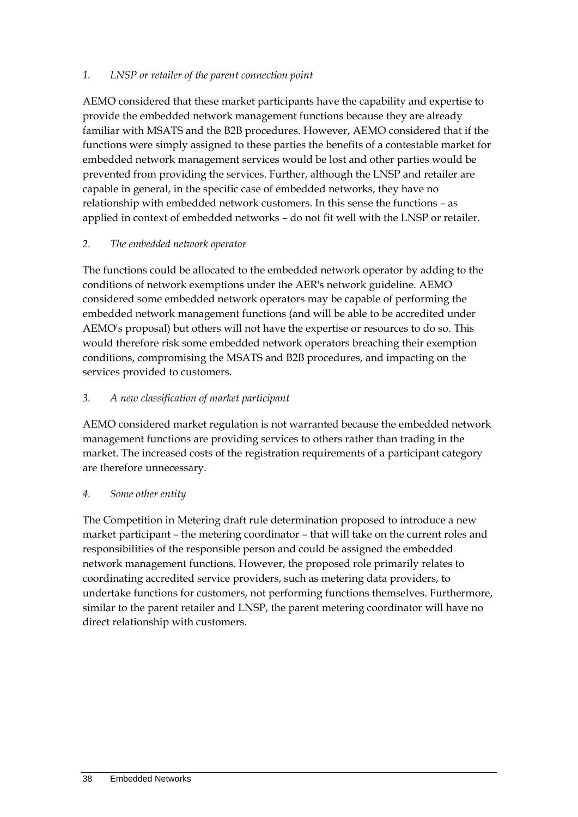#### *1. LNSP or retailer of the parent connection point*

AEMO considered that these market participants have the capability and expertise to provide the embedded network management functions because they are already familiar with MSATS and the B2B procedures. However, AEMO considered that if the functions were simply assigned to these parties the benefits of a contestable market for embedded network management services would be lost and other parties would be prevented from providing the services. Further, although the LNSP and retailer are capable in general, in the specific case of embedded networks, they have no relationship with embedded network customers. In this sense the functions – as applied in context of embedded networks – do not fit well with the LNSP or retailer.

#### *2. The embedded network operator*

The functions could be allocated to the embedded network operator by adding to the conditions of network exemptions under the AER's network guideline. AEMO considered some embedded network operators may be capable of performing the embedded network management functions (and will be able to be accredited under AEMO's proposal) but others will not have the expertise or resources to do so. This would therefore risk some embedded network operators breaching their exemption conditions, compromising the MSATS and B2B procedures, and impacting on the services provided to customers.

#### *3. A new classification of market participant*

AEMO considered market regulation is not warranted because the embedded network management functions are providing services to others rather than trading in the market. The increased costs of the registration requirements of a participant category are therefore unnecessary.

#### *4. Some other entity*

The Competition in Metering draft rule determination proposed to introduce a new market participant – the metering coordinator – that will take on the current roles and responsibilities of the responsible person and could be assigned the embedded network management functions. However, the proposed role primarily relates to coordinating accredited service providers, such as metering data providers, to undertake functions for customers, not performing functions themselves. Furthermore, similar to the parent retailer and LNSP, the parent metering coordinator will have no direct relationship with customers.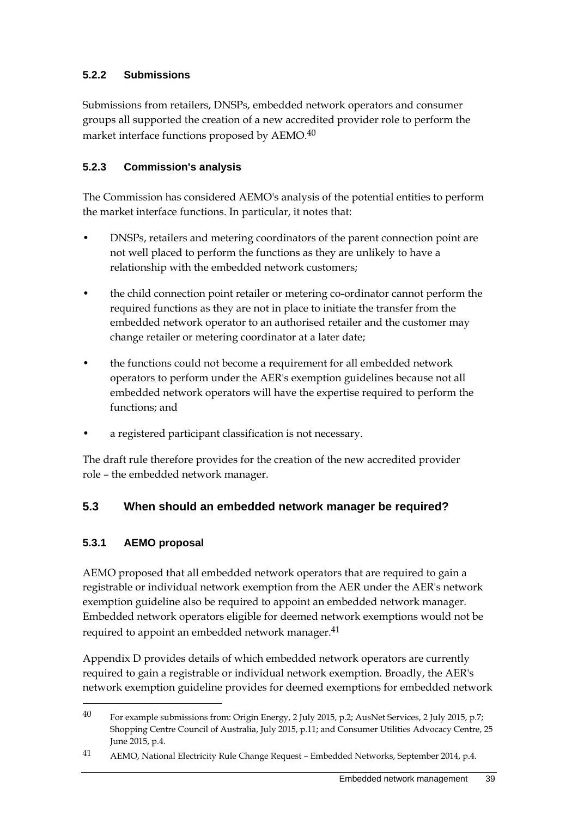# **5.2.2 Submissions**

Submissions from retailers, DNSPs, embedded network operators and consumer groups all supported the creation of a new accredited provider role to perform the market interface functions proposed by AEMO.40

# **5.2.3 Commission's analysis**

The Commission has considered AEMO's analysis of the potential entities to perform the market interface functions. In particular, it notes that:

- DNSPs, retailers and metering coordinators of the parent connection point are not well placed to perform the functions as they are unlikely to have a relationship with the embedded network customers;
- the child connection point retailer or metering co-ordinator cannot perform the required functions as they are not in place to initiate the transfer from the embedded network operator to an authorised retailer and the customer may change retailer or metering coordinator at a later date;
- the functions could not become a requirement for all embedded network operators to perform under the AER's exemption guidelines because not all embedded network operators will have the expertise required to perform the functions; and
- a registered participant classification is not necessary.

The draft rule therefore provides for the creation of the new accredited provider role – the embedded network manager.

# **5.3 When should an embedded network manager be required?**

# **5.3.1 AEMO proposal**

1

AEMO proposed that all embedded network operators that are required to gain a registrable or individual network exemption from the AER under the AER's network exemption guideline also be required to appoint an embedded network manager. Embedded network operators eligible for deemed network exemptions would not be required to appoint an embedded network manager.<sup>41</sup>

Appendix D provides details of which embedded network operators are currently required to gain a registrable or individual network exemption. Broadly, the AER's network exemption guideline provides for deemed exemptions for embedded network

<sup>40</sup> For example submissions from: Origin Energy, 2 July 2015, p.2; AusNet Services, 2 July 2015, p.7; Shopping Centre Council of Australia, July 2015, p.11; and Consumer Utilities Advocacy Centre, 25 June 2015, p.4.

<sup>41</sup> AEMO, National Electricity Rule Change Request – Embedded Networks, September 2014, p.4.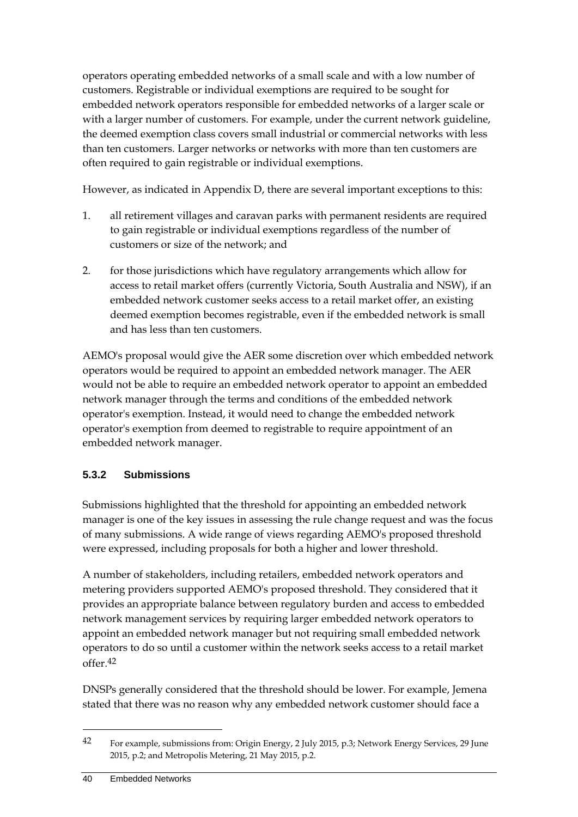operators operating embedded networks of a small scale and with a low number of customers. Registrable or individual exemptions are required to be sought for embedded network operators responsible for embedded networks of a larger scale or with a larger number of customers. For example, under the current network guideline, the deemed exemption class covers small industrial or commercial networks with less than ten customers. Larger networks or networks with more than ten customers are often required to gain registrable or individual exemptions.

However, as indicated in Appendix D, there are several important exceptions to this:

- 1. all retirement villages and caravan parks with permanent residents are required to gain registrable or individual exemptions regardless of the number of customers or size of the network; and
- 2. for those jurisdictions which have regulatory arrangements which allow for access to retail market offers (currently Victoria, South Australia and NSW), if an embedded network customer seeks access to a retail market offer, an existing deemed exemption becomes registrable, even if the embedded network is small and has less than ten customers.

AEMO's proposal would give the AER some discretion over which embedded network operators would be required to appoint an embedded network manager. The AER would not be able to require an embedded network operator to appoint an embedded network manager through the terms and conditions of the embedded network operator's exemption. Instead, it would need to change the embedded network operator's exemption from deemed to registrable to require appointment of an embedded network manager.

# **5.3.2 Submissions**

Submissions highlighted that the threshold for appointing an embedded network manager is one of the key issues in assessing the rule change request and was the focus of many submissions. A wide range of views regarding AEMO's proposed threshold were expressed, including proposals for both a higher and lower threshold.

A number of stakeholders, including retailers, embedded network operators and metering providers supported AEMO's proposed threshold. They considered that it provides an appropriate balance between regulatory burden and access to embedded network management services by requiring larger embedded network operators to appoint an embedded network manager but not requiring small embedded network operators to do so until a customer within the network seeks access to a retail market offer.42

DNSPs generally considered that the threshold should be lower. For example, Jemena stated that there was no reason why any embedded network customer should face a

<sup>42</sup> For example, submissions from: Origin Energy, 2 July 2015, p.3; Network Energy Services, 29 June 2015, p.2; and Metropolis Metering, 21 May 2015, p.2.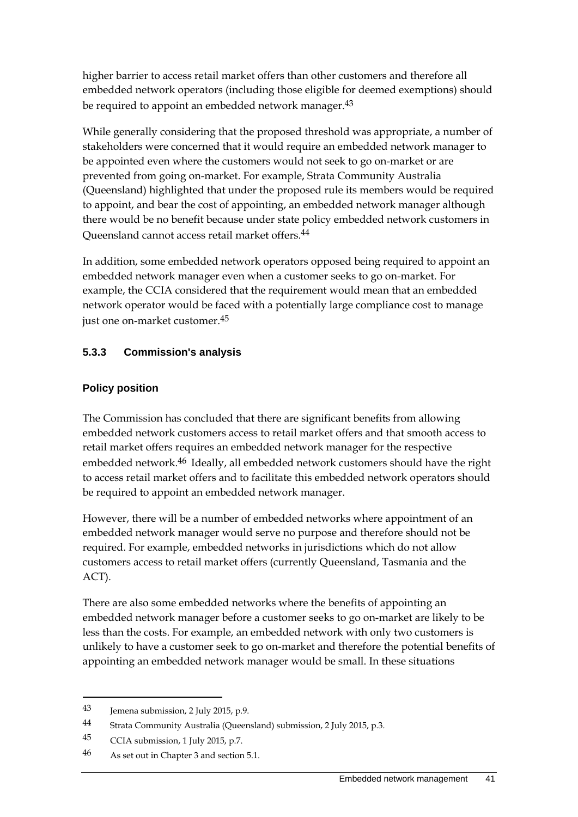higher barrier to access retail market offers than other customers and therefore all embedded network operators (including those eligible for deemed exemptions) should be required to appoint an embedded network manager.<sup>43</sup>

While generally considering that the proposed threshold was appropriate, a number of stakeholders were concerned that it would require an embedded network manager to be appointed even where the customers would not seek to go on-market or are prevented from going on-market. For example, Strata Community Australia (Queensland) highlighted that under the proposed rule its members would be required to appoint, and bear the cost of appointing, an embedded network manager although there would be no benefit because under state policy embedded network customers in Queensland cannot access retail market offers.44

In addition, some embedded network operators opposed being required to appoint an embedded network manager even when a customer seeks to go on-market. For example, the CCIA considered that the requirement would mean that an embedded network operator would be faced with a potentially large compliance cost to manage just one on-market customer.45

## **5.3.3 Commission's analysis**

## **Policy position**

The Commission has concluded that there are significant benefits from allowing embedded network customers access to retail market offers and that smooth access to retail market offers requires an embedded network manager for the respective embedded network.<sup>46</sup> Ideally, all embedded network customers should have the right to access retail market offers and to facilitate this embedded network operators should be required to appoint an embedded network manager.

However, there will be a number of embedded networks where appointment of an embedded network manager would serve no purpose and therefore should not be required. For example, embedded networks in jurisdictions which do not allow customers access to retail market offers (currently Queensland, Tasmania and the ACT).

There are also some embedded networks where the benefits of appointing an embedded network manager before a customer seeks to go on-market are likely to be less than the costs. For example, an embedded network with only two customers is unlikely to have a customer seek to go on-market and therefore the potential benefits of appointing an embedded network manager would be small. In these situations

<sup>43</sup> Jemena submission, 2 July 2015, p.9.

<sup>44</sup> Strata Community Australia (Queensland) submission, 2 July 2015, p.3.

<sup>45</sup> CCIA submission, 1 July 2015, p.7.

<sup>46</sup> As set out in Chapter 3 and section 5.1.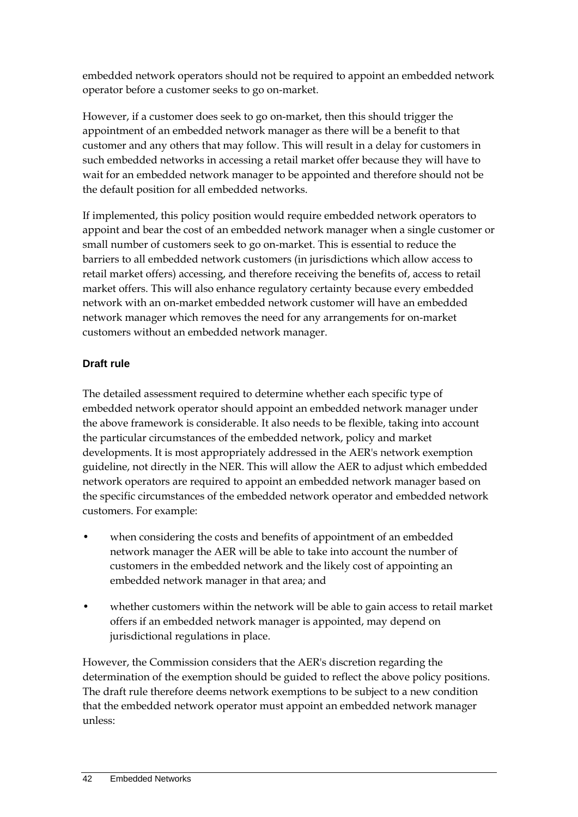embedded network operators should not be required to appoint an embedded network operator before a customer seeks to go on-market.

However, if a customer does seek to go on-market, then this should trigger the appointment of an embedded network manager as there will be a benefit to that customer and any others that may follow. This will result in a delay for customers in such embedded networks in accessing a retail market offer because they will have to wait for an embedded network manager to be appointed and therefore should not be the default position for all embedded networks.

If implemented, this policy position would require embedded network operators to appoint and bear the cost of an embedded network manager when a single customer or small number of customers seek to go on-market. This is essential to reduce the barriers to all embedded network customers (in jurisdictions which allow access to retail market offers) accessing, and therefore receiving the benefits of, access to retail market offers. This will also enhance regulatory certainty because every embedded network with an on-market embedded network customer will have an embedded network manager which removes the need for any arrangements for on-market customers without an embedded network manager.

# **Draft rule**

The detailed assessment required to determine whether each specific type of embedded network operator should appoint an embedded network manager under the above framework is considerable. It also needs to be flexible, taking into account the particular circumstances of the embedded network, policy and market developments. It is most appropriately addressed in the AER's network exemption guideline, not directly in the NER. This will allow the AER to adjust which embedded network operators are required to appoint an embedded network manager based on the specific circumstances of the embedded network operator and embedded network customers. For example:

- when considering the costs and benefits of appointment of an embedded network manager the AER will be able to take into account the number of customers in the embedded network and the likely cost of appointing an embedded network manager in that area; and
- whether customers within the network will be able to gain access to retail market offers if an embedded network manager is appointed, may depend on jurisdictional regulations in place.

However, the Commission considers that the AER's discretion regarding the determination of the exemption should be guided to reflect the above policy positions. The draft rule therefore deems network exemptions to be subject to a new condition that the embedded network operator must appoint an embedded network manager unless: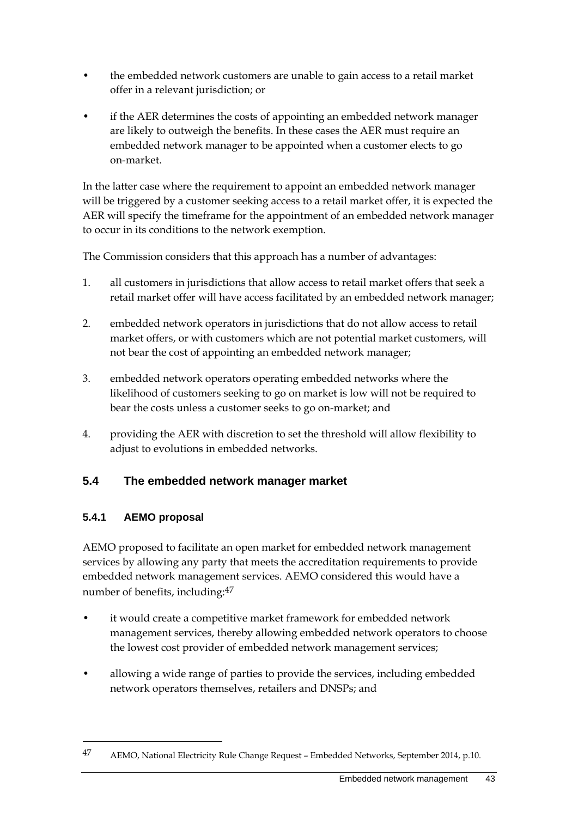- the embedded network customers are unable to gain access to a retail market offer in a relevant jurisdiction; or
- if the AER determines the costs of appointing an embedded network manager are likely to outweigh the benefits. In these cases the AER must require an embedded network manager to be appointed when a customer elects to go on-market.

In the latter case where the requirement to appoint an embedded network manager will be triggered by a customer seeking access to a retail market offer, it is expected the AER will specify the timeframe for the appointment of an embedded network manager to occur in its conditions to the network exemption.

The Commission considers that this approach has a number of advantages:

- 1. all customers in jurisdictions that allow access to retail market offers that seek a retail market offer will have access facilitated by an embedded network manager;
- 2. embedded network operators in jurisdictions that do not allow access to retail market offers, or with customers which are not potential market customers, will not bear the cost of appointing an embedded network manager;
- 3. embedded network operators operating embedded networks where the likelihood of customers seeking to go on market is low will not be required to bear the costs unless a customer seeks to go on-market; and
- 4. providing the AER with discretion to set the threshold will allow flexibility to adjust to evolutions in embedded networks.

# **5.4 The embedded network manager market**

# **5.4.1 AEMO proposal**

1

AEMO proposed to facilitate an open market for embedded network management services by allowing any party that meets the accreditation requirements to provide embedded network management services. AEMO considered this would have a number of benefits, including:47

- it would create a competitive market framework for embedded network management services, thereby allowing embedded network operators to choose the lowest cost provider of embedded network management services;
- allowing a wide range of parties to provide the services, including embedded network operators themselves, retailers and DNSPs; and

<sup>47</sup> AEMO, National Electricity Rule Change Request – Embedded Networks, September 2014, p.10.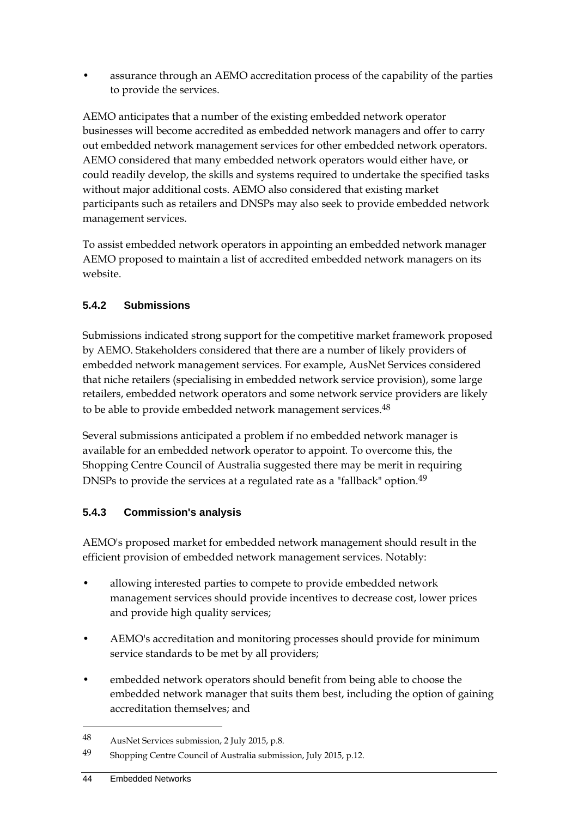• assurance through an AEMO accreditation process of the capability of the parties to provide the services.

AEMO anticipates that a number of the existing embedded network operator businesses will become accredited as embedded network managers and offer to carry out embedded network management services for other embedded network operators. AEMO considered that many embedded network operators would either have, or could readily develop, the skills and systems required to undertake the specified tasks without major additional costs. AEMO also considered that existing market participants such as retailers and DNSPs may also seek to provide embedded network management services.

To assist embedded network operators in appointing an embedded network manager AEMO proposed to maintain a list of accredited embedded network managers on its website.

# **5.4.2 Submissions**

Submissions indicated strong support for the competitive market framework proposed by AEMO. Stakeholders considered that there are a number of likely providers of embedded network management services. For example, AusNet Services considered that niche retailers (specialising in embedded network service provision), some large retailers, embedded network operators and some network service providers are likely to be able to provide embedded network management services.<sup>48</sup>

Several submissions anticipated a problem if no embedded network manager is available for an embedded network operator to appoint. To overcome this, the Shopping Centre Council of Australia suggested there may be merit in requiring DNSPs to provide the services at a regulated rate as a "fallback" option.<sup>49</sup>

# **5.4.3 Commission's analysis**

AEMO's proposed market for embedded network management should result in the efficient provision of embedded network management services. Notably:

- allowing interested parties to compete to provide embedded network management services should provide incentives to decrease cost, lower prices and provide high quality services;
- AEMO's accreditation and monitoring processes should provide for minimum service standards to be met by all providers;
- embedded network operators should benefit from being able to choose the embedded network manager that suits them best, including the option of gaining accreditation themselves; and

<sup>48</sup> AusNet Services submission, 2 July 2015, p.8.

<sup>49</sup> Shopping Centre Council of Australia submission, July 2015, p.12.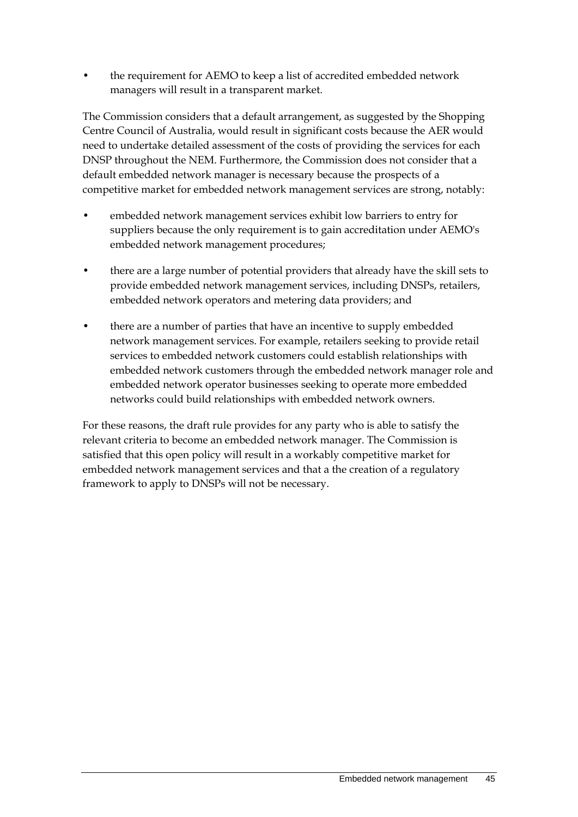• the requirement for AEMO to keep a list of accredited embedded network managers will result in a transparent market.

The Commission considers that a default arrangement, as suggested by the Shopping Centre Council of Australia, would result in significant costs because the AER would need to undertake detailed assessment of the costs of providing the services for each DNSP throughout the NEM. Furthermore, the Commission does not consider that a default embedded network manager is necessary because the prospects of a competitive market for embedded network management services are strong, notably:

- embedded network management services exhibit low barriers to entry for suppliers because the only requirement is to gain accreditation under AEMO's embedded network management procedures;
- there are a large number of potential providers that already have the skill sets to provide embedded network management services, including DNSPs, retailers, embedded network operators and metering data providers; and
- there are a number of parties that have an incentive to supply embedded network management services. For example, retailers seeking to provide retail services to embedded network customers could establish relationships with embedded network customers through the embedded network manager role and embedded network operator businesses seeking to operate more embedded networks could build relationships with embedded network owners.

For these reasons, the draft rule provides for any party who is able to satisfy the relevant criteria to become an embedded network manager. The Commission is satisfied that this open policy will result in a workably competitive market for embedded network management services and that a the creation of a regulatory framework to apply to DNSPs will not be necessary.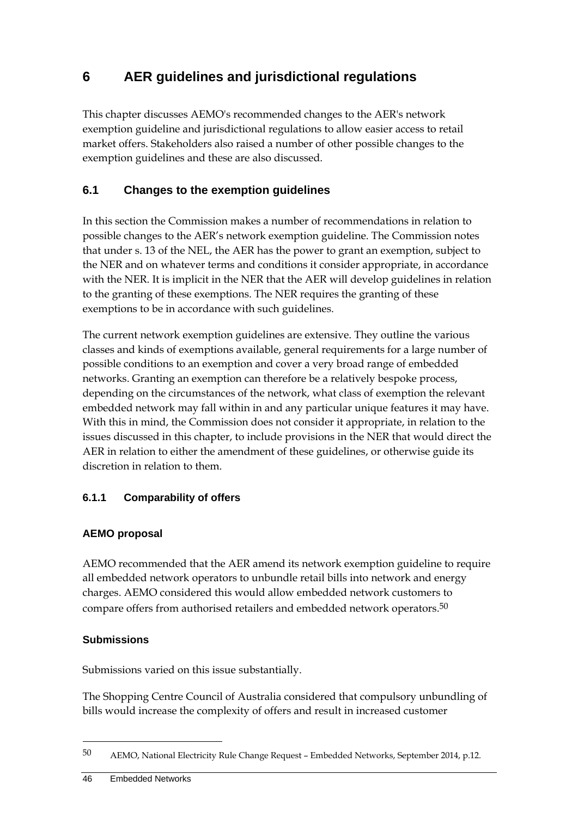# **6 AER guidelines and jurisdictional regulations**

This chapter discusses AEMO's recommended changes to the AER's network exemption guideline and jurisdictional regulations to allow easier access to retail market offers. Stakeholders also raised a number of other possible changes to the exemption guidelines and these are also discussed.

# **6.1 Changes to the exemption guidelines**

In this section the Commission makes a number of recommendations in relation to possible changes to the AER's network exemption guideline. The Commission notes that under s. 13 of the NEL, the AER has the power to grant an exemption, subject to the NER and on whatever terms and conditions it consider appropriate, in accordance with the NER. It is implicit in the NER that the AER will develop guidelines in relation to the granting of these exemptions. The NER requires the granting of these exemptions to be in accordance with such guidelines.

The current network exemption guidelines are extensive. They outline the various classes and kinds of exemptions available, general requirements for a large number of possible conditions to an exemption and cover a very broad range of embedded networks. Granting an exemption can therefore be a relatively bespoke process, depending on the circumstances of the network, what class of exemption the relevant embedded network may fall within in and any particular unique features it may have. With this in mind, the Commission does not consider it appropriate, in relation to the issues discussed in this chapter, to include provisions in the NER that would direct the AER in relation to either the amendment of these guidelines, or otherwise guide its discretion in relation to them.

## **6.1.1 Comparability of offers**

#### **AEMO proposal**

AEMO recommended that the AER amend its network exemption guideline to require all embedded network operators to unbundle retail bills into network and energy charges. AEMO considered this would allow embedded network customers to compare offers from authorised retailers and embedded network operators.50

#### **Submissions**

1

Submissions varied on this issue substantially.

The Shopping Centre Council of Australia considered that compulsory unbundling of bills would increase the complexity of offers and result in increased customer

<sup>50</sup> AEMO, National Electricity Rule Change Request – Embedded Networks, September 2014, p.12.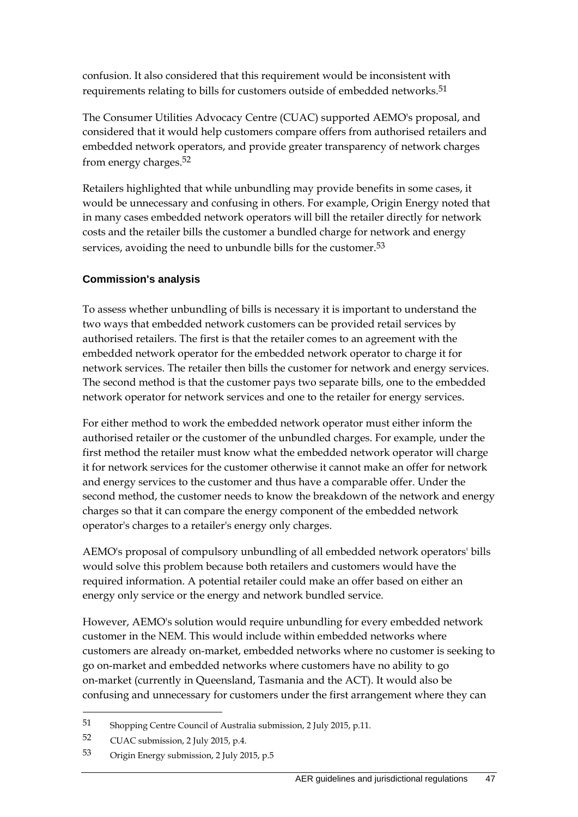confusion. It also considered that this requirement would be inconsistent with requirements relating to bills for customers outside of embedded networks.<sup>51</sup>

The Consumer Utilities Advocacy Centre (CUAC) supported AEMO's proposal, and considered that it would help customers compare offers from authorised retailers and embedded network operators, and provide greater transparency of network charges from energy charges.52

Retailers highlighted that while unbundling may provide benefits in some cases, it would be unnecessary and confusing in others. For example, Origin Energy noted that in many cases embedded network operators will bill the retailer directly for network costs and the retailer bills the customer a bundled charge for network and energy services, avoiding the need to unbundle bills for the customer.<sup>53</sup>

## **Commission's analysis**

To assess whether unbundling of bills is necessary it is important to understand the two ways that embedded network customers can be provided retail services by authorised retailers. The first is that the retailer comes to an agreement with the embedded network operator for the embedded network operator to charge it for network services. The retailer then bills the customer for network and energy services. The second method is that the customer pays two separate bills, one to the embedded network operator for network services and one to the retailer for energy services.

For either method to work the embedded network operator must either inform the authorised retailer or the customer of the unbundled charges. For example, under the first method the retailer must know what the embedded network operator will charge it for network services for the customer otherwise it cannot make an offer for network and energy services to the customer and thus have a comparable offer. Under the second method, the customer needs to know the breakdown of the network and energy charges so that it can compare the energy component of the embedded network operator's charges to a retailer's energy only charges.

AEMO's proposal of compulsory unbundling of all embedded network operators' bills would solve this problem because both retailers and customers would have the required information. A potential retailer could make an offer based on either an energy only service or the energy and network bundled service.

However, AEMO's solution would require unbundling for every embedded network customer in the NEM. This would include within embedded networks where customers are already on-market, embedded networks where no customer is seeking to go on-market and embedded networks where customers have no ability to go on-market (currently in Queensland, Tasmania and the ACT). It would also be confusing and unnecessary for customers under the first arrangement where they can

<u>.</u>

<sup>51</sup> Shopping Centre Council of Australia submission, 2 July 2015, p.11.

<sup>52</sup> CUAC submission, 2 July 2015, p.4.

<sup>53</sup> Origin Energy submission, 2 July 2015, p.5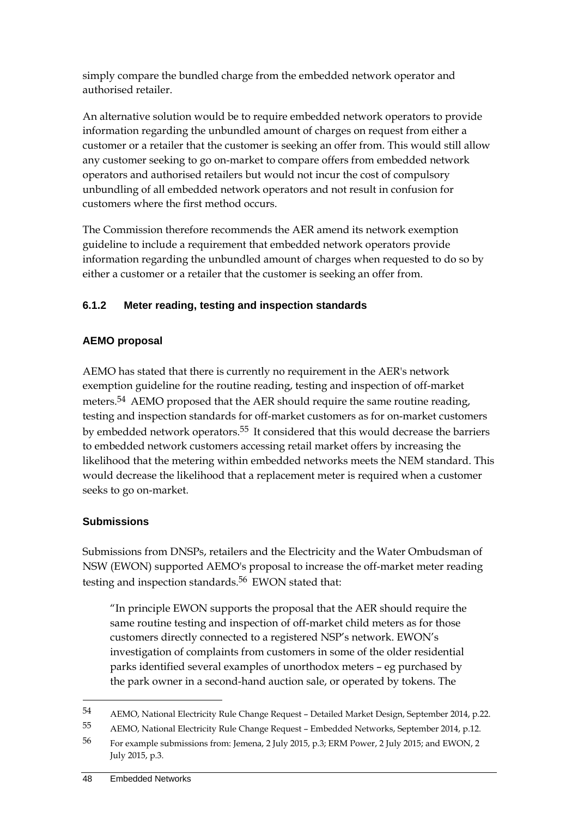simply compare the bundled charge from the embedded network operator and authorised retailer.

An alternative solution would be to require embedded network operators to provide information regarding the unbundled amount of charges on request from either a customer or a retailer that the customer is seeking an offer from. This would still allow any customer seeking to go on-market to compare offers from embedded network operators and authorised retailers but would not incur the cost of compulsory unbundling of all embedded network operators and not result in confusion for customers where the first method occurs.

The Commission therefore recommends the AER amend its network exemption guideline to include a requirement that embedded network operators provide information regarding the unbundled amount of charges when requested to do so by either a customer or a retailer that the customer is seeking an offer from.

# **6.1.2 Meter reading, testing and inspection standards**

## **AEMO proposal**

AEMO has stated that there is currently no requirement in the AER's network exemption guideline for the routine reading, testing and inspection of off-market meters.<sup>54</sup> AEMO proposed that the AER should require the same routine reading, testing and inspection standards for off-market customers as for on-market customers by embedded network operators.55 It considered that this would decrease the barriers to embedded network customers accessing retail market offers by increasing the likelihood that the metering within embedded networks meets the NEM standard. This would decrease the likelihood that a replacement meter is required when a customer seeks to go on-market.

## **Submissions**

1

Submissions from DNSPs, retailers and the Electricity and the Water Ombudsman of NSW (EWON) supported AEMO's proposal to increase the off-market meter reading testing and inspection standards.<sup>56</sup> EWON stated that:

"In principle EWON supports the proposal that the AER should require the same routine testing and inspection of off-market child meters as for those customers directly connected to a registered NSP's network. EWON's investigation of complaints from customers in some of the older residential parks identified several examples of unorthodox meters – eg purchased by the park owner in a second-hand auction sale, or operated by tokens. The

<sup>54</sup> AEMO, National Electricity Rule Change Request – Detailed Market Design, September 2014, p.22.

<sup>55</sup> AEMO, National Electricity Rule Change Request – Embedded Networks, September 2014, p.12.

<sup>56</sup> For example submissions from: Jemena, 2 July 2015, p.3; ERM Power, 2 July 2015; and EWON, 2 July 2015, p.3.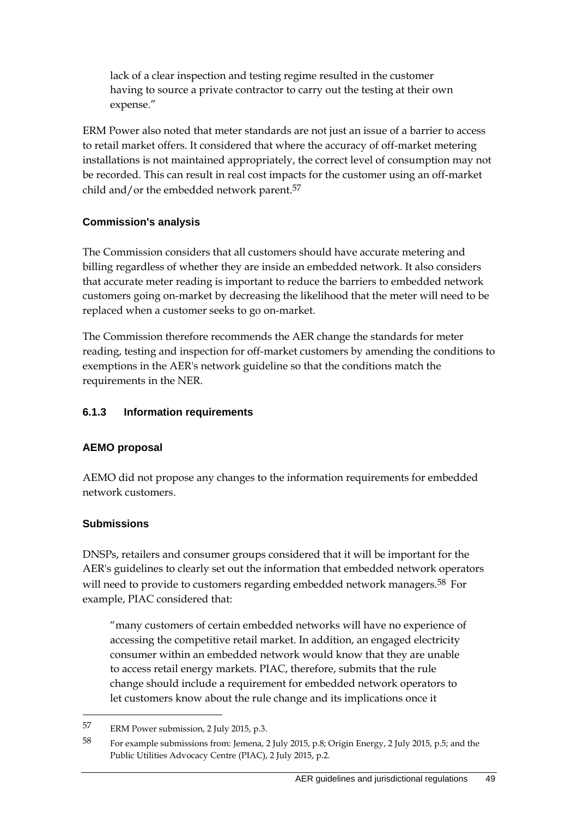lack of a clear inspection and testing regime resulted in the customer having to source a private contractor to carry out the testing at their own expense."

ERM Power also noted that meter standards are not just an issue of a barrier to access to retail market offers. It considered that where the accuracy of off-market metering installations is not maintained appropriately, the correct level of consumption may not be recorded. This can result in real cost impacts for the customer using an off-market child and/or the embedded network parent.<sup>57</sup>

#### **Commission's analysis**

The Commission considers that all customers should have accurate metering and billing regardless of whether they are inside an embedded network. It also considers that accurate meter reading is important to reduce the barriers to embedded network customers going on-market by decreasing the likelihood that the meter will need to be replaced when a customer seeks to go on-market.

The Commission therefore recommends the AER change the standards for meter reading, testing and inspection for off-market customers by amending the conditions to exemptions in the AER's network guideline so that the conditions match the requirements in the NER.

#### **6.1.3 Information requirements**

## **AEMO proposal**

AEMO did not propose any changes to the information requirements for embedded network customers.

#### **Submissions**

<u>.</u>

DNSPs, retailers and consumer groups considered that it will be important for the AER's guidelines to clearly set out the information that embedded network operators will need to provide to customers regarding embedded network managers.<sup>58</sup> For example, PIAC considered that:

"many customers of certain embedded networks will have no experience of accessing the competitive retail market. In addition, an engaged electricity consumer within an embedded network would know that they are unable to access retail energy markets. PIAC, therefore, submits that the rule change should include a requirement for embedded network operators to let customers know about the rule change and its implications once it

<sup>57</sup> ERM Power submission, 2 July 2015, p.3.

<sup>58</sup> For example submissions from: Jemena, 2 July 2015, p.8; Origin Energy, 2 July 2015, p.5; and the Public Utilities Advocacy Centre (PIAC), 2 July 2015, p.2.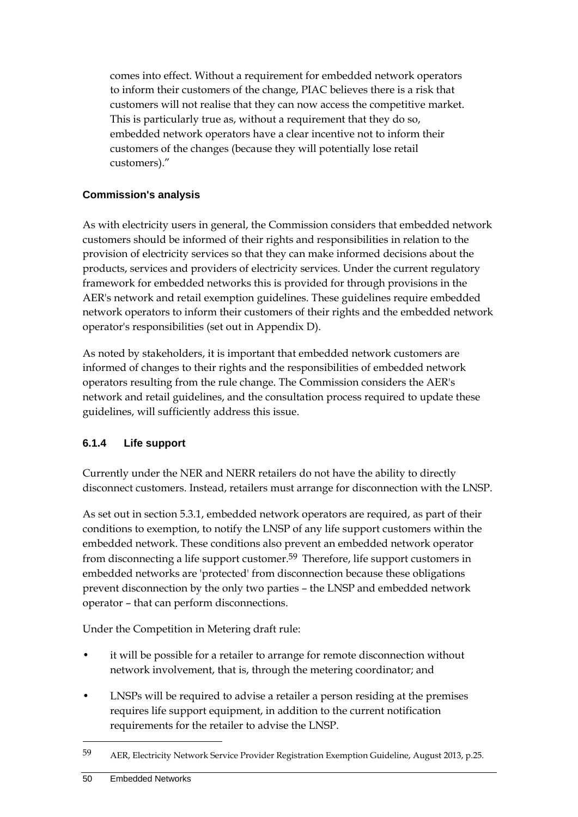comes into effect. Without a requirement for embedded network operators to inform their customers of the change, PIAC believes there is a risk that customers will not realise that they can now access the competitive market. This is particularly true as, without a requirement that they do so, embedded network operators have a clear incentive not to inform their customers of the changes (because they will potentially lose retail customers)."

## **Commission's analysis**

As with electricity users in general, the Commission considers that embedded network customers should be informed of their rights and responsibilities in relation to the provision of electricity services so that they can make informed decisions about the products, services and providers of electricity services. Under the current regulatory framework for embedded networks this is provided for through provisions in the AER's network and retail exemption guidelines. These guidelines require embedded network operators to inform their customers of their rights and the embedded network operator's responsibilities (set out in Appendix D).

As noted by stakeholders, it is important that embedded network customers are informed of changes to their rights and the responsibilities of embedded network operators resulting from the rule change. The Commission considers the AER's network and retail guidelines, and the consultation process required to update these guidelines, will sufficiently address this issue.

## **6.1.4 Life support**

Currently under the NER and NERR retailers do not have the ability to directly disconnect customers. Instead, retailers must arrange for disconnection with the LNSP.

As set out in section 5.3.1, embedded network operators are required, as part of their conditions to exemption, to notify the LNSP of any life support customers within the embedded network. These conditions also prevent an embedded network operator from disconnecting a life support customer.59 Therefore, life support customers in embedded networks are 'protected' from disconnection because these obligations prevent disconnection by the only two parties – the LNSP and embedded network operator – that can perform disconnections.

Under the Competition in Metering draft rule:

- it will be possible for a retailer to arrange for remote disconnection without network involvement, that is, through the metering coordinator; and
- LNSPs will be required to advise a retailer a person residing at the premises requires life support equipment, in addition to the current notification requirements for the retailer to advise the LNSP.

<sup>59</sup> AER, Electricity Network Service Provider Registration Exemption Guideline, August 2013, p.25.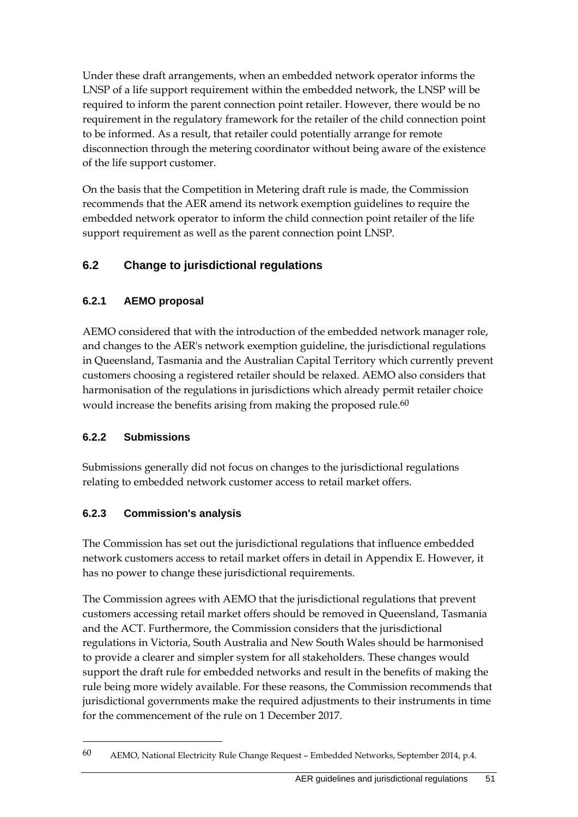Under these draft arrangements, when an embedded network operator informs the LNSP of a life support requirement within the embedded network, the LNSP will be required to inform the parent connection point retailer. However, there would be no requirement in the regulatory framework for the retailer of the child connection point to be informed. As a result, that retailer could potentially arrange for remote disconnection through the metering coordinator without being aware of the existence of the life support customer.

On the basis that the Competition in Metering draft rule is made, the Commission recommends that the AER amend its network exemption guidelines to require the embedded network operator to inform the child connection point retailer of the life support requirement as well as the parent connection point LNSP.

# **6.2 Change to jurisdictional regulations**

## **6.2.1 AEMO proposal**

AEMO considered that with the introduction of the embedded network manager role, and changes to the AER's network exemption guideline, the jurisdictional regulations in Queensland, Tasmania and the Australian Capital Territory which currently prevent customers choosing a registered retailer should be relaxed. AEMO also considers that harmonisation of the regulations in jurisdictions which already permit retailer choice would increase the benefits arising from making the proposed rule.<sup>60</sup>

## **6.2.2 Submissions**

1

Submissions generally did not focus on changes to the jurisdictional regulations relating to embedded network customer access to retail market offers.

## **6.2.3 Commission's analysis**

The Commission has set out the jurisdictional regulations that influence embedded network customers access to retail market offers in detail in Appendix E. However, it has no power to change these jurisdictional requirements.

The Commission agrees with AEMO that the jurisdictional regulations that prevent customers accessing retail market offers should be removed in Queensland, Tasmania and the ACT. Furthermore, the Commission considers that the jurisdictional regulations in Victoria, South Australia and New South Wales should be harmonised to provide a clearer and simpler system for all stakeholders. These changes would support the draft rule for embedded networks and result in the benefits of making the rule being more widely available. For these reasons, the Commission recommends that jurisdictional governments make the required adjustments to their instruments in time for the commencement of the rule on 1 December 2017.

<sup>60</sup> AEMO, National Electricity Rule Change Request – Embedded Networks, September 2014, p.4.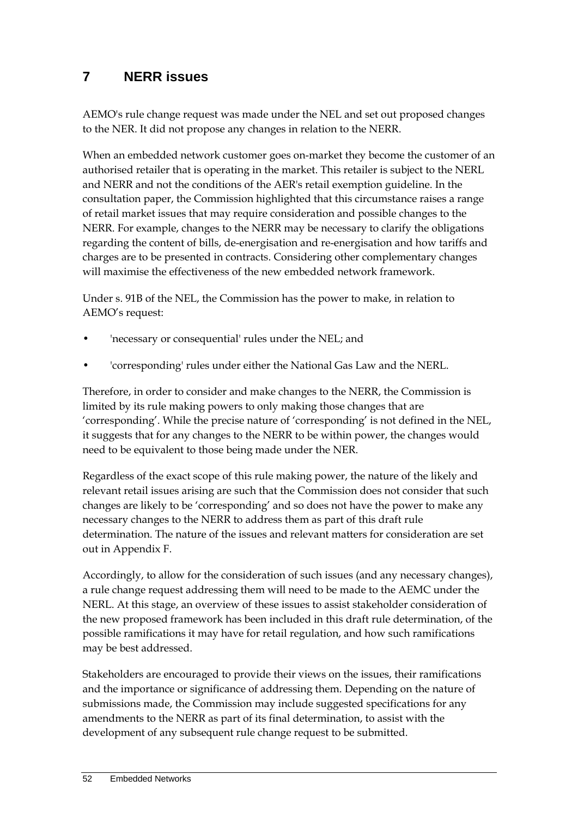# **7 NERR issues**

AEMO's rule change request was made under the NEL and set out proposed changes to the NER. It did not propose any changes in relation to the NERR.

When an embedded network customer goes on-market they become the customer of an authorised retailer that is operating in the market. This retailer is subject to the NERL and NERR and not the conditions of the AER's retail exemption guideline. In the consultation paper, the Commission highlighted that this circumstance raises a range of retail market issues that may require consideration and possible changes to the NERR. For example, changes to the NERR may be necessary to clarify the obligations regarding the content of bills, de-energisation and re-energisation and how tariffs and charges are to be presented in contracts. Considering other complementary changes will maximise the effectiveness of the new embedded network framework.

Under s. 91B of the NEL, the Commission has the power to make, in relation to AEMO's request:

- 'necessary or consequential' rules under the NEL; and
- 'corresponding' rules under either the National Gas Law and the NERL.

Therefore, in order to consider and make changes to the NERR, the Commission is limited by its rule making powers to only making those changes that are 'corresponding'. While the precise nature of 'corresponding' is not defined in the NEL, it suggests that for any changes to the NERR to be within power, the changes would need to be equivalent to those being made under the NER.

Regardless of the exact scope of this rule making power, the nature of the likely and relevant retail issues arising are such that the Commission does not consider that such changes are likely to be 'corresponding' and so does not have the power to make any necessary changes to the NERR to address them as part of this draft rule determination. The nature of the issues and relevant matters for consideration are set out in Appendix F.

Accordingly, to allow for the consideration of such issues (and any necessary changes), a rule change request addressing them will need to be made to the AEMC under the NERL. At this stage, an overview of these issues to assist stakeholder consideration of the new proposed framework has been included in this draft rule determination, of the possible ramifications it may have for retail regulation, and how such ramifications may be best addressed.

Stakeholders are encouraged to provide their views on the issues, their ramifications and the importance or significance of addressing them. Depending on the nature of submissions made, the Commission may include suggested specifications for any amendments to the NERR as part of its final determination, to assist with the development of any subsequent rule change request to be submitted.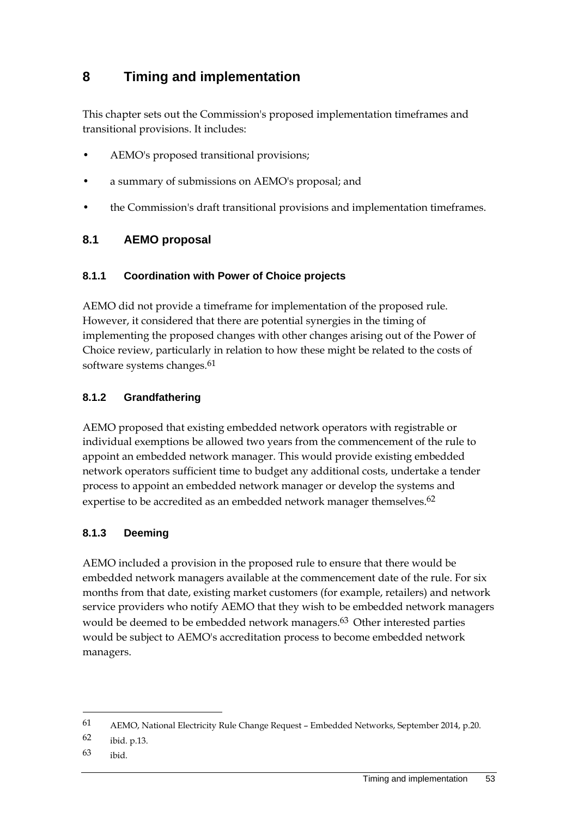# **8 Timing and implementation**

This chapter sets out the Commission's proposed implementation timeframes and transitional provisions. It includes:

- AEMO's proposed transitional provisions;
- a summary of submissions on AEMO's proposal; and
- the Commission's draft transitional provisions and implementation timeframes.

# **8.1 AEMO proposal**

## **8.1.1 Coordination with Power of Choice projects**

AEMO did not provide a timeframe for implementation of the proposed rule. However, it considered that there are potential synergies in the timing of implementing the proposed changes with other changes arising out of the Power of Choice review, particularly in relation to how these might be related to the costs of software systems changes.<sup>61</sup>

## **8.1.2 Grandfathering**

AEMO proposed that existing embedded network operators with registrable or individual exemptions be allowed two years from the commencement of the rule to appoint an embedded network manager. This would provide existing embedded network operators sufficient time to budget any additional costs, undertake a tender process to appoint an embedded network manager or develop the systems and expertise to be accredited as an embedded network manager themselves.<sup>62</sup>

## **8.1.3 Deeming**

AEMO included a provision in the proposed rule to ensure that there would be embedded network managers available at the commencement date of the rule. For six months from that date, existing market customers (for example, retailers) and network service providers who notify AEMO that they wish to be embedded network managers would be deemed to be embedded network managers.<sup>63</sup> Other interested parties would be subject to AEMO's accreditation process to become embedded network managers.

<u>.</u>

<sup>61</sup> AEMO, National Electricity Rule Change Request – Embedded Networks, September 2014, p.20.

<sup>62</sup> ibid. p.13.

<sup>63</sup> ibid.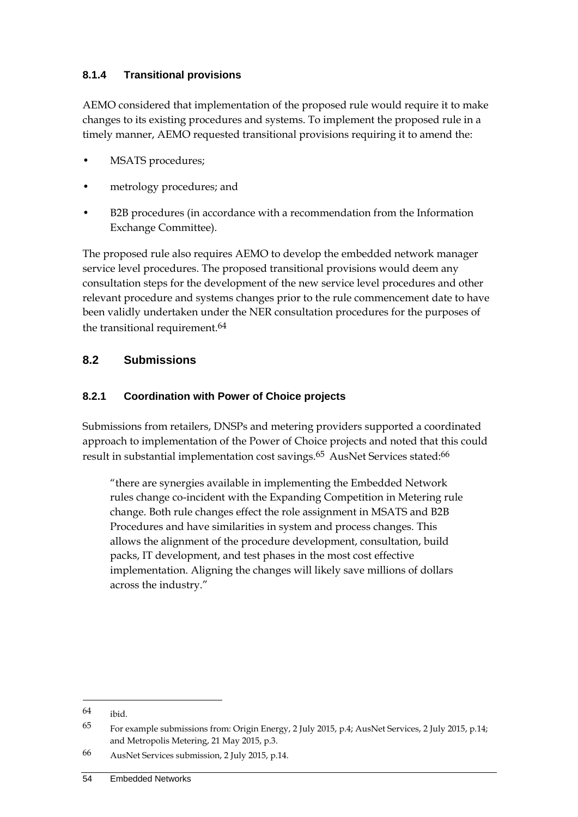## **8.1.4 Transitional provisions**

AEMO considered that implementation of the proposed rule would require it to make changes to its existing procedures and systems. To implement the proposed rule in a timely manner, AEMO requested transitional provisions requiring it to amend the:

- MSATS procedures;
- metrology procedures; and
- B2B procedures (in accordance with a recommendation from the Information Exchange Committee).

The proposed rule also requires AEMO to develop the embedded network manager service level procedures. The proposed transitional provisions would deem any consultation steps for the development of the new service level procedures and other relevant procedure and systems changes prior to the rule commencement date to have been validly undertaken under the NER consultation procedures for the purposes of the transitional requirement.<sup>64</sup>

## **8.2 Submissions**

## **8.2.1 Coordination with Power of Choice projects**

Submissions from retailers, DNSPs and metering providers supported a coordinated approach to implementation of the Power of Choice projects and noted that this could result in substantial implementation cost savings.<sup>65</sup> AusNet Services stated:<sup>66</sup>

"there are synergies available in implementing the Embedded Network rules change co-incident with the Expanding Competition in Metering rule change. Both rule changes effect the role assignment in MSATS and B2B Procedures and have similarities in system and process changes. This allows the alignment of the procedure development, consultation, build packs, IT development, and test phases in the most cost effective implementation. Aligning the changes will likely save millions of dollars across the industry."

<sup>64</sup> ibid.

<sup>65</sup> For example submissions from: Origin Energy, 2 July 2015, p.4; AusNet Services, 2 July 2015, p.14; and Metropolis Metering, 21 May 2015, p.3.

<sup>66</sup> AusNet Services submission, 2 July 2015, p.14.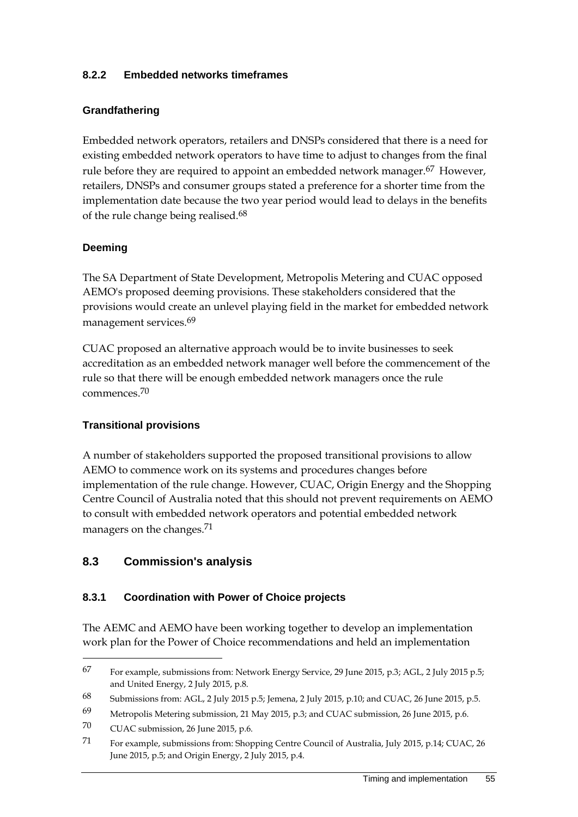#### **8.2.2 Embedded networks timeframes**

#### **Grandfathering**

Embedded network operators, retailers and DNSPs considered that there is a need for existing embedded network operators to have time to adjust to changes from the final rule before they are required to appoint an embedded network manager.<sup>67</sup> However, retailers, DNSPs and consumer groups stated a preference for a shorter time from the implementation date because the two year period would lead to delays in the benefits of the rule change being realised.68

#### **Deeming**

The SA Department of State Development, Metropolis Metering and CUAC opposed AEMO's proposed deeming provisions. These stakeholders considered that the provisions would create an unlevel playing field in the market for embedded network management services.<sup>69</sup>

CUAC proposed an alternative approach would be to invite businesses to seek accreditation as an embedded network manager well before the commencement of the rule so that there will be enough embedded network managers once the rule commences.70

#### **Transitional provisions**

A number of stakeholders supported the proposed transitional provisions to allow AEMO to commence work on its systems and procedures changes before implementation of the rule change. However, CUAC, Origin Energy and the Shopping Centre Council of Australia noted that this should not prevent requirements on AEMO to consult with embedded network operators and potential embedded network managers on the changes.71

## **8.3 Commission's analysis**

#### **8.3.1 Coordination with Power of Choice projects**

The AEMC and AEMO have been working together to develop an implementation work plan for the Power of Choice recommendations and held an implementation

<sup>67</sup> For example, submissions from: Network Energy Service, 29 June 2015, p.3; AGL, 2 July 2015 p.5; and United Energy, 2 July 2015, p.8.

<sup>68</sup> Submissions from: AGL, 2 July 2015 p.5; Jemena, 2 July 2015, p.10; and CUAC, 26 June 2015, p.5.

<sup>69</sup> Metropolis Metering submission, 21 May 2015, p.3; and CUAC submission, 26 June 2015, p.6.

<sup>70</sup> CUAC submission, 26 June 2015, p.6.

<sup>71</sup> For example, submissions from: Shopping Centre Council of Australia, July 2015, p.14; CUAC, 26 June 2015, p.5; and Origin Energy, 2 July 2015, p.4.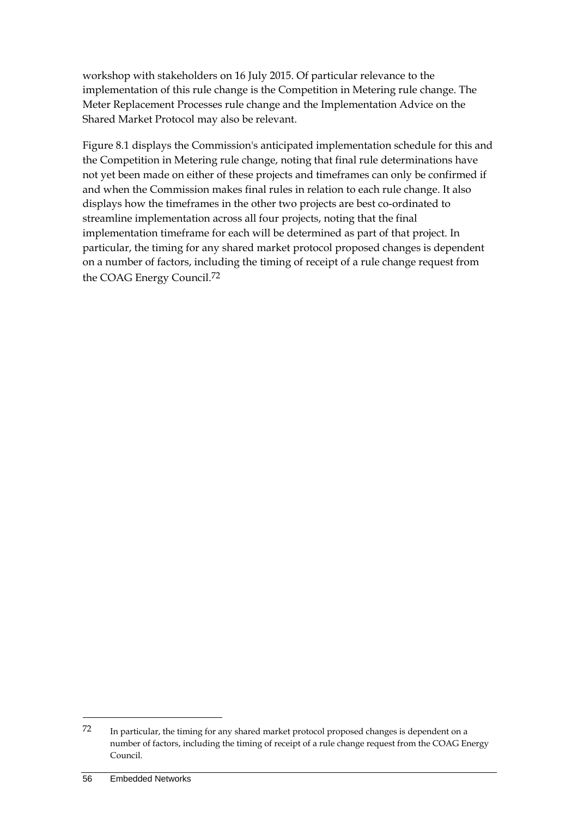workshop with stakeholders on 16 July 2015. Of particular relevance to the implementation of this rule change is the Competition in Metering rule change. The Meter Replacement Processes rule change and the Implementation Advice on the Shared Market Protocol may also be relevant.

Figure 8.1 displays the Commission's anticipated implementation schedule for this and the Competition in Metering rule change, noting that final rule determinations have not yet been made on either of these projects and timeframes can only be confirmed if and when the Commission makes final rules in relation to each rule change. It also displays how the timeframes in the other two projects are best co-ordinated to streamline implementation across all four projects, noting that the final implementation timeframe for each will be determined as part of that project. In particular, the timing for any shared market protocol proposed changes is dependent on a number of factors, including the timing of receipt of a rule change request from the COAG Energy Council.72

<u>.</u>

<sup>72</sup> In particular, the timing for any shared market protocol proposed changes is dependent on a number of factors, including the timing of receipt of a rule change request from the COAG Energy Council.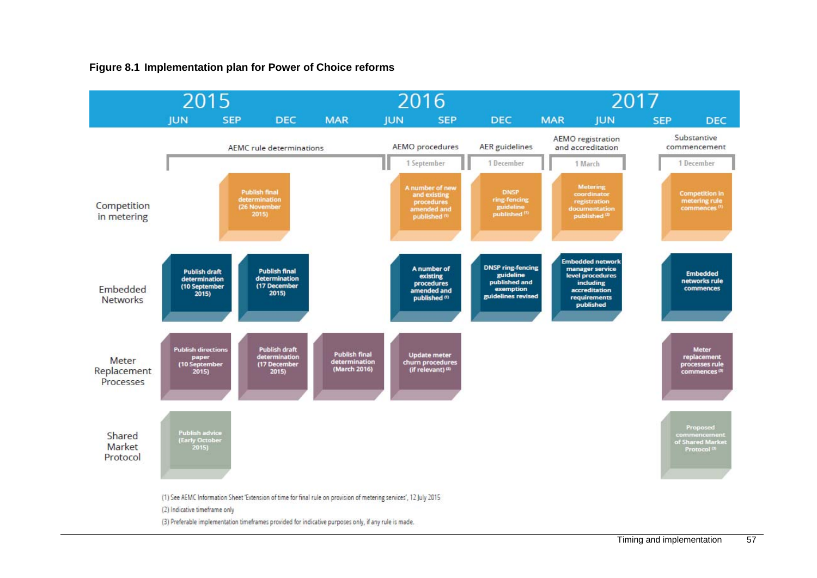#### **Figure 8.1 Implementation plan for Power of Choice reforms**

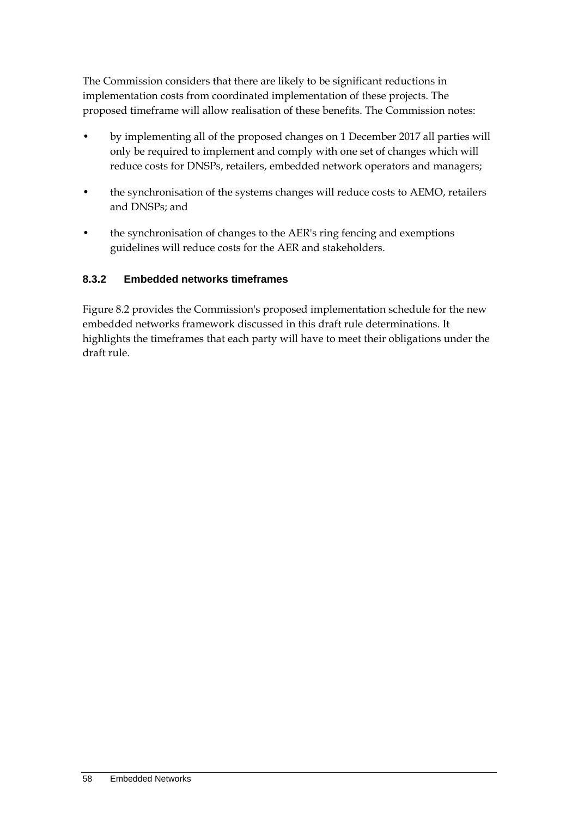The Commission considers that there are likely to be significant reductions in implementation costs from coordinated implementation of these projects. The proposed timeframe will allow realisation of these benefits. The Commission notes:

- by implementing all of the proposed changes on 1 December 2017 all parties will only be required to implement and comply with one set of changes which will reduce costs for DNSPs, retailers, embedded network operators and managers;
- the synchronisation of the systems changes will reduce costs to AEMO, retailers and DNSPs; and
- the synchronisation of changes to the AER's ring fencing and exemptions guidelines will reduce costs for the AER and stakeholders.

## **8.3.2 Embedded networks timeframes**

Figure 8.2 provides the Commission's proposed implementation schedule for the new embedded networks framework discussed in this draft rule determinations. It highlights the timeframes that each party will have to meet their obligations under the draft rule.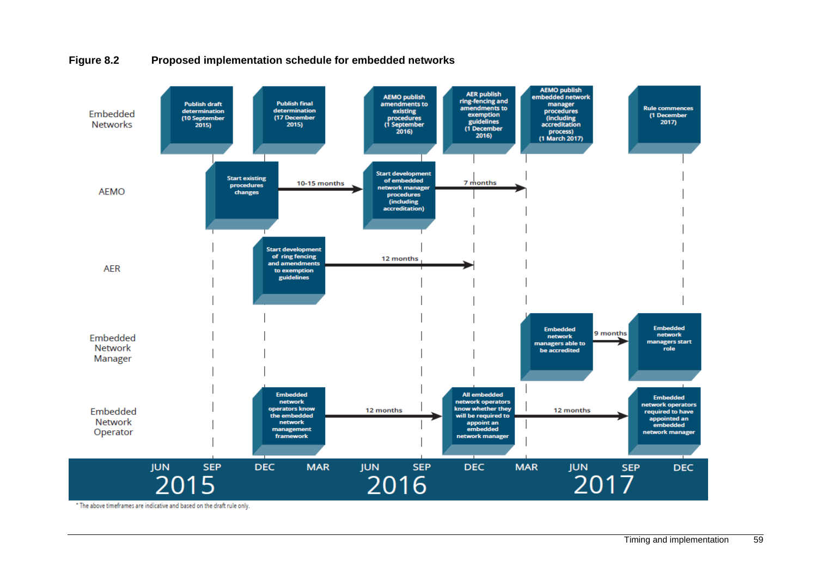

#### **Figure 8.2 Proposed implementation schedule for embedded networks**

\* The above timeframes are indicative and based on the draft rule only.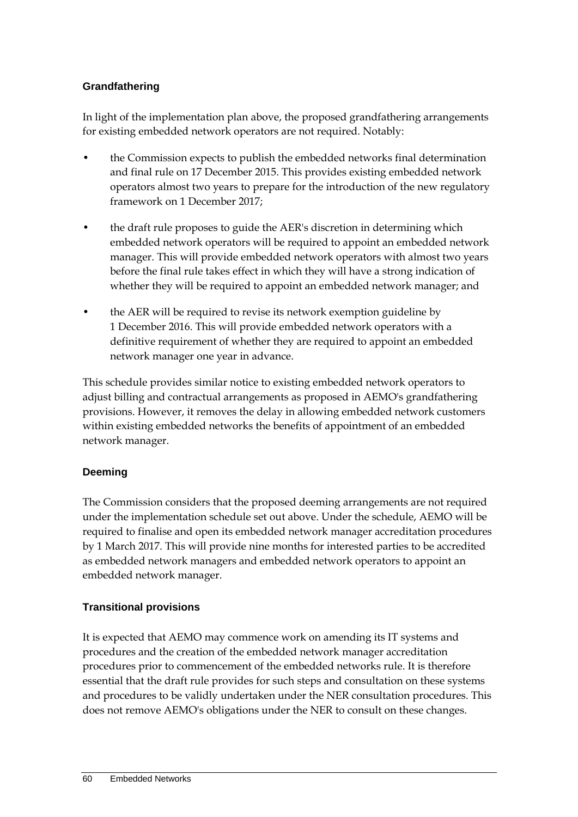## **Grandfathering**

In light of the implementation plan above, the proposed grandfathering arrangements for existing embedded network operators are not required. Notably:

- the Commission expects to publish the embedded networks final determination and final rule on 17 December 2015. This provides existing embedded network operators almost two years to prepare for the introduction of the new regulatory framework on 1 December 2017;
- the draft rule proposes to guide the AER's discretion in determining which embedded network operators will be required to appoint an embedded network manager. This will provide embedded network operators with almost two years before the final rule takes effect in which they will have a strong indication of whether they will be required to appoint an embedded network manager; and
- the AER will be required to revise its network exemption guideline by 1 December 2016. This will provide embedded network operators with a definitive requirement of whether they are required to appoint an embedded network manager one year in advance.

This schedule provides similar notice to existing embedded network operators to adjust billing and contractual arrangements as proposed in AEMO's grandfathering provisions. However, it removes the delay in allowing embedded network customers within existing embedded networks the benefits of appointment of an embedded network manager.

## **Deeming**

The Commission considers that the proposed deeming arrangements are not required under the implementation schedule set out above. Under the schedule, AEMO will be required to finalise and open its embedded network manager accreditation procedures by 1 March 2017. This will provide nine months for interested parties to be accredited as embedded network managers and embedded network operators to appoint an embedded network manager.

## **Transitional provisions**

It is expected that AEMO may commence work on amending its IT systems and procedures and the creation of the embedded network manager accreditation procedures prior to commencement of the embedded networks rule. It is therefore essential that the draft rule provides for such steps and consultation on these systems and procedures to be validly undertaken under the NER consultation procedures. This does not remove AEMO's obligations under the NER to consult on these changes.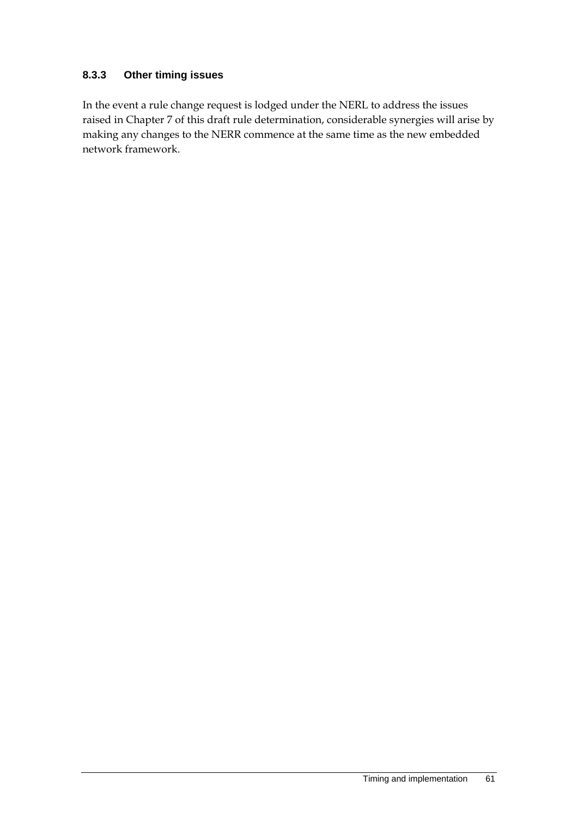#### **8.3.3 Other timing issues**

In the event a rule change request is lodged under the NERL to address the issues raised in Chapter 7 of this draft rule determination, considerable synergies will arise by making any changes to the NERR commence at the same time as the new embedded network framework.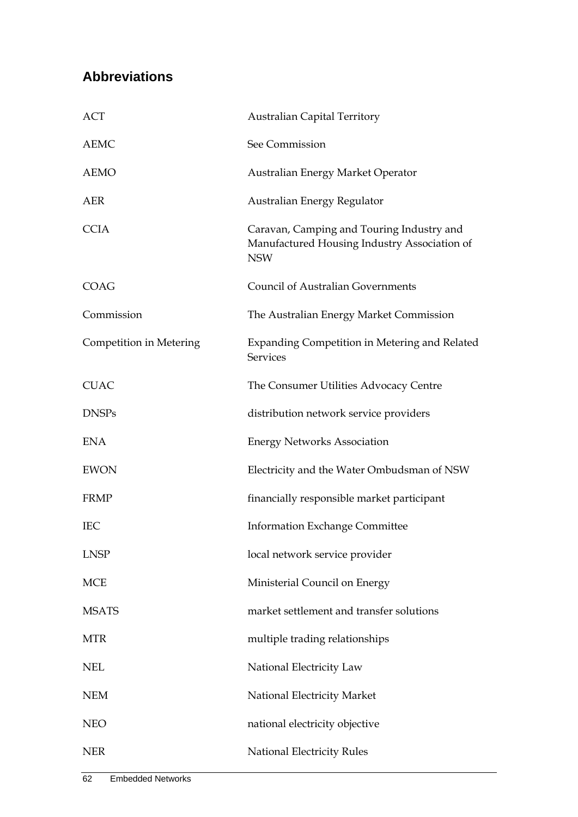# **Abbreviations**

| <b>ACT</b>              | <b>Australian Capital Territory</b>                                                                     |
|-------------------------|---------------------------------------------------------------------------------------------------------|
| <b>AEMC</b>             | See Commission                                                                                          |
| <b>AEMO</b>             | Australian Energy Market Operator                                                                       |
| AER                     | Australian Energy Regulator                                                                             |
| <b>CCIA</b>             | Caravan, Camping and Touring Industry and<br>Manufactured Housing Industry Association of<br><b>NSW</b> |
| <b>COAG</b>             | <b>Council of Australian Governments</b>                                                                |
| Commission              | The Australian Energy Market Commission                                                                 |
| Competition in Metering | Expanding Competition in Metering and Related<br><b>Services</b>                                        |
| <b>CUAC</b>             | The Consumer Utilities Advocacy Centre                                                                  |
| <b>DNSPs</b>            | distribution network service providers                                                                  |
| <b>ENA</b>              | <b>Energy Networks Association</b>                                                                      |
| <b>EWON</b>             | Electricity and the Water Ombudsman of NSW                                                              |
| <b>FRMP</b>             | financially responsible market participant                                                              |
| <b>IEC</b>              | <b>Information Exchange Committee</b>                                                                   |
| <b>LNSP</b>             | local network service provider                                                                          |
| <b>MCE</b>              | Ministerial Council on Energy                                                                           |
| <b>MSATS</b>            | market settlement and transfer solutions                                                                |
| <b>MTR</b>              | multiple trading relationships                                                                          |
| <b>NEL</b>              | National Electricity Law                                                                                |
| <b>NEM</b>              | National Electricity Market                                                                             |
| <b>NEO</b>              | national electricity objective                                                                          |
| <b>NER</b>              | National Electricity Rules                                                                              |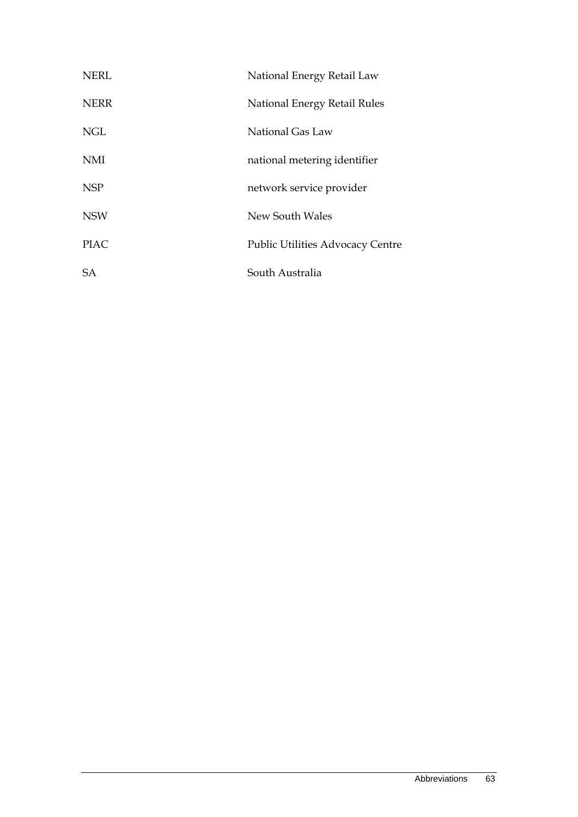| <b>NERL</b> | National Energy Retail Law              |
|-------------|-----------------------------------------|
| <b>NERR</b> | National Energy Retail Rules            |
| <b>NGL</b>  | National Gas Law                        |
| <b>NMI</b>  | national metering identifier            |
| <b>NSP</b>  | network service provider                |
| <b>NSW</b>  | New South Wales                         |
| <b>PIAC</b> | <b>Public Utilities Advocacy Centre</b> |
| SA          | South Australia                         |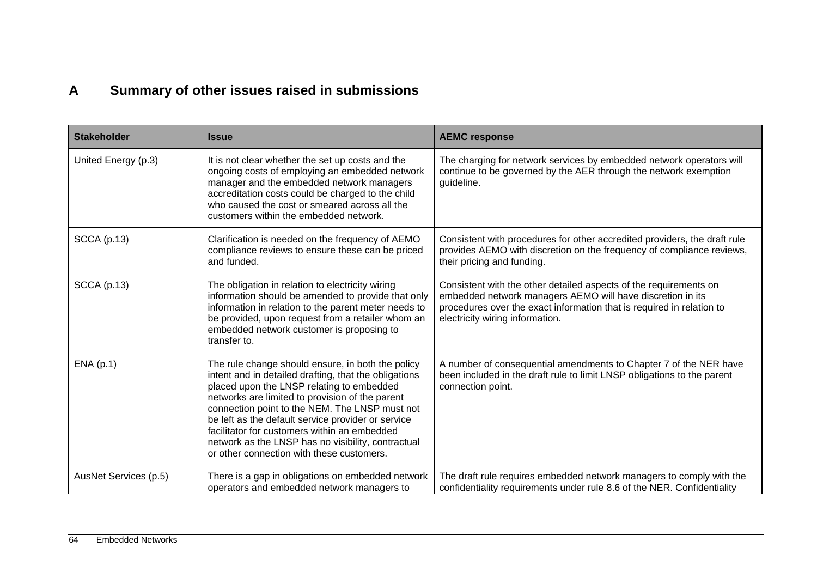# **A Summary of other issues raised in submissions**

| <b>Stakeholder</b>    | <b>Issue</b>                                                                                                                                                                                                                                                                                                                                                                                                                                                          | <b>AEMC response</b>                                                                                                                                                                                                                        |
|-----------------------|-----------------------------------------------------------------------------------------------------------------------------------------------------------------------------------------------------------------------------------------------------------------------------------------------------------------------------------------------------------------------------------------------------------------------------------------------------------------------|---------------------------------------------------------------------------------------------------------------------------------------------------------------------------------------------------------------------------------------------|
| United Energy (p.3)   | It is not clear whether the set up costs and the<br>ongoing costs of employing an embedded network<br>manager and the embedded network managers<br>accreditation costs could be charged to the child<br>who caused the cost or smeared across all the<br>customers within the embedded network.                                                                                                                                                                       | The charging for network services by embedded network operators will<br>continue to be governed by the AER through the network exemption<br>guideline.                                                                                      |
| <b>SCCA</b> (p.13)    | Clarification is needed on the frequency of AEMO<br>compliance reviews to ensure these can be priced<br>and funded.                                                                                                                                                                                                                                                                                                                                                   | Consistent with procedures for other accredited providers, the draft rule<br>provides AEMO with discretion on the frequency of compliance reviews,<br>their pricing and funding.                                                            |
| <b>SCCA</b> (p.13)    | The obligation in relation to electricity wiring<br>information should be amended to provide that only<br>information in relation to the parent meter needs to<br>be provided, upon request from a retailer whom an<br>embedded network customer is proposing to<br>transfer to.                                                                                                                                                                                      | Consistent with the other detailed aspects of the requirements on<br>embedded network managers AEMO will have discretion in its<br>procedures over the exact information that is required in relation to<br>electricity wiring information. |
| ENA(p.1)              | The rule change should ensure, in both the policy<br>intent and in detailed drafting, that the obligations<br>placed upon the LNSP relating to embedded<br>networks are limited to provision of the parent<br>connection point to the NEM. The LNSP must not<br>be left as the default service provider or service<br>facilitator for customers within an embedded<br>network as the LNSP has no visibility, contractual<br>or other connection with these customers. | A number of consequential amendments to Chapter 7 of the NER have<br>been included in the draft rule to limit LNSP obligations to the parent<br>connection point.                                                                           |
| AusNet Services (p.5) | There is a gap in obligations on embedded network<br>operators and embedded network managers to                                                                                                                                                                                                                                                                                                                                                                       | The draft rule requires embedded network managers to comply with the<br>confidentiality requirements under rule 8.6 of the NER. Confidentiality                                                                                             |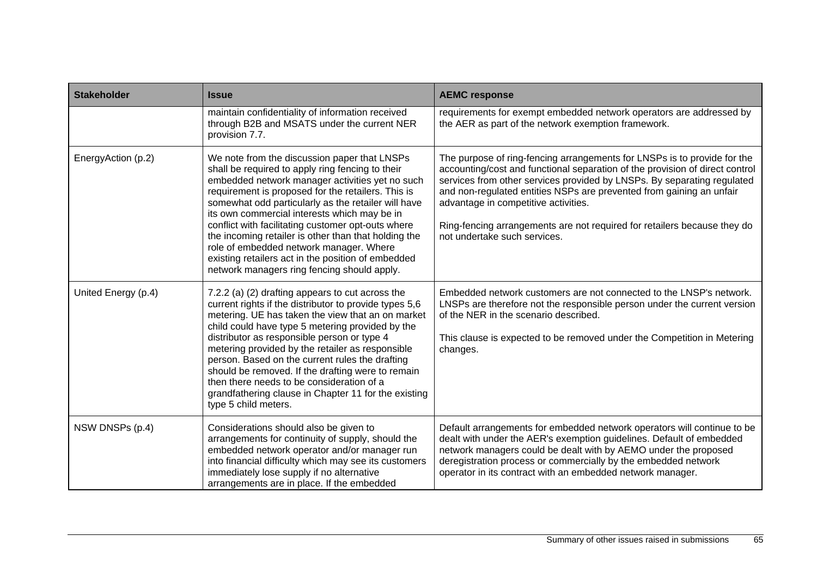| <b>Stakeholder</b>  | <b>Issue</b>                                                                                                                                                                                                                                                                                                                                                                                                                                                                                                                                                                   | <b>AEMC response</b>                                                                                                                                                                                                                                                                                                                                                                                                                                            |  |
|---------------------|--------------------------------------------------------------------------------------------------------------------------------------------------------------------------------------------------------------------------------------------------------------------------------------------------------------------------------------------------------------------------------------------------------------------------------------------------------------------------------------------------------------------------------------------------------------------------------|-----------------------------------------------------------------------------------------------------------------------------------------------------------------------------------------------------------------------------------------------------------------------------------------------------------------------------------------------------------------------------------------------------------------------------------------------------------------|--|
|                     | maintain confidentiality of information received<br>through B2B and MSATS under the current NER<br>provision 7.7.                                                                                                                                                                                                                                                                                                                                                                                                                                                              | requirements for exempt embedded network operators are addressed by<br>the AER as part of the network exemption framework.                                                                                                                                                                                                                                                                                                                                      |  |
| EnergyAction (p.2)  | We note from the discussion paper that LNSPs<br>shall be required to apply ring fencing to their<br>embedded network manager activities yet no such<br>requirement is proposed for the retailers. This is<br>somewhat odd particularly as the retailer will have<br>its own commercial interests which may be in<br>conflict with facilitating customer opt-outs where<br>the incoming retailer is other than that holding the<br>role of embedded network manager. Where<br>existing retailers act in the position of embedded<br>network managers ring fencing should apply. | The purpose of ring-fencing arrangements for LNSPs is to provide for the<br>accounting/cost and functional separation of the provision of direct control<br>services from other services provided by LNSPs. By separating regulated<br>and non-regulated entities NSPs are prevented from gaining an unfair<br>advantage in competitive activities.<br>Ring-fencing arrangements are not required for retailers because they do<br>not undertake such services. |  |
| United Energy (p.4) | 7.2.2 (a) (2) drafting appears to cut across the<br>current rights if the distributor to provide types 5,6<br>metering. UE has taken the view that an on market<br>child could have type 5 metering provided by the<br>distributor as responsible person or type 4<br>metering provided by the retailer as responsible<br>person. Based on the current rules the drafting<br>should be removed. If the drafting were to remain<br>then there needs to be consideration of a<br>grandfathering clause in Chapter 11 for the existing<br>type 5 child meters.                    | Embedded network customers are not connected to the LNSP's network.<br>LNSPs are therefore not the responsible person under the current version<br>of the NER in the scenario described.<br>This clause is expected to be removed under the Competition in Metering<br>changes.                                                                                                                                                                                 |  |
| NSW DNSPs (p.4)     | Considerations should also be given to<br>arrangements for continuity of supply, should the<br>embedded network operator and/or manager run<br>into financial difficulty which may see its customers<br>immediately lose supply if no alternative<br>arrangements are in place. If the embedded                                                                                                                                                                                                                                                                                | Default arrangements for embedded network operators will continue to be<br>dealt with under the AER's exemption guidelines. Default of embedded<br>network managers could be dealt with by AEMO under the proposed<br>deregistration process or commercially by the embedded network<br>operator in its contract with an embedded network manager.                                                                                                              |  |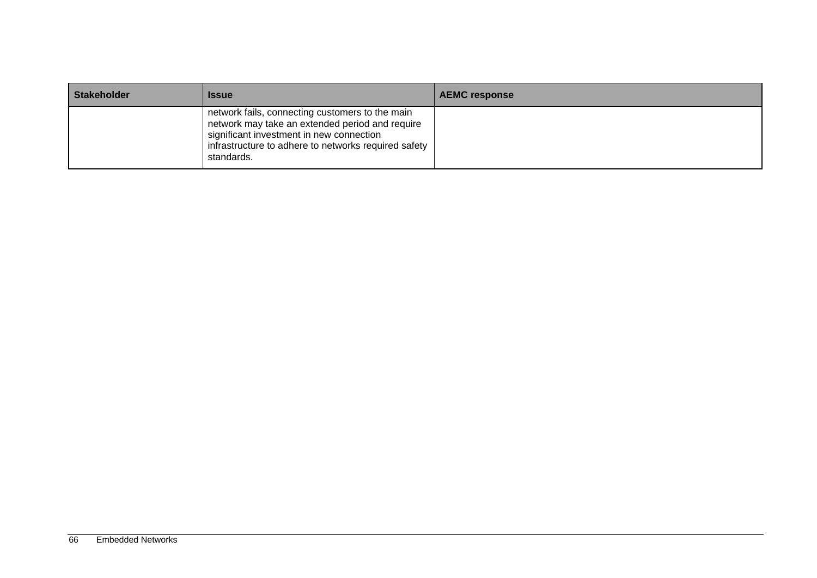| <b>Stakeholder</b> | <b>Issue</b>                                                                                                                                                                                                         | <b>AEMC response</b> |
|--------------------|----------------------------------------------------------------------------------------------------------------------------------------------------------------------------------------------------------------------|----------------------|
|                    | network fails, connecting customers to the main<br>network may take an extended period and require<br>significant investment in new connection<br>infrastructure to adhere to networks required safety<br>standards. |                      |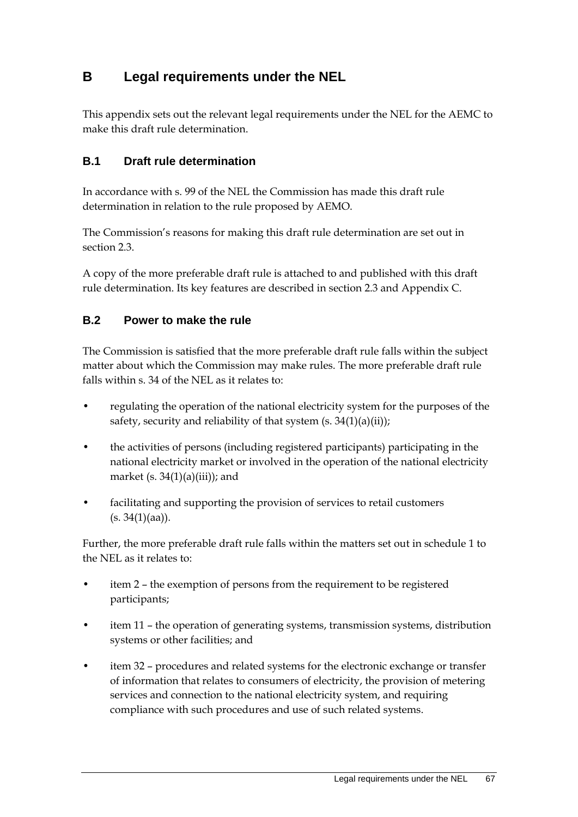# **B Legal requirements under the NEL**

This appendix sets out the relevant legal requirements under the NEL for the AEMC to make this draft rule determination.

## **B.1 Draft rule determination**

In accordance with s. 99 of the NEL the Commission has made this draft rule determination in relation to the rule proposed by AEMO.

The Commission's reasons for making this draft rule determination are set out in section 2.3.

A copy of the more preferable draft rule is attached to and published with this draft rule determination. Its key features are described in section 2.3 and Appendix C.

### **B.2 Power to make the rule**

The Commission is satisfied that the more preferable draft rule falls within the subject matter about which the Commission may make rules. The more preferable draft rule falls within s. 34 of the NEL as it relates to:

- regulating the operation of the national electricity system for the purposes of the safety, security and reliability of that system  $(s. 34(1)(a)(ii))$ ;
- the activities of persons (including registered participants) participating in the national electricity market or involved in the operation of the national electricity market  $(s. 34(1)(a)(iii))$ ; and
- facilitating and supporting the provision of services to retail customers  $(s. 34(1)(aa)).$

Further, the more preferable draft rule falls within the matters set out in schedule 1 to the NEL as it relates to:

- item 2 the exemption of persons from the requirement to be registered participants;
- item 11 the operation of generating systems, transmission systems, distribution systems or other facilities; and
- item 32 procedures and related systems for the electronic exchange or transfer of information that relates to consumers of electricity, the provision of metering services and connection to the national electricity system, and requiring compliance with such procedures and use of such related systems.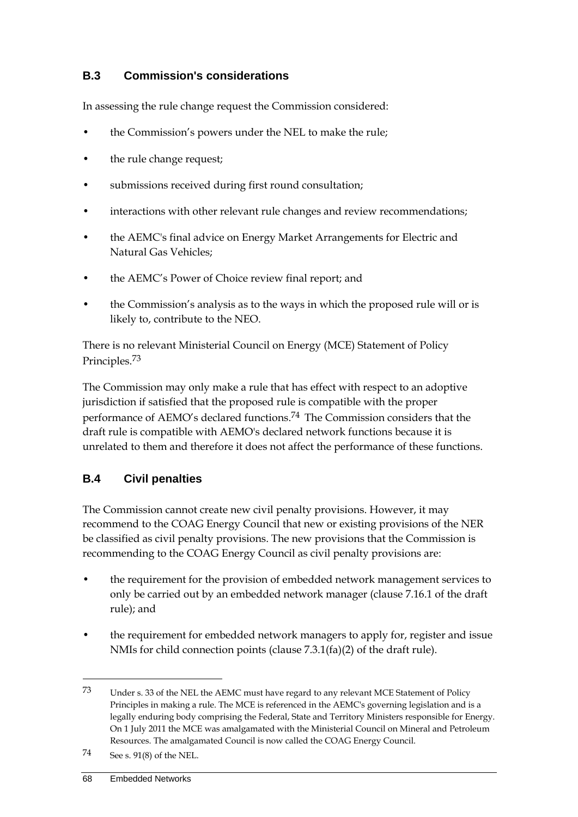# **B.3 Commission's considerations**

In assessing the rule change request the Commission considered:

- the Commission's powers under the NEL to make the rule;
- the rule change request;
- submissions received during first round consultation;
- interactions with other relevant rule changes and review recommendations;
- the AEMC's final advice on Energy Market Arrangements for Electric and Natural Gas Vehicles;
- the AEMC's Power of Choice review final report; and
- the Commission's analysis as to the ways in which the proposed rule will or is likely to, contribute to the NEO.

There is no relevant Ministerial Council on Energy (MCE) Statement of Policy Principles.73

The Commission may only make a rule that has effect with respect to an adoptive jurisdiction if satisfied that the proposed rule is compatible with the proper performance of AEMO's declared functions.74 The Commission considers that the draft rule is compatible with AEMO's declared network functions because it is unrelated to them and therefore it does not affect the performance of these functions.

# **B.4 Civil penalties**

The Commission cannot create new civil penalty provisions. However, it may recommend to the COAG Energy Council that new or existing provisions of the NER be classified as civil penalty provisions. The new provisions that the Commission is recommending to the COAG Energy Council as civil penalty provisions are:

- the requirement for the provision of embedded network management services to only be carried out by an embedded network manager (clause 7.16.1 of the draft rule); and
- the requirement for embedded network managers to apply for, register and issue NMIs for child connection points (clause 7.3.1(fa)(2) of the draft rule).

<sup>73</sup> Under s. 33 of the NEL the AEMC must have regard to any relevant MCE Statement of Policy Principles in making a rule. The MCE is referenced in the AEMC's governing legislation and is a legally enduring body comprising the Federal, State and Territory Ministers responsible for Energy. On 1 July 2011 the MCE was amalgamated with the Ministerial Council on Mineral and Petroleum Resources. The amalgamated Council is now called the COAG Energy Council.

<sup>74</sup> See s. 91(8) of the NEL.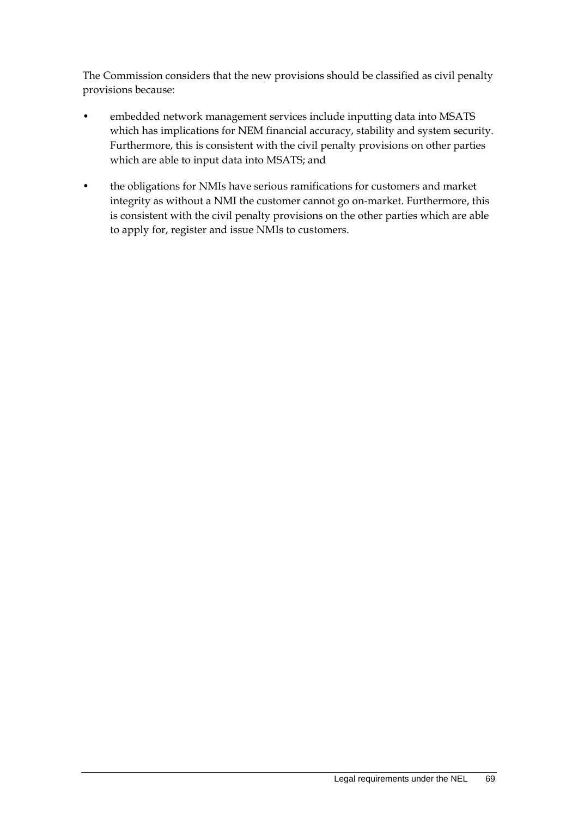The Commission considers that the new provisions should be classified as civil penalty provisions because:

- embedded network management services include inputting data into MSATS which has implications for NEM financial accuracy, stability and system security. Furthermore, this is consistent with the civil penalty provisions on other parties which are able to input data into MSATS; and
- the obligations for NMIs have serious ramifications for customers and market integrity as without a NMI the customer cannot go on-market. Furthermore, this is consistent with the civil penalty provisions on the other parties which are able to apply for, register and issue NMIs to customers.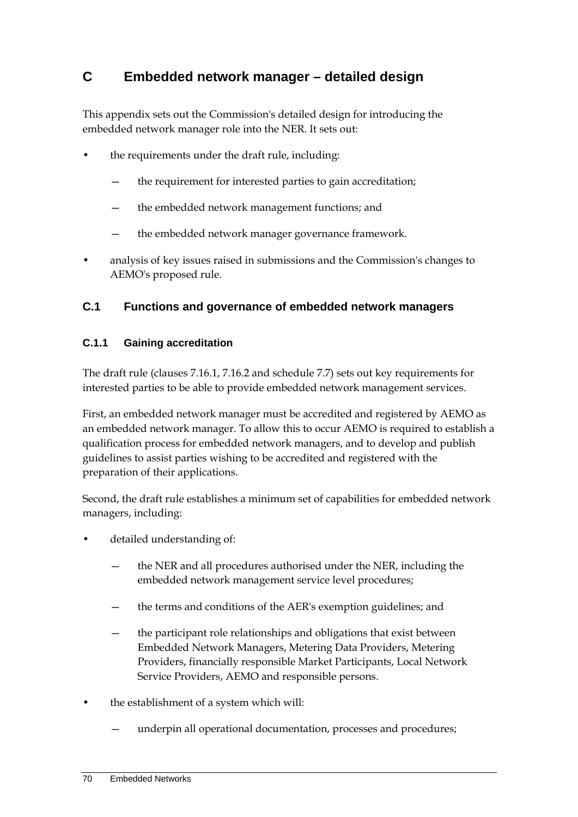# **C Embedded network manager – detailed design**

This appendix sets out the Commission's detailed design for introducing the embedded network manager role into the NER. It sets out:

- the requirements under the draft rule, including:
	- the requirement for interested parties to gain accreditation;
	- the embedded network management functions; and
	- the embedded network manager governance framework.
- analysis of key issues raised in submissions and the Commission's changes to AEMO's proposed rule.

# **C.1 Functions and governance of embedded network managers**

## **C.1.1 Gaining accreditation**

The draft rule (clauses 7.16.1, 7.16.2 and schedule 7.7) sets out key requirements for interested parties to be able to provide embedded network management services.

First, an embedded network manager must be accredited and registered by AEMO as an embedded network manager. To allow this to occur AEMO is required to establish a qualification process for embedded network managers, and to develop and publish guidelines to assist parties wishing to be accredited and registered with the preparation of their applications.

Second, the draft rule establishes a minimum set of capabilities for embedded network managers, including:

- detailed understanding of:
	- the NER and all procedures authorised under the NER, including the embedded network management service level procedures;
	- the terms and conditions of the AER's exemption guidelines; and
	- the participant role relationships and obligations that exist between Embedded Network Managers, Metering Data Providers, Metering Providers, financially responsible Market Participants, Local Network Service Providers, AEMO and responsible persons.
- the establishment of a system which will:
	- underpin all operational documentation, processes and procedures;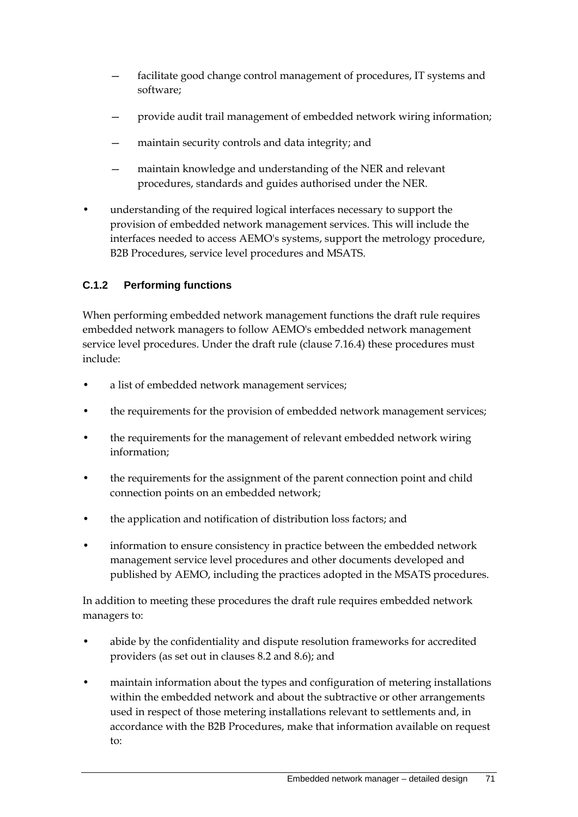- facilitate good change control management of procedures, IT systems and software;
- provide audit trail management of embedded network wiring information;
- maintain security controls and data integrity; and
- maintain knowledge and understanding of the NER and relevant procedures, standards and guides authorised under the NER.
- understanding of the required logical interfaces necessary to support the provision of embedded network management services. This will include the interfaces needed to access AEMO's systems, support the metrology procedure, B2B Procedures, service level procedures and MSATS.

#### **C.1.2 Performing functions**

When performing embedded network management functions the draft rule requires embedded network managers to follow AEMO's embedded network management service level procedures. Under the draft rule (clause 7.16.4) these procedures must include:

- a list of embedded network management services;
- the requirements for the provision of embedded network management services;
- the requirements for the management of relevant embedded network wiring information;
- the requirements for the assignment of the parent connection point and child connection points on an embedded network;
- the application and notification of distribution loss factors; and
- information to ensure consistency in practice between the embedded network management service level procedures and other documents developed and published by AEMO, including the practices adopted in the MSATS procedures.

In addition to meeting these procedures the draft rule requires embedded network managers to:

- abide by the confidentiality and dispute resolution frameworks for accredited providers (as set out in clauses 8.2 and 8.6); and
- maintain information about the types and configuration of metering installations within the embedded network and about the subtractive or other arrangements used in respect of those metering installations relevant to settlements and, in accordance with the B2B Procedures, make that information available on request to: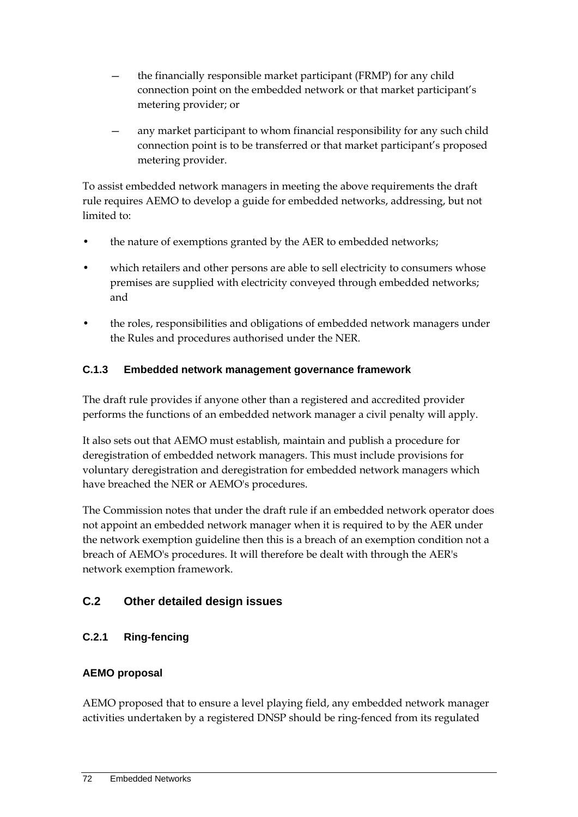- the financially responsible market participant (FRMP) for any child connection point on the embedded network or that market participant's metering provider; or
- any market participant to whom financial responsibility for any such child connection point is to be transferred or that market participant's proposed metering provider.

To assist embedded network managers in meeting the above requirements the draft rule requires AEMO to develop a guide for embedded networks, addressing, but not limited to:

- the nature of exemptions granted by the AER to embedded networks;
- which retailers and other persons are able to sell electricity to consumers whose premises are supplied with electricity conveyed through embedded networks; and
- the roles, responsibilities and obligations of embedded network managers under the Rules and procedures authorised under the NER.

# **C.1.3 Embedded network management governance framework**

The draft rule provides if anyone other than a registered and accredited provider performs the functions of an embedded network manager a civil penalty will apply.

It also sets out that AEMO must establish, maintain and publish a procedure for deregistration of embedded network managers. This must include provisions for voluntary deregistration and deregistration for embedded network managers which have breached the NER or AEMO's procedures.

The Commission notes that under the draft rule if an embedded network operator does not appoint an embedded network manager when it is required to by the AER under the network exemption guideline then this is a breach of an exemption condition not a breach of AEMO's procedures. It will therefore be dealt with through the AER's network exemption framework.

# **C.2 Other detailed design issues**

# **C.2.1 Ring-fencing**

# **AEMO proposal**

AEMO proposed that to ensure a level playing field, any embedded network manager activities undertaken by a registered DNSP should be ring-fenced from its regulated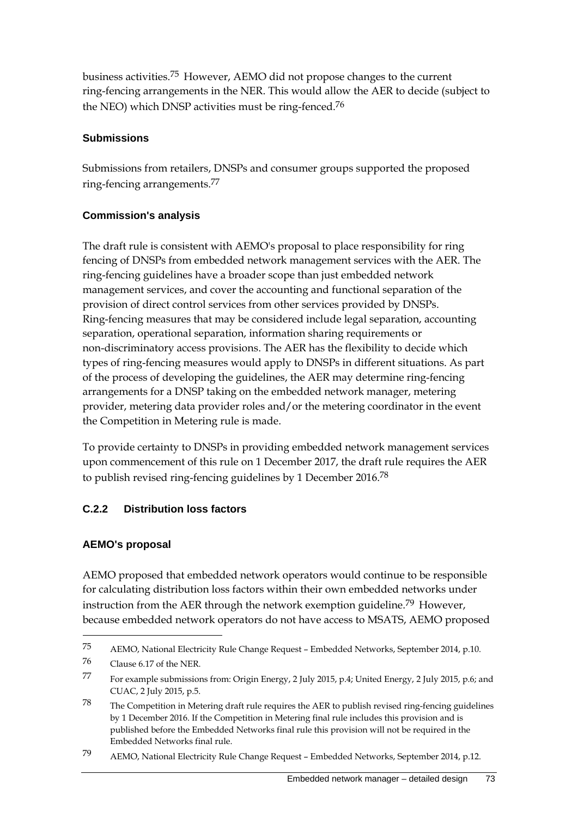business activities.75 However, AEMO did not propose changes to the current ring-fencing arrangements in the NER. This would allow the AER to decide (subject to the NEO) which DNSP activities must be ring-fenced.76

#### **Submissions**

Submissions from retailers, DNSPs and consumer groups supported the proposed ring-fencing arrangements.77

### **Commission's analysis**

The draft rule is consistent with AEMO's proposal to place responsibility for ring fencing of DNSPs from embedded network management services with the AER. The ring-fencing guidelines have a broader scope than just embedded network management services, and cover the accounting and functional separation of the provision of direct control services from other services provided by DNSPs. Ring-fencing measures that may be considered include legal separation, accounting separation, operational separation, information sharing requirements or non-discriminatory access provisions. The AER has the flexibility to decide which types of ring-fencing measures would apply to DNSPs in different situations. As part of the process of developing the guidelines, the AER may determine ring-fencing arrangements for a DNSP taking on the embedded network manager, metering provider, metering data provider roles and/or the metering coordinator in the event the Competition in Metering rule is made.

To provide certainty to DNSPs in providing embedded network management services upon commencement of this rule on 1 December 2017, the draft rule requires the AER to publish revised ring-fencing guidelines by 1 December 2016.78

# **C.2.2 Distribution loss factors**

### **AEMO's proposal**

<u>.</u>

AEMO proposed that embedded network operators would continue to be responsible for calculating distribution loss factors within their own embedded networks under instruction from the AER through the network exemption guideline.<sup>79</sup> However, because embedded network operators do not have access to MSATS, AEMO proposed

<sup>75</sup> AEMO, National Electricity Rule Change Request – Embedded Networks, September 2014, p.10.

<sup>76</sup> Clause 6.17 of the NER.

<sup>77</sup> For example submissions from: Origin Energy, 2 July 2015, p.4; United Energy, 2 July 2015, p.6; and CUAC, 2 July 2015, p.5.

<sup>78</sup> The Competition in Metering draft rule requires the AER to publish revised ring-fencing guidelines by 1 December 2016. If the Competition in Metering final rule includes this provision and is published before the Embedded Networks final rule this provision will not be required in the Embedded Networks final rule.

<sup>79</sup> AEMO, National Electricity Rule Change Request – Embedded Networks, September 2014, p.12.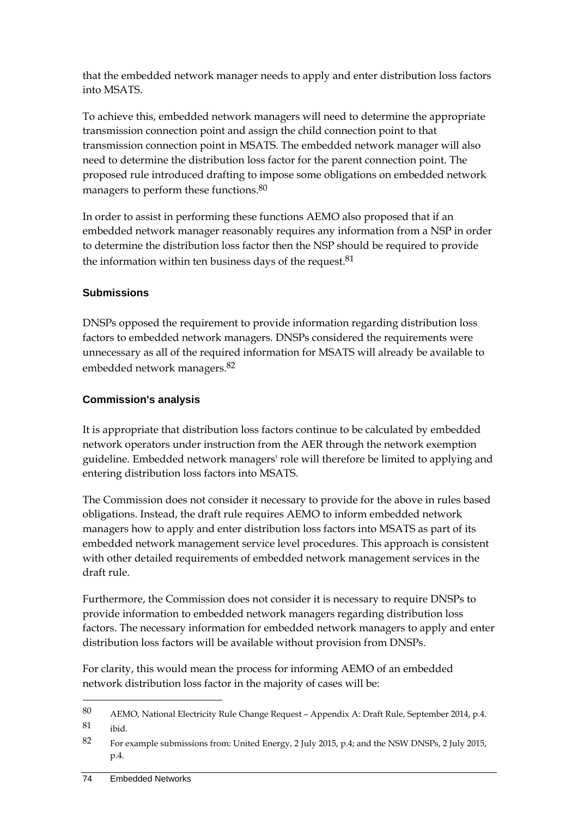that the embedded network manager needs to apply and enter distribution loss factors into MSATS.

To achieve this, embedded network managers will need to determine the appropriate transmission connection point and assign the child connection point to that transmission connection point in MSATS. The embedded network manager will also need to determine the distribution loss factor for the parent connection point. The proposed rule introduced drafting to impose some obligations on embedded network managers to perform these functions.80

In order to assist in performing these functions AEMO also proposed that if an embedded network manager reasonably requires any information from a NSP in order to determine the distribution loss factor then the NSP should be required to provide the information within ten business days of the request.<sup>81</sup>

### **Submissions**

DNSPs opposed the requirement to provide information regarding distribution loss factors to embedded network managers. DNSPs considered the requirements were unnecessary as all of the required information for MSATS will already be available to embedded network managers.82

#### **Commission's analysis**

It is appropriate that distribution loss factors continue to be calculated by embedded network operators under instruction from the AER through the network exemption guideline. Embedded network managers' role will therefore be limited to applying and entering distribution loss factors into MSATS.

The Commission does not consider it necessary to provide for the above in rules based obligations. Instead, the draft rule requires AEMO to inform embedded network managers how to apply and enter distribution loss factors into MSATS as part of its embedded network management service level procedures. This approach is consistent with other detailed requirements of embedded network management services in the draft rule.

Furthermore, the Commission does not consider it is necessary to require DNSPs to provide information to embedded network managers regarding distribution loss factors. The necessary information for embedded network managers to apply and enter distribution loss factors will be available without provision from DNSPs.

For clarity, this would mean the process for informing AEMO of an embedded network distribution loss factor in the majority of cases will be:

<sup>80</sup> AEMO, National Electricity Rule Change Request – Appendix A: Draft Rule, September 2014, p.4. 81 ibid.

<sup>82</sup> For example submissions from: United Energy, 2 July 2015, p.4; and the NSW DNSPs, 2 July 2015, p.4.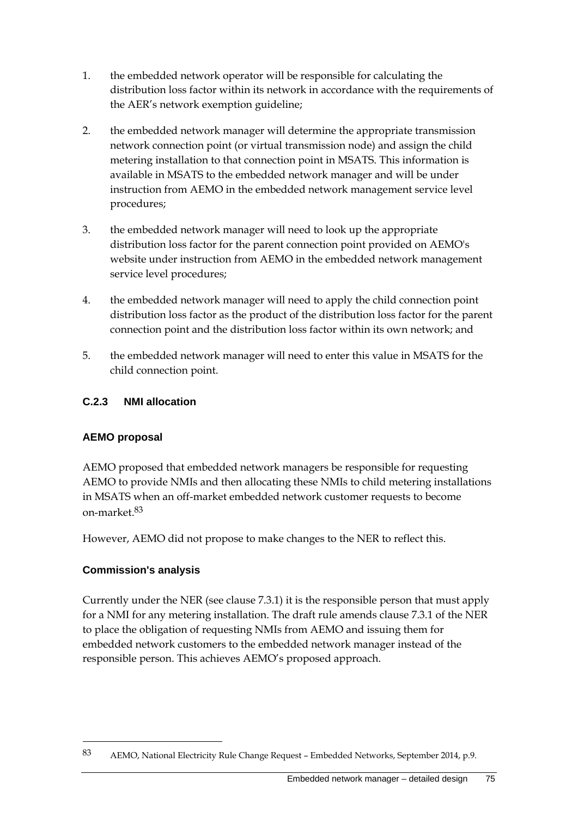- 1. the embedded network operator will be responsible for calculating the distribution loss factor within its network in accordance with the requirements of the AER's network exemption guideline;
- 2. the embedded network manager will determine the appropriate transmission network connection point (or virtual transmission node) and assign the child metering installation to that connection point in MSATS. This information is available in MSATS to the embedded network manager and will be under instruction from AEMO in the embedded network management service level procedures;
- 3. the embedded network manager will need to look up the appropriate distribution loss factor for the parent connection point provided on AEMO's website under instruction from AEMO in the embedded network management service level procedures;
- 4. the embedded network manager will need to apply the child connection point distribution loss factor as the product of the distribution loss factor for the parent connection point and the distribution loss factor within its own network; and
- 5. the embedded network manager will need to enter this value in MSATS for the child connection point.

## **C.2.3 NMI allocation**

# **AEMO proposal**

AEMO proposed that embedded network managers be responsible for requesting AEMO to provide NMIs and then allocating these NMIs to child metering installations in MSATS when an off-market embedded network customer requests to become on-market.83

However, AEMO did not propose to make changes to the NER to reflect this.

### **Commission's analysis**

1

Currently under the NER (see clause 7.3.1) it is the responsible person that must apply for a NMI for any metering installation. The draft rule amends clause 7.3.1 of the NER to place the obligation of requesting NMIs from AEMO and issuing them for embedded network customers to the embedded network manager instead of the responsible person. This achieves AEMO's proposed approach.

<sup>83</sup> AEMO, National Electricity Rule Change Request – Embedded Networks, September 2014, p.9.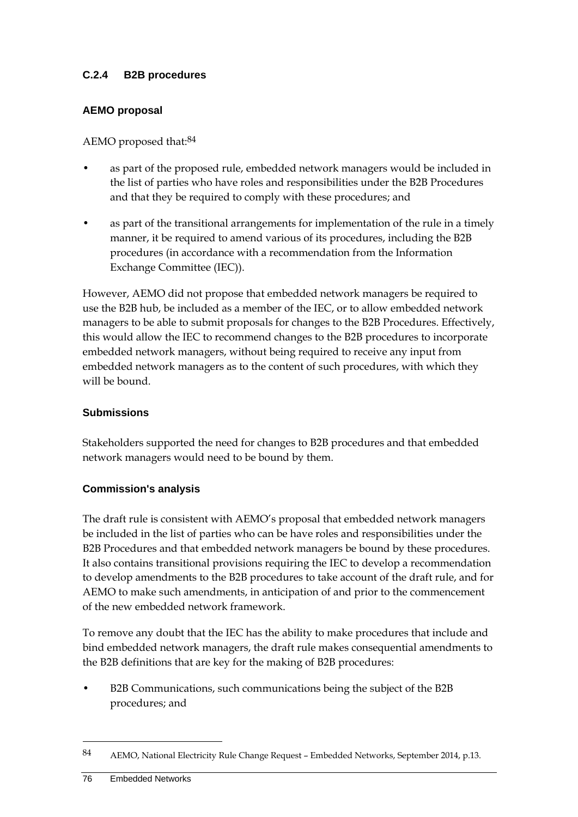#### **C.2.4 B2B procedures**

#### **AEMO proposal**

AEMO proposed that:<sup>84</sup>

- as part of the proposed rule, embedded network managers would be included in the list of parties who have roles and responsibilities under the B2B Procedures and that they be required to comply with these procedures; and
- as part of the transitional arrangements for implementation of the rule in a timely manner, it be required to amend various of its procedures, including the B2B procedures (in accordance with a recommendation from the Information Exchange Committee (IEC)).

However, AEMO did not propose that embedded network managers be required to use the B2B hub, be included as a member of the IEC, or to allow embedded network managers to be able to submit proposals for changes to the B2B Procedures. Effectively, this would allow the IEC to recommend changes to the B2B procedures to incorporate embedded network managers, without being required to receive any input from embedded network managers as to the content of such procedures, with which they will be bound.

#### **Submissions**

Stakeholders supported the need for changes to B2B procedures and that embedded network managers would need to be bound by them.

### **Commission's analysis**

The draft rule is consistent with AEMO's proposal that embedded network managers be included in the list of parties who can be have roles and responsibilities under the B2B Procedures and that embedded network managers be bound by these procedures. It also contains transitional provisions requiring the IEC to develop a recommendation to develop amendments to the B2B procedures to take account of the draft rule, and for AEMO to make such amendments, in anticipation of and prior to the commencement of the new embedded network framework.

To remove any doubt that the IEC has the ability to make procedures that include and bind embedded network managers, the draft rule makes consequential amendments to the B2B definitions that are key for the making of B2B procedures:

• B2B Communications, such communications being the subject of the B2B procedures; and

<sup>84</sup> AEMO, National Electricity Rule Change Request – Embedded Networks, September 2014, p.13.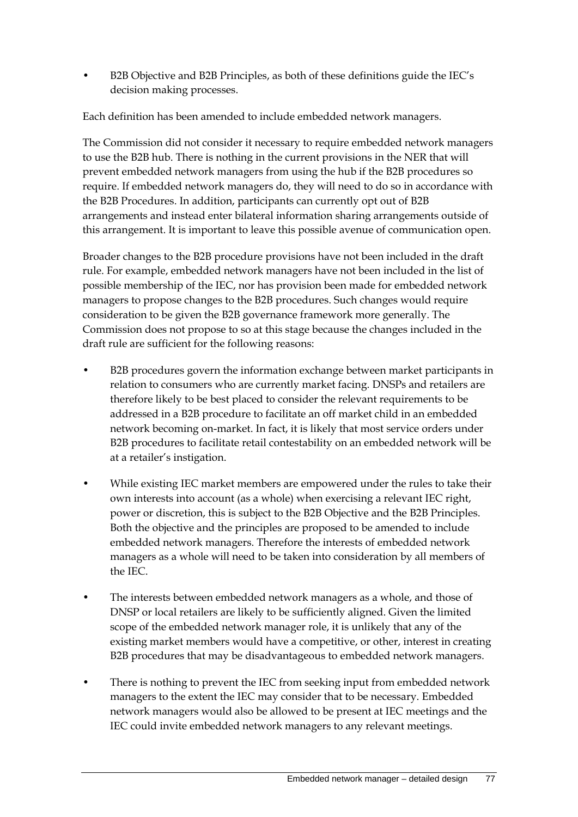• B2B Objective and B2B Principles, as both of these definitions guide the IEC's decision making processes.

Each definition has been amended to include embedded network managers.

The Commission did not consider it necessary to require embedded network managers to use the B2B hub. There is nothing in the current provisions in the NER that will prevent embedded network managers from using the hub if the B2B procedures so require. If embedded network managers do, they will need to do so in accordance with the B2B Procedures. In addition, participants can currently opt out of B2B arrangements and instead enter bilateral information sharing arrangements outside of this arrangement. It is important to leave this possible avenue of communication open.

Broader changes to the B2B procedure provisions have not been included in the draft rule. For example, embedded network managers have not been included in the list of possible membership of the IEC, nor has provision been made for embedded network managers to propose changes to the B2B procedures. Such changes would require consideration to be given the B2B governance framework more generally. The Commission does not propose to so at this stage because the changes included in the draft rule are sufficient for the following reasons:

- B2B procedures govern the information exchange between market participants in relation to consumers who are currently market facing. DNSPs and retailers are therefore likely to be best placed to consider the relevant requirements to be addressed in a B2B procedure to facilitate an off market child in an embedded network becoming on-market. In fact, it is likely that most service orders under B2B procedures to facilitate retail contestability on an embedded network will be at a retailer's instigation.
- While existing IEC market members are empowered under the rules to take their own interests into account (as a whole) when exercising a relevant IEC right, power or discretion, this is subject to the B2B Objective and the B2B Principles. Both the objective and the principles are proposed to be amended to include embedded network managers. Therefore the interests of embedded network managers as a whole will need to be taken into consideration by all members of the IEC.
- The interests between embedded network managers as a whole, and those of DNSP or local retailers are likely to be sufficiently aligned. Given the limited scope of the embedded network manager role, it is unlikely that any of the existing market members would have a competitive, or other, interest in creating B2B procedures that may be disadvantageous to embedded network managers.
- There is nothing to prevent the IEC from seeking input from embedded network managers to the extent the IEC may consider that to be necessary. Embedded network managers would also be allowed to be present at IEC meetings and the IEC could invite embedded network managers to any relevant meetings.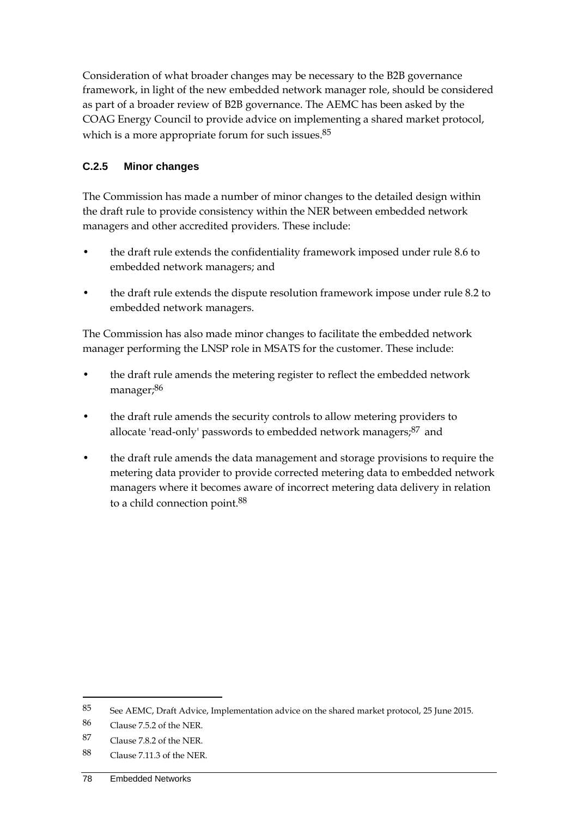Consideration of what broader changes may be necessary to the B2B governance framework, in light of the new embedded network manager role, should be considered as part of a broader review of B2B governance. The AEMC has been asked by the COAG Energy Council to provide advice on implementing a shared market protocol, which is a more appropriate forum for such issues.85

## **C.2.5 Minor changes**

The Commission has made a number of minor changes to the detailed design within the draft rule to provide consistency within the NER between embedded network managers and other accredited providers. These include:

- the draft rule extends the confidentiality framework imposed under rule 8.6 to embedded network managers; and
- the draft rule extends the dispute resolution framework impose under rule 8.2 to embedded network managers.

The Commission has also made minor changes to facilitate the embedded network manager performing the LNSP role in MSATS for the customer. These include:

- the draft rule amends the metering register to reflect the embedded network manager;86
- the draft rule amends the security controls to allow metering providers to allocate 'read-only' passwords to embedded network managers;<sup>87</sup> and
- the draft rule amends the data management and storage provisions to require the metering data provider to provide corrected metering data to embedded network managers where it becomes aware of incorrect metering data delivery in relation to a child connection point.88

<sup>85</sup> See AEMC, Draft Advice, Implementation advice on the shared market protocol, 25 June 2015.

<sup>86</sup> Clause 7.5.2 of the NER.

<sup>87</sup> Clause 7.8.2 of the NER.

<sup>88</sup> Clause 7.11.3 of the NER.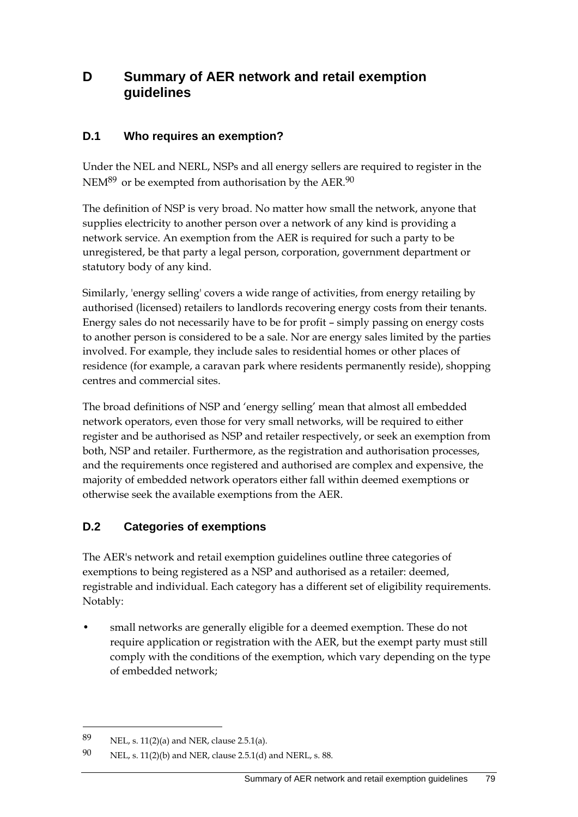# **D Summary of AER network and retail exemption guidelines**

# **D.1 Who requires an exemption?**

Under the NEL and NERL, NSPs and all energy sellers are required to register in the NEM<sup>89</sup> or be exempted from authorisation by the AER.<sup>90</sup>

The definition of NSP is very broad. No matter how small the network, anyone that supplies electricity to another person over a network of any kind is providing a network service. An exemption from the AER is required for such a party to be unregistered, be that party a legal person, corporation, government department or statutory body of any kind.

Similarly, 'energy selling' covers a wide range of activities, from energy retailing by authorised (licensed) retailers to landlords recovering energy costs from their tenants. Energy sales do not necessarily have to be for profit – simply passing on energy costs to another person is considered to be a sale. Nor are energy sales limited by the parties involved. For example, they include sales to residential homes or other places of residence (for example, a caravan park where residents permanently reside), shopping centres and commercial sites.

The broad definitions of NSP and 'energy selling' mean that almost all embedded network operators, even those for very small networks, will be required to either register and be authorised as NSP and retailer respectively, or seek an exemption from both, NSP and retailer. Furthermore, as the registration and authorisation processes, and the requirements once registered and authorised are complex and expensive, the majority of embedded network operators either fall within deemed exemptions or otherwise seek the available exemptions from the AER.

# **D.2 Categories of exemptions**

The AER's network and retail exemption guidelines outline three categories of exemptions to being registered as a NSP and authorised as a retailer: deemed, registrable and individual. Each category has a different set of eligibility requirements. Notably:

• small networks are generally eligible for a deemed exemption. These do not require application or registration with the AER, but the exempt party must still comply with the conditions of the exemption, which vary depending on the type of embedded network;

<sup>89</sup> NEL, s. 11(2)(a) and NER, clause 2.5.1(a).

<sup>90</sup> NEL, s. 11(2)(b) and NER, clause 2.5.1(d) and NERL, s. 88.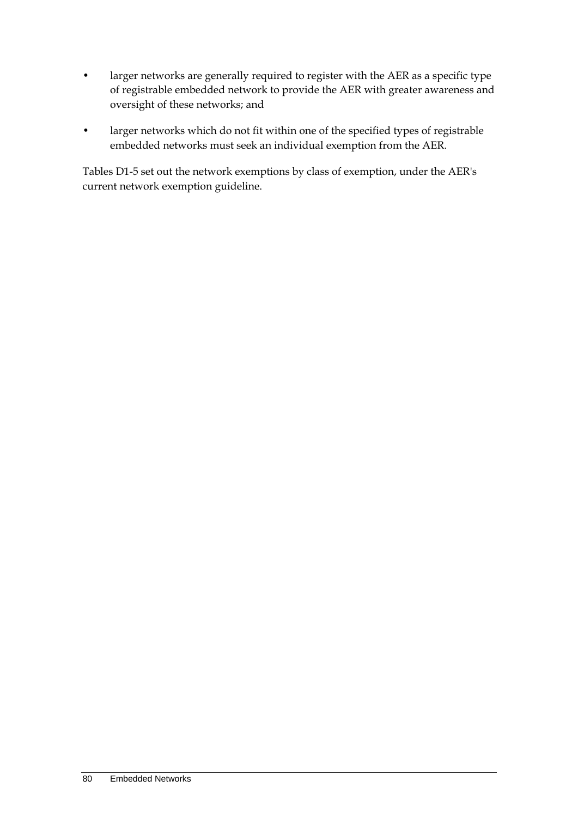- larger networks are generally required to register with the AER as a specific type of registrable embedded network to provide the AER with greater awareness and oversight of these networks; and
- larger networks which do not fit within one of the specified types of registrable embedded networks must seek an individual exemption from the AER.

Tables D1-5 set out the network exemptions by class of exemption, under the AER's current network exemption guideline.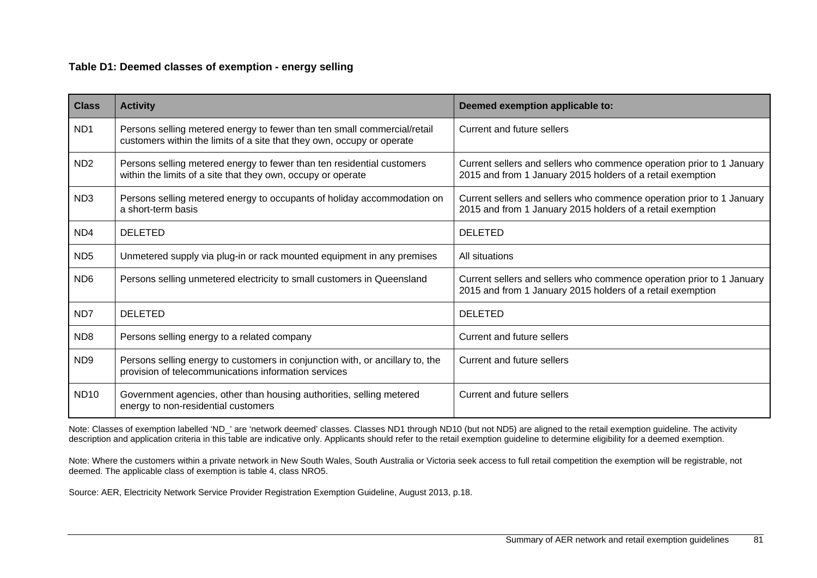| <b>Class</b>                | <b>Activity</b>                                                                                                                                    | Deemed exemption applicable to:                                                                                                     |
|-----------------------------|----------------------------------------------------------------------------------------------------------------------------------------------------|-------------------------------------------------------------------------------------------------------------------------------------|
| ND <sub>1</sub>             | Persons selling metered energy to fewer than ten small commercial/retail<br>customers within the limits of a site that they own, occupy or operate | Current and future sellers                                                                                                          |
| N <sub>D</sub> <sub>2</sub> | Persons selling metered energy to fewer than ten residential customers<br>within the limits of a site that they own, occupy or operate             | Current sellers and sellers who commence operation prior to 1 January<br>2015 and from 1 January 2015 holders of a retail exemption |
| ND <sub>3</sub>             | Persons selling metered energy to occupants of holiday accommodation on<br>a short-term basis                                                      | Current sellers and sellers who commence operation prior to 1 January<br>2015 and from 1 January 2015 holders of a retail exemption |
| ND <sub>4</sub>             | <b>DELETED</b>                                                                                                                                     | <b>DELETED</b>                                                                                                                      |
| ND <sub>5</sub>             | Unmetered supply via plug-in or rack mounted equipment in any premises                                                                             | All situations                                                                                                                      |
| ND <sub>6</sub>             | Persons selling unmetered electricity to small customers in Queensland                                                                             | Current sellers and sellers who commence operation prior to 1 January<br>2015 and from 1 January 2015 holders of a retail exemption |
| ND <sub>7</sub>             | <b>DELETED</b>                                                                                                                                     | <b>DELETED</b>                                                                                                                      |
| ND <sub>8</sub>             | Persons selling energy to a related company                                                                                                        | <b>Current and future sellers</b>                                                                                                   |
| ND <sub>9</sub>             | Persons selling energy to customers in conjunction with, or ancillary to, the<br>provision of telecommunications information services              | <b>Current and future sellers</b>                                                                                                   |
| <b>ND10</b>                 | Government agencies, other than housing authorities, selling metered<br>energy to non-residential customers                                        | Current and future sellers                                                                                                          |

Note: Classes of exemption labelled 'ND\_' are 'network deemed' classes. Classes ND1 through ND10 (but not ND5) are aligned to the retail exemption guideline. The activity description and application criteria in this table are indicative only. Applicants should refer to the retail exemption guideline to determine eligibility for a deemed exemption.

Note: Where the customers within a private network in New South Wales, South Australia or Victoria seek access to full retail competition the exemption will be registrable, not deemed. The applicable class of exemption is table 4, class NRO5.

Source: AER, Electricity Network Service Provider Registration Exemption Guideline, August 2013, p.18.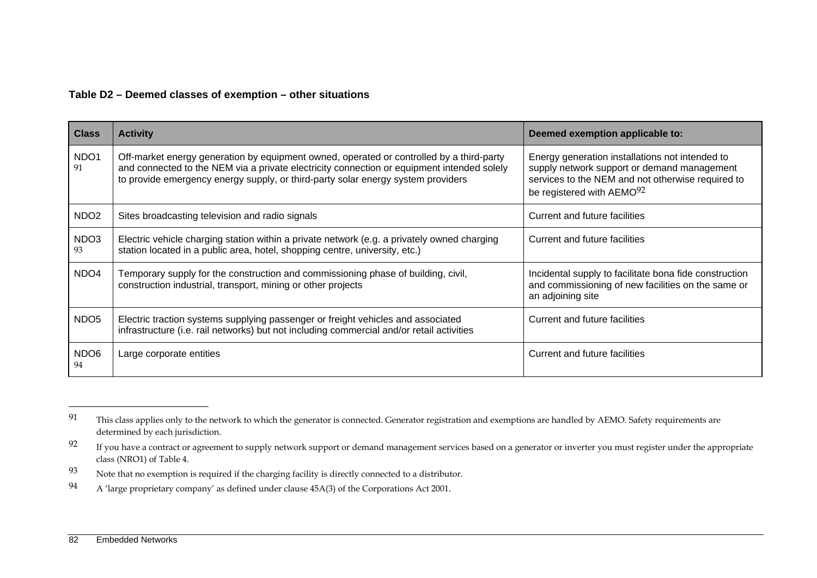#### **Table D2 – Deemed classes of exemption – other situations**

| <b>Class</b>           | <b>Activity</b>                                                                                                                                                                                                                                                            | Deemed exemption applicable to:                                                                                                                                                              |
|------------------------|----------------------------------------------------------------------------------------------------------------------------------------------------------------------------------------------------------------------------------------------------------------------------|----------------------------------------------------------------------------------------------------------------------------------------------------------------------------------------------|
| NDO1<br>91             | Off-market energy generation by equipment owned, operated or controlled by a third-party<br>and connected to the NEM via a private electricity connection or equipment intended solely<br>to provide emergency energy supply, or third-party solar energy system providers | Energy generation installations not intended to<br>supply network support or demand management<br>services to the NEM and not otherwise required to<br>be registered with AEMO <sup>92</sup> |
| NDO <sub>2</sub>       | Sites broadcasting television and radio signals                                                                                                                                                                                                                            | Current and future facilities                                                                                                                                                                |
| NDO3<br>93             | Electric vehicle charging station within a private network (e.g. a privately owned charging<br>station located in a public area, hotel, shopping centre, university, etc.)                                                                                                 | Current and future facilities                                                                                                                                                                |
| NDO <sub>4</sub>       | Temporary supply for the construction and commissioning phase of building, civil,<br>construction industrial, transport, mining or other projects                                                                                                                          | Incidental supply to facilitate bona fide construction<br>and commissioning of new facilities on the same or<br>an adjoining site                                                            |
| NDO <sub>5</sub>       | Electric traction systems supplying passenger or freight vehicles and associated<br>infrastructure (i.e. rail networks) but not including commercial and/or retail activities                                                                                              | Current and future facilities                                                                                                                                                                |
| NDO <sub>6</sub><br>94 | Large corporate entities                                                                                                                                                                                                                                                   | Current and future facilities                                                                                                                                                                |

<sup>&</sup>lt;sup>91</sup> This class applies only to the network to which the generator is connected. Generator registration and exemptions are handled by AEMO. Safety requirements are determined by each jurisdiction.

<sup>&</sup>lt;sup>92</sup> If you have a contract or agreement to supply network support or demand management services based on a generator or inverter you must register under the appropriate class (NRO1) of Table 4.

<sup>93</sup> Note that no exemption is required if the charging facility is directly connected to a distributor.

<sup>94</sup> A 'large proprietary company' as defined under clause 45A(3) of the Corporations Act 2001.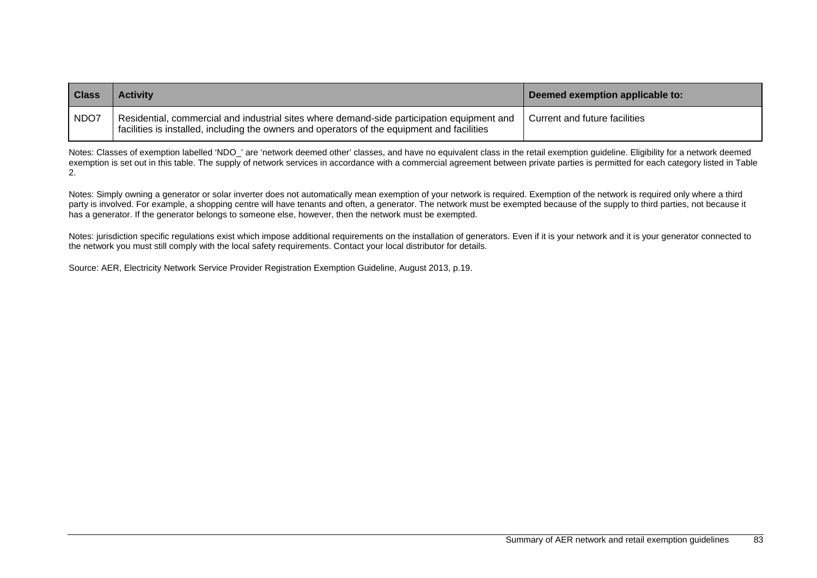| <b>Class</b> | <b>Activity</b>                                                                                                                                                                           | Deemed exemption applicable to: |
|--------------|-------------------------------------------------------------------------------------------------------------------------------------------------------------------------------------------|---------------------------------|
| NDO7         | Residential, commercial and industrial sites where demand-side participation equipment and<br>facilities is installed, including the owners and operators of the equipment and facilities | Current and future facilities   |

Notes: Classes of exemption labelled 'NDO\_' are 'network deemed other' classes, and have no equivalent class in the retail exemption quideline. Eligibility for a network deemed exemption is set out in this table. The supply of network services in accordance with a commercial agreement between private parties is permitted for each category listed in Table 2.

Notes: Simply owning a generator or solar inverter does not automatically mean exemption of your network is required. Exemption of the network is required only where a third party is involved. For example, a shopping centre will have tenants and often, a generator. The network must be exempted because of the supply to third parties, not because it has a generator. If the generator belongs to someone else, however, then the network must be exempted.

Notes: jurisdiction specific regulations exist which impose additional requirements on the installation of generators. Even if it is your network and it is your generator connected to the network you must still comply with the local safety requirements. Contact your local distributor for details.

Source: AER, Electricity Network Service Provider Registration Exemption Guideline, August 2013, p.19.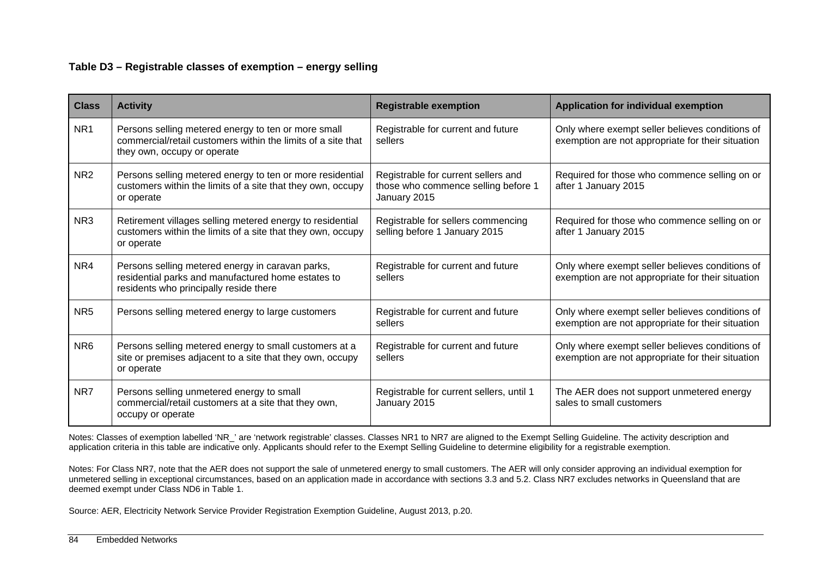#### **Table D3 – Registrable classes of exemption – energy selling**

| <b>Class</b>    | <b>Activity</b>                                                                                                                                    | <b>Registrable exemption</b>                                                               | <b>Application for individual exemption</b>                                                          |
|-----------------|----------------------------------------------------------------------------------------------------------------------------------------------------|--------------------------------------------------------------------------------------------|------------------------------------------------------------------------------------------------------|
| NR <sub>1</sub> | Persons selling metered energy to ten or more small<br>commercial/retail customers within the limits of a site that<br>they own, occupy or operate | Registrable for current and future<br>sellers                                              | Only where exempt seller believes conditions of<br>exemption are not appropriate for their situation |
| NR <sub>2</sub> | Persons selling metered energy to ten or more residential<br>customers within the limits of a site that they own, occupy<br>or operate             | Registrable for current sellers and<br>those who commence selling before 1<br>January 2015 | Required for those who commence selling on or<br>after 1 January 2015                                |
| NR <sub>3</sub> | Retirement villages selling metered energy to residential<br>customers within the limits of a site that they own, occupy<br>or operate             | Registrable for sellers commencing<br>selling before 1 January 2015                        | Required for those who commence selling on or<br>after 1 January 2015                                |
| NR4             | Persons selling metered energy in caravan parks,<br>residential parks and manufactured home estates to<br>residents who principally reside there   | Registrable for current and future<br>sellers                                              | Only where exempt seller believes conditions of<br>exemption are not appropriate for their situation |
| NR <sub>5</sub> | Persons selling metered energy to large customers                                                                                                  | Registrable for current and future<br>sellers                                              | Only where exempt seller believes conditions of<br>exemption are not appropriate for their situation |
| NR <sub>6</sub> | Persons selling metered energy to small customers at a<br>site or premises adjacent to a site that they own, occupy<br>or operate                  | Registrable for current and future<br>sellers                                              | Only where exempt seller believes conditions of<br>exemption are not appropriate for their situation |
| NR7             | Persons selling unmetered energy to small<br>commercial/retail customers at a site that they own,<br>occupy or operate                             | Registrable for current sellers, until 1<br>January 2015                                   | The AER does not support unmetered energy<br>sales to small customers                                |

Notes: Classes of exemption labelled 'NR\_' are 'network registrable' classes. Classes NR1 to NR7 are aligned to the Exempt Selling Guideline. The activity description and application criteria in this table are indicative only. Applicants should refer to the Exempt Selling Guideline to determine eligibility for a registrable exemption.

Notes: For Class NR7, note that the AER does not support the sale of unmetered energy to small customers. The AER will only consider approving an individual exemption for unmetered selling in exceptional circumstances, based on an application made in accordance with sections 3.3 and 5.2. Class NR7 excludes networks in Queensland that are deemed exempt under Class ND6 in Table 1.

Source: AER, Electricity Network Service Provider Registration Exemption Guideline, August 2013, p.20.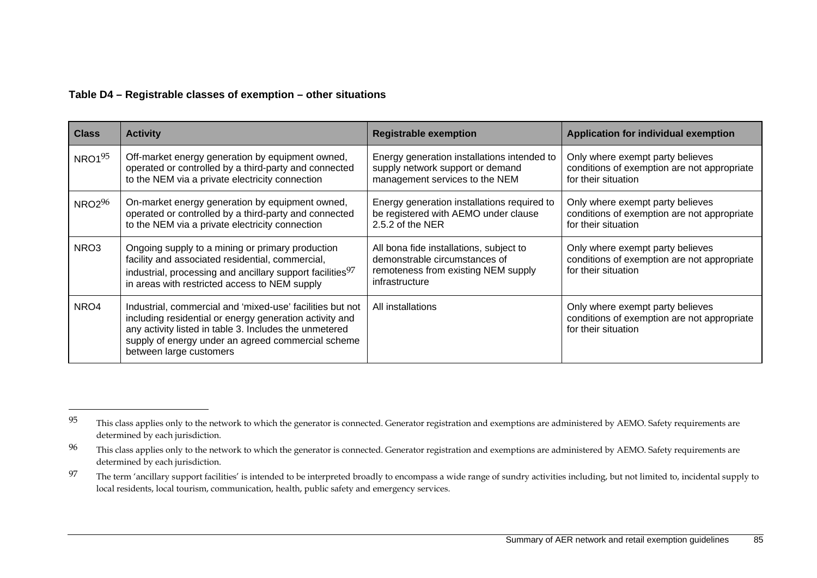#### **Table D4 – Registrable classes of exemption – other situations**

| <b>Class</b> | <b>Activity</b>                                                                                                                                                                                                                                                 | <b>Registrable exemption</b>                                                                                                      | <b>Application for individual exemption</b>                                                            |
|--------------|-----------------------------------------------------------------------------------------------------------------------------------------------------------------------------------------------------------------------------------------------------------------|-----------------------------------------------------------------------------------------------------------------------------------|--------------------------------------------------------------------------------------------------------|
| $NRO1^{95}$  | Off-market energy generation by equipment owned,<br>operated or controlled by a third-party and connected<br>to the NEM via a private electricity connection                                                                                                    | Energy generation installations intended to<br>supply network support or demand<br>management services to the NEM                 | Only where exempt party believes<br>conditions of exemption are not appropriate<br>for their situation |
| $NRO2^{96}$  | On-market energy generation by equipment owned,<br>operated or controlled by a third-party and connected<br>to the NEM via a private electricity connection                                                                                                     | Energy generation installations required to<br>be registered with AEMO under clause<br>2.5.2 of the NER                           | Only where exempt party believes<br>conditions of exemption are not appropriate<br>for their situation |
| NRO3         | Ongoing supply to a mining or primary production<br>facility and associated residential, commercial,<br>industrial, processing and ancillary support facilities <sup>97</sup><br>in areas with restricted access to NEM supply                                  | All bona fide installations, subject to<br>demonstrable circumstances of<br>remoteness from existing NEM supply<br>infrastructure | Only where exempt party believes<br>conditions of exemption are not appropriate<br>for their situation |
| NRO4         | Industrial, commercial and 'mixed-use' facilities but not<br>including residential or energy generation activity and<br>any activity listed in table 3. Includes the unmetered<br>supply of energy under an agreed commercial scheme<br>between large customers | All installations                                                                                                                 | Only where exempt party believes<br>conditions of exemption are not appropriate<br>for their situation |

<sup>&</sup>lt;sup>95</sup> This class applies only to the network to which the generator is connected. Generator registration and exemptions are administered by AEMO. Safety requirements are determined by each jurisdiction.

<sup>&</sup>lt;sup>96</sup> This class applies only to the network to which the generator is connected. Generator registration and exemptions are administered by AEMO. Safety requirements are determined by each jurisdiction.

<sup>97</sup> The term 'ancillary support facilities' is intended to be interpreted broadly to encompass a wide range of sundry activities including, but not limited to, incidental supply to local residents, local tourism, communication, health, public safety and emergency services.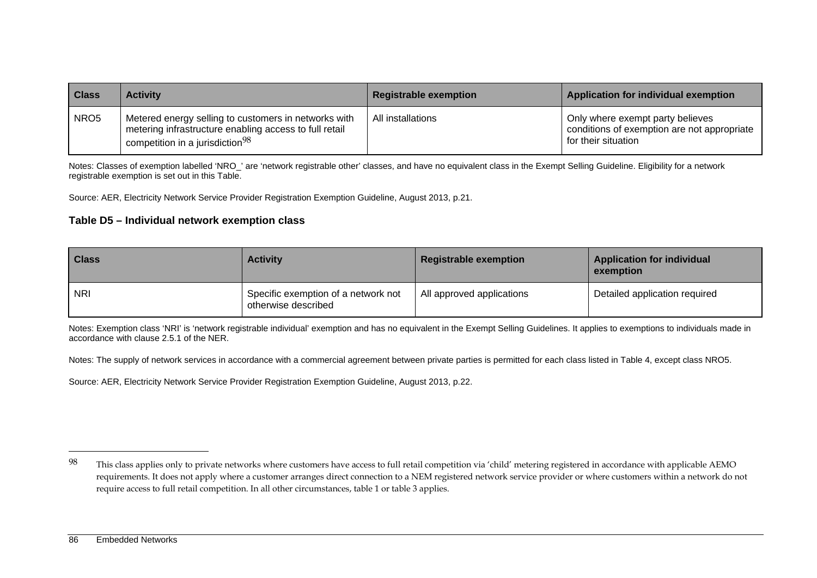| <b>Class</b>     | <b>Activity</b>                                                                                                                                               | <b>Registrable exemption</b> | Application for individual exemption                                                                   |
|------------------|---------------------------------------------------------------------------------------------------------------------------------------------------------------|------------------------------|--------------------------------------------------------------------------------------------------------|
| NRO <sub>5</sub> | Metered energy selling to customers in networks with<br>metering infrastructure enabling access to full retail<br>competition in a jurisdiction <sup>98</sup> | All installations            | Only where exempt party believes<br>conditions of exemption are not appropriate<br>for their situation |

Notes: Classes of exemption labelled 'NRO\_' are 'network registrable other' classes, and have no equivalent class in the Exempt Selling Guideline. Eligibility for a network registrable exemption is set out in this Table.

Source: AER, Electricity Network Service Provider Registration Exemption Guideline, August 2013, p.21.

#### **Table D5 – Individual network exemption class**

| <b>Class</b> | <b>Activity</b>                                            | <b>Registrable exemption</b> | <b>Application for individual</b><br>exemption |
|--------------|------------------------------------------------------------|------------------------------|------------------------------------------------|
| <b>NRI</b>   | Specific exemption of a network not<br>otherwise described | All approved applications    | Detailed application required                  |

Notes: Exemption class 'NRI' is 'network registrable individual' exemption and has no equivalent in the Exempt Selling Guidelines. It applies to exemptions to individuals made in accordance with clause 2.5.1 of the NER.

Notes: The supply of network services in accordance with a commercial agreement between private parties is permitted for each class listed in Table 4, except class NRO5.

Source: AER, Electricity Network Service Provider Registration Exemption Guideline, August 2013, p.22.

 $98$  This class applies only to private networks where customers have access to full retail competition via 'child' metering registered in accordance with applicable AEMO requirements. It does not apply where a customer arranges direct connection to a NEM registered network service provider or where customers within a network do not require access to full retail competition. In all other circumstances, table 1 or table 3 applies.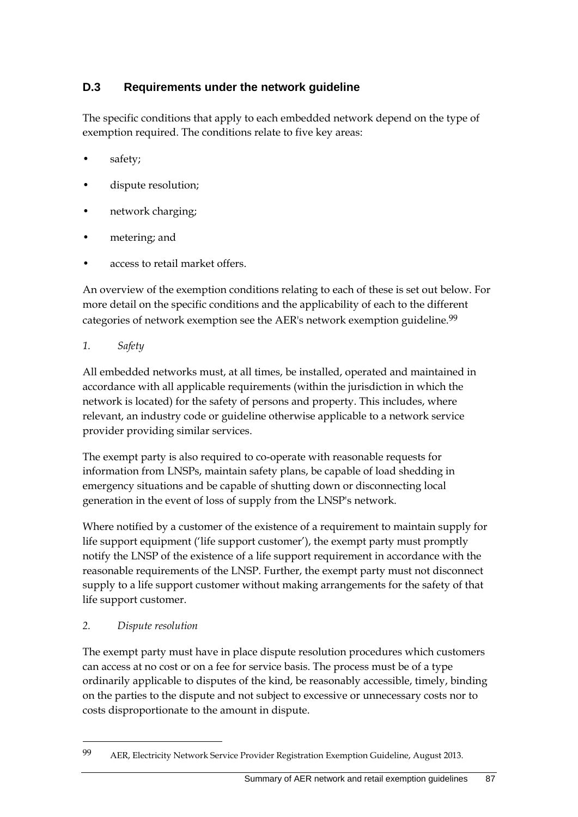# **D.3 Requirements under the network guideline**

The specific conditions that apply to each embedded network depend on the type of exemption required. The conditions relate to five key areas:

- safety;
- dispute resolution;
- network charging;
- metering; and
- access to retail market offers.

An overview of the exemption conditions relating to each of these is set out below. For more detail on the specific conditions and the applicability of each to the different categories of network exemption see the AER's network exemption guideline.<sup>99</sup>

*1. Safety* 

All embedded networks must, at all times, be installed, operated and maintained in accordance with all applicable requirements (within the jurisdiction in which the network is located) for the safety of persons and property. This includes, where relevant, an industry code or guideline otherwise applicable to a network service provider providing similar services.

The exempt party is also required to co-operate with reasonable requests for information from LNSPs, maintain safety plans, be capable of load shedding in emergency situations and be capable of shutting down or disconnecting local generation in the event of loss of supply from the LNSP's network.

Where notified by a customer of the existence of a requirement to maintain supply for life support equipment ('life support customer'), the exempt party must promptly notify the LNSP of the existence of a life support requirement in accordance with the reasonable requirements of the LNSP. Further, the exempt party must not disconnect supply to a life support customer without making arrangements for the safety of that life support customer.

# *2. Dispute resolution*

1

The exempt party must have in place dispute resolution procedures which customers can access at no cost or on a fee for service basis. The process must be of a type ordinarily applicable to disputes of the kind, be reasonably accessible, timely, binding on the parties to the dispute and not subject to excessive or unnecessary costs nor to costs disproportionate to the amount in dispute.

<sup>99</sup> AER, Electricity Network Service Provider Registration Exemption Guideline, August 2013.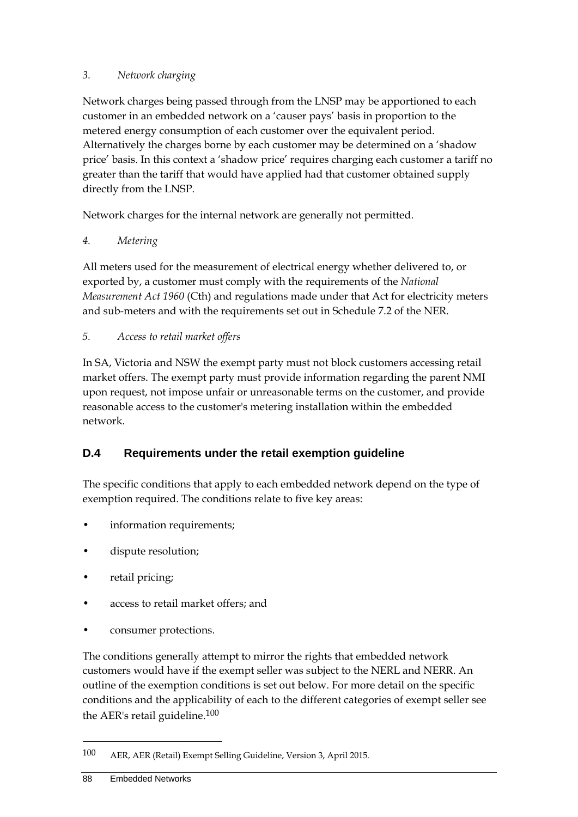### *3. Network charging*

Network charges being passed through from the LNSP may be apportioned to each customer in an embedded network on a 'causer pays' basis in proportion to the metered energy consumption of each customer over the equivalent period. Alternatively the charges borne by each customer may be determined on a 'shadow price' basis. In this context a 'shadow price' requires charging each customer a tariff no greater than the tariff that would have applied had that customer obtained supply directly from the LNSP.

Network charges for the internal network are generally not permitted.

#### *4. Metering*

All meters used for the measurement of electrical energy whether delivered to, or exported by, a customer must comply with the requirements of the *National Measurement Act 1960* (Cth) and regulations made under that Act for electricity meters and sub-meters and with the requirements set out in Schedule 7.2 of the NER.

#### *5. Access to retail market offers*

In SA, Victoria and NSW the exempt party must not block customers accessing retail market offers. The exempt party must provide information regarding the parent NMI upon request, not impose unfair or unreasonable terms on the customer, and provide reasonable access to the customer's metering installation within the embedded network.

# **D.4 Requirements under the retail exemption guideline**

The specific conditions that apply to each embedded network depend on the type of exemption required. The conditions relate to five key areas:

- information requirements;
- dispute resolution;
- retail pricing;
- access to retail market offers; and
- consumer protections.

The conditions generally attempt to mirror the rights that embedded network customers would have if the exempt seller was subject to the NERL and NERR. An outline of the exemption conditions is set out below. For more detail on the specific conditions and the applicability of each to the different categories of exempt seller see the AER's retail guideline.100

<sup>100</sup> AER, AER (Retail) Exempt Selling Guideline, Version 3, April 2015.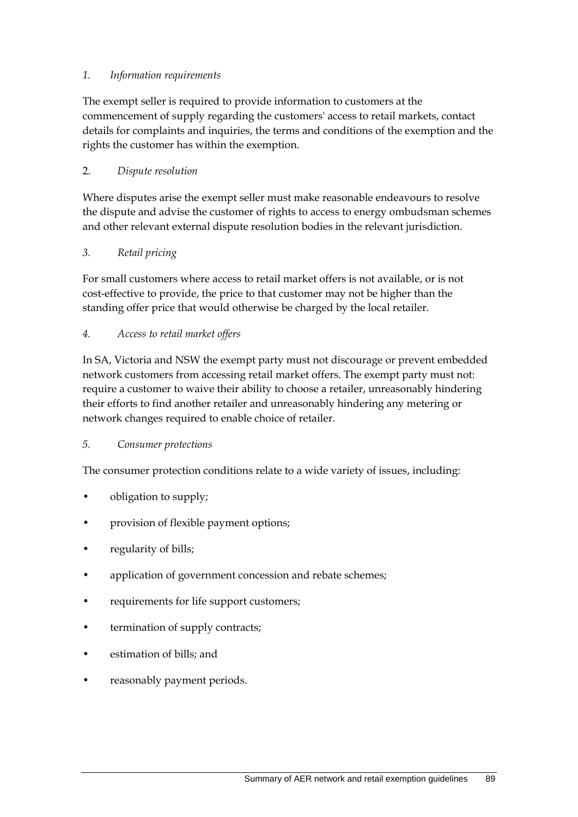#### *1. Information requirements*

The exempt seller is required to provide information to customers at the commencement of supply regarding the customers' access to retail markets, contact details for complaints and inquiries, the terms and conditions of the exemption and the rights the customer has within the exemption.

#### 2. *Dispute resolution*

Where disputes arise the exempt seller must make reasonable endeavours to resolve the dispute and advise the customer of rights to access to energy ombudsman schemes and other relevant external dispute resolution bodies in the relevant jurisdiction.

#### *3. Retail pricing*

For small customers where access to retail market offers is not available, or is not cost-effective to provide, the price to that customer may not be higher than the standing offer price that would otherwise be charged by the local retailer.

#### *4. Access to retail market offers*

In SA, Victoria and NSW the exempt party must not discourage or prevent embedded network customers from accessing retail market offers. The exempt party must not: require a customer to waive their ability to choose a retailer, unreasonably hindering their efforts to find another retailer and unreasonably hindering any metering or network changes required to enable choice of retailer.

#### *5. Consumer protections*

The consumer protection conditions relate to a wide variety of issues, including:

- obligation to supply;
- provision of flexible payment options;
- regularity of bills;
- application of government concession and rebate schemes;
- requirements for life support customers;
- termination of supply contracts;
- estimation of bills; and
- reasonably payment periods.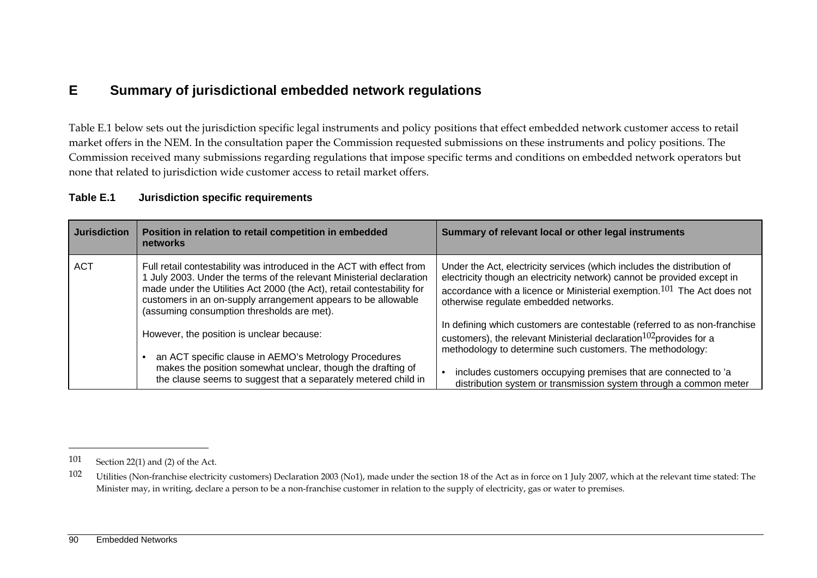# **E Summary of jurisdictional embedded network regulations**

Table E.1 below sets out the jurisdiction specific legal instruments and policy positions that effect embedded network customer access to retail market offers in the NEM. In the consultation paper the Commission requested submissions on these instruments and policy positions. The Commission received many submissions regarding regulations that impose specific terms and conditions on embedded network operators but none that related to jurisdiction wide customer access to retail market offers.

#### **Table E.1 Jurisdiction specific requirements**

| <b>Jurisdiction</b> | Position in relation to retail competition in embedded<br>networks                                                                                                                                                                                                                                                                   | Summary of relevant local or other legal instruments                                                                                                                                                                                                                      |
|---------------------|--------------------------------------------------------------------------------------------------------------------------------------------------------------------------------------------------------------------------------------------------------------------------------------------------------------------------------------|---------------------------------------------------------------------------------------------------------------------------------------------------------------------------------------------------------------------------------------------------------------------------|
| <b>ACT</b>          | Full retail contestability was introduced in the ACT with effect from<br>July 2003. Under the terms of the relevant Ministerial declaration<br>made under the Utilities Act 2000 (the Act), retail contestability for<br>customers in an on-supply arrangement appears to be allowable<br>(assuming consumption thresholds are met). | Under the Act, electricity services (which includes the distribution of<br>electricity though an electricity network) cannot be provided except in<br>accordance with a licence or Ministerial exemption. $101$ The Act does not<br>otherwise regulate embedded networks. |
|                     | However, the position is unclear because:<br>an ACT specific clause in AEMO's Metrology Procedures                                                                                                                                                                                                                                   | In defining which customers are contestable (referred to as non-franchise<br>customers), the relevant Ministerial declaration $102$ provides for a<br>methodology to determine such customers. The methodology:                                                           |
|                     | makes the position somewhat unclear, though the drafting of<br>the clause seems to suggest that a separately metered child in                                                                                                                                                                                                        | includes customers occupying premises that are connected to 'a<br>distribution system or transmission system through a common meter                                                                                                                                       |

<sup>101</sup> Section 22(1) and (2) of the Act.

<sup>102</sup> Utilities (Non-franchise electricity customers) Declaration 2003 (No1), made under the section 18 of the Act as in force on 1 July 2007, which at the relevant time stated: The Minister may, in writing, declare a person to be a non-franchise customer in relation to the supply of electricity, gas or water to premises.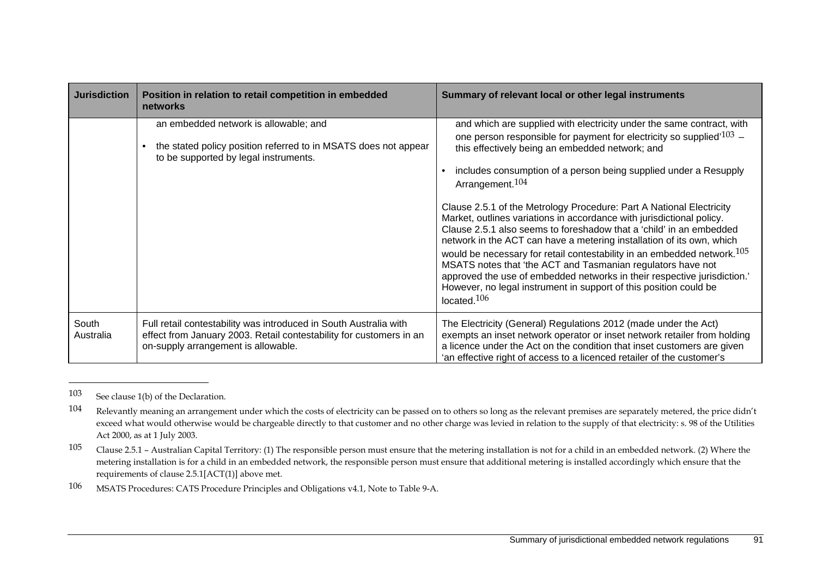| <b>Jurisdiction</b> | Position in relation to retail competition in embedded<br>networks                                                                                                              | Summary of relevant local or other legal instruments                                                                                                                                                                                                                                                                                                                                                                                                                                                                                                                                                                                                                                                                                                                                                                                                                                                                                                   |
|---------------------|---------------------------------------------------------------------------------------------------------------------------------------------------------------------------------|--------------------------------------------------------------------------------------------------------------------------------------------------------------------------------------------------------------------------------------------------------------------------------------------------------------------------------------------------------------------------------------------------------------------------------------------------------------------------------------------------------------------------------------------------------------------------------------------------------------------------------------------------------------------------------------------------------------------------------------------------------------------------------------------------------------------------------------------------------------------------------------------------------------------------------------------------------|
|                     | an embedded network is allowable; and<br>the stated policy position referred to in MSATS does not appear<br>to be supported by legal instruments.                               | and which are supplied with electricity under the same contract, with<br>one person responsible for payment for electricity so supplied <sup>'103</sup> –<br>this effectively being an embedded network; and<br>includes consumption of a person being supplied under a Resupply<br>$\bullet$<br>Arrangement. <sup>104</sup><br>Clause 2.5.1 of the Metrology Procedure: Part A National Electricity<br>Market, outlines variations in accordance with jurisdictional policy.<br>Clause 2.5.1 also seems to foreshadow that a 'child' in an embedded<br>network in the ACT can have a metering installation of its own, which<br>would be necessary for retail contestability in an embedded network. <sup>105</sup><br>MSATS notes that 'the ACT and Tasmanian regulators have not<br>approved the use of embedded networks in their respective jurisdiction.'<br>However, no legal instrument in support of this position could be<br>located. $106$ |
| South<br>Australia  | Full retail contestability was introduced in South Australia with<br>effect from January 2003. Retail contestability for customers in an<br>on-supply arrangement is allowable. | The Electricity (General) Regulations 2012 (made under the Act)<br>exempts an inset network operator or inset network retailer from holding<br>a licence under the Act on the condition that inset customers are given<br>'an effective right of access to a licenced retailer of the customer's                                                                                                                                                                                                                                                                                                                                                                                                                                                                                                                                                                                                                                                       |

<sup>103</sup> See clause 1(b) of the Declaration.

<sup>104</sup> Relevantly meaning an arrangement under which the costs of electricity can be passed on to others so long as the relevant premises are separately metered, the price didn't exceed what would otherwise would be chargeable directly to that customer and no other charge was levied in relation to the supply of that electricity: s. 98 of the Utilities Act 2000, as at 1 July 2003.

<sup>105</sup> Clause 2.5.1 – Australian Capital Territory: (1) The responsible person must ensure that the metering installation is not for a child in an embedded network. (2) Where the metering installation is for a child in an embedded network, the responsible person must ensure that additional metering is installed accordingly which ensure that the requirements of clause 2.5.1[ACT(1)] above met.

<sup>106</sup> MSATS Procedures: CATS Procedure Principles and Obligations v4.1, Note to Table 9-A.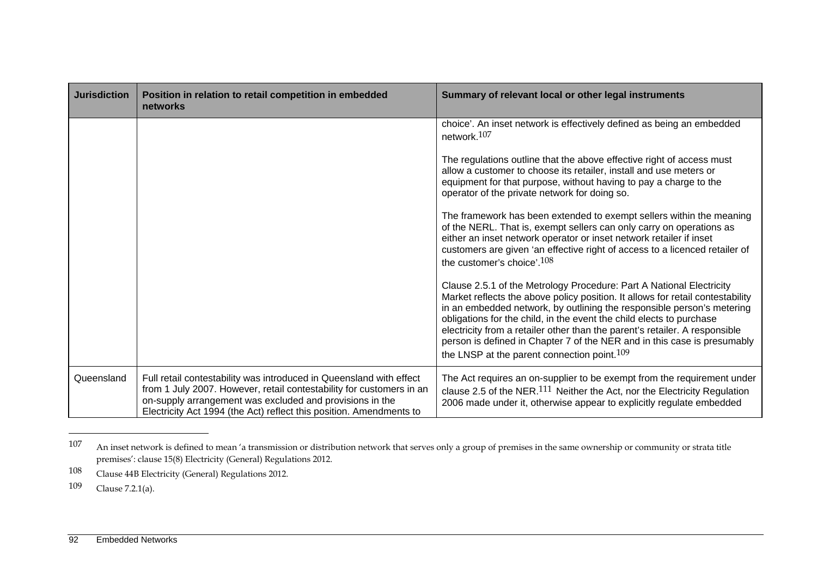| <b>Jurisdiction</b> | Position in relation to retail competition in embedded<br>networks                                                                                                                                                                                                             | Summary of relevant local or other legal instruments                                                                                                                                                                                                                                                                                                                                                                                                                                                                           |  |
|---------------------|--------------------------------------------------------------------------------------------------------------------------------------------------------------------------------------------------------------------------------------------------------------------------------|--------------------------------------------------------------------------------------------------------------------------------------------------------------------------------------------------------------------------------------------------------------------------------------------------------------------------------------------------------------------------------------------------------------------------------------------------------------------------------------------------------------------------------|--|
|                     |                                                                                                                                                                                                                                                                                | choice'. An inset network is effectively defined as being an embedded<br>network. $107$                                                                                                                                                                                                                                                                                                                                                                                                                                        |  |
|                     |                                                                                                                                                                                                                                                                                | The regulations outline that the above effective right of access must<br>allow a customer to choose its retailer, install and use meters or<br>equipment for that purpose, without having to pay a charge to the<br>operator of the private network for doing so.                                                                                                                                                                                                                                                              |  |
|                     |                                                                                                                                                                                                                                                                                | The framework has been extended to exempt sellers within the meaning<br>of the NERL. That is, exempt sellers can only carry on operations as<br>either an inset network operator or inset network retailer if inset<br>customers are given 'an effective right of access to a licenced retailer of<br>the customer's choice'. <sup>108</sup>                                                                                                                                                                                   |  |
|                     |                                                                                                                                                                                                                                                                                | Clause 2.5.1 of the Metrology Procedure: Part A National Electricity<br>Market reflects the above policy position. It allows for retail contestability<br>in an embedded network, by outlining the responsible person's metering<br>obligations for the child, in the event the child elects to purchase<br>electricity from a retailer other than the parent's retailer. A responsible<br>person is defined in Chapter 7 of the NER and in this case is presumably<br>the LNSP at the parent connection point. <sup>109</sup> |  |
| Queensland          | Full retail contestability was introduced in Queensland with effect<br>from 1 July 2007. However, retail contestability for customers in an<br>on-supply arrangement was excluded and provisions in the<br>Electricity Act 1994 (the Act) reflect this position. Amendments to | The Act requires an on-supplier to be exempt from the requirement under<br>clause 2.5 of the NER. $^{111}$ Neither the Act, nor the Electricity Regulation<br>2006 made under it, otherwise appear to explicitly regulate embedded                                                                                                                                                                                                                                                                                             |  |

<sup>107</sup> An inset network is defined to mean 'a transmission or distribution network that serves only a group of premises in the same ownership or community or strata title premises': clause 15(8) Electricity (General) Regulations 2012.

<sup>108</sup> Clause 44B Electricity (General) Regulations 2012.

<sup>109</sup> Clause 7.2.1(a).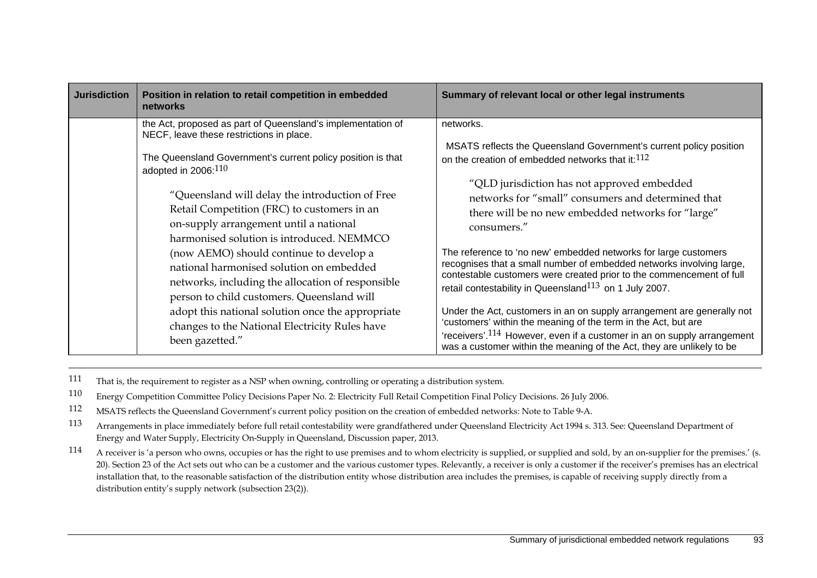| <b>Jurisdiction</b> | Position in relation to retail competition in embedded<br>networks                                                                                                                                                                                                                                                                                                                          | Summary of relevant local or other legal instruments                                                                                                                                                                                                                                                                                                                                                                                                                                                                                                                                              |
|---------------------|---------------------------------------------------------------------------------------------------------------------------------------------------------------------------------------------------------------------------------------------------------------------------------------------------------------------------------------------------------------------------------------------|---------------------------------------------------------------------------------------------------------------------------------------------------------------------------------------------------------------------------------------------------------------------------------------------------------------------------------------------------------------------------------------------------------------------------------------------------------------------------------------------------------------------------------------------------------------------------------------------------|
|                     | the Act, proposed as part of Queensland's implementation of<br>NECF, leave these restrictions in place.<br>The Queensland Government's current policy position is that<br>adopted in $2006:^{110}$<br>"Queensland will delay the introduction of Free<br>Retail Competition (FRC) to customers in an<br>on-supply arrangement until a national<br>harmonised solution is introduced. NEMMCO | networks.<br>MSATS reflects the Queensland Government's current policy position<br>on the creation of embedded networks that it:112<br>"QLD jurisdiction has not approved embedded<br>networks for "small" consumers and determined that<br>there will be no new embedded networks for "large"<br>consumers."                                                                                                                                                                                                                                                                                     |
|                     | (now AEMO) should continue to develop a<br>national harmonised solution on embedded<br>networks, including the allocation of responsible<br>person to child customers. Queensland will<br>adopt this national solution once the appropriate<br>changes to the National Electricity Rules have<br>been gazetted."                                                                            | The reference to 'no new' embedded networks for large customers<br>recognises that a small number of embedded networks involving large,<br>contestable customers were created prior to the commencement of full<br>retail contestability in Queensland <sup>113</sup> on 1 July 2007.<br>Under the Act, customers in an on supply arrangement are generally not<br>'customers' within the meaning of the term in the Act, but are<br>'receivers'. <sup>114</sup> However, even if a customer in an on supply arrangement<br>was a customer within the meaning of the Act, they are unlikely to be |

111 That is, the requirement to register as a NSP when owning, controlling or operating a distribution system.

110 Energy Competition Committee Policy Decisions Paper No. 2: Electricity Full Retail Competition Final Policy Decisions. 26 July 2006.

112 MSATS reflects the Queensland Government's current policy position on the creation of embedded networks: Note to Table 9-A.

113 Arrangements in place immediately before full retail contestability were grandfathered under Queensland Electricity Act 1994 s. 313. See: Queensland Department of Energy and Water Supply, Electricity On-Supply in Queensland, Discussion paper, 2013.

114 A receiver is 'a person who owns, occupies or has the right to use premises and to whom electricity is supplied, or supplied and sold, by an on-supplier for the premises.' (s. 20). Section 23 of the Act sets out who can be a customer and the various customer types. Relevantly, a receiver is only a customer if the receiver's premises has an electrical installation that, to the reasonable satisfaction of the distribution entity whose distribution area includes the premises, is capable of receiving supply directly from a distribution entity's supply network (subsection 23(2)).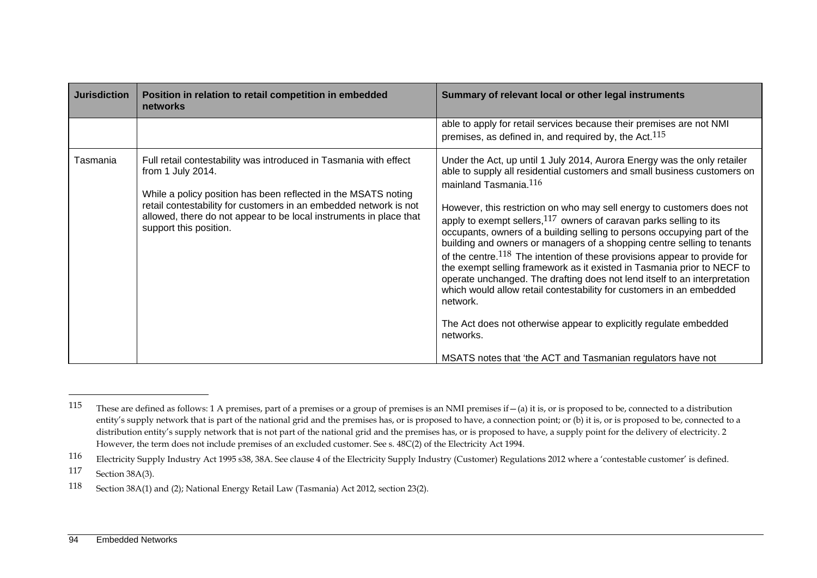| <b>Jurisdiction</b> | Position in relation to retail competition in embedded<br>networks                                                                                                                                                                                                                                                            | Summary of relevant local or other legal instruments                                                                                                                                                                                                                                                                                                                                                                                                                                                                                                                                                                                                                                                                                                                                                                                                                                                                                                                             |  |
|---------------------|-------------------------------------------------------------------------------------------------------------------------------------------------------------------------------------------------------------------------------------------------------------------------------------------------------------------------------|----------------------------------------------------------------------------------------------------------------------------------------------------------------------------------------------------------------------------------------------------------------------------------------------------------------------------------------------------------------------------------------------------------------------------------------------------------------------------------------------------------------------------------------------------------------------------------------------------------------------------------------------------------------------------------------------------------------------------------------------------------------------------------------------------------------------------------------------------------------------------------------------------------------------------------------------------------------------------------|--|
|                     |                                                                                                                                                                                                                                                                                                                               | able to apply for retail services because their premises are not NMI<br>premises, as defined in, and required by, the Act. $115$                                                                                                                                                                                                                                                                                                                                                                                                                                                                                                                                                                                                                                                                                                                                                                                                                                                 |  |
| Tasmania            | Full retail contestability was introduced in Tasmania with effect<br>from 1 July 2014.<br>While a policy position has been reflected in the MSATS noting<br>retail contestability for customers in an embedded network is not<br>allowed, there do not appear to be local instruments in place that<br>support this position. | Under the Act, up until 1 July 2014, Aurora Energy was the only retailer<br>able to supply all residential customers and small business customers on<br>mainland Tasmania. <sup>116</sup><br>However, this restriction on who may sell energy to customers does not<br>apply to exempt sellers, $117$ owners of caravan parks selling to its<br>occupants, owners of a building selling to persons occupying part of the<br>building and owners or managers of a shopping centre selling to tenants<br>of the centre. $118$ The intention of these provisions appear to provide for<br>the exempt selling framework as it existed in Tasmania prior to NECF to<br>operate unchanged. The drafting does not lend itself to an interpretation<br>which would allow retail contestability for customers in an embedded<br>network.<br>The Act does not otherwise appear to explicitly regulate embedded<br>networks.<br>MSATS notes that 'the ACT and Tasmanian regulators have not |  |

117 Section 38A(3).

These are defined as follows: 1 A premises, part of a premises or a group of premises is an NMI premises if  $-(a)$  it is, or is proposed to be, connected to a distribution entity's supply network that is part of the national grid and the premises has, or is proposed to have, a connection point; or (b) it is, or is proposed to be, connected to a distribution entity's supply network that is not part of the national grid and the premises has, or is proposed to have, a supply point for the delivery of electricity. 2 However, the term does not include premises of an excluded customer. See s. 48C(2) of the Electricity Act 1994.

<sup>116</sup> Electricity Supply Industry Act 1995 s38, 38A. See clause 4 of the Electricity Supply Industry (Customer) Regulations 2012 where a 'contestable customer' is defined.

<sup>118</sup> Section 38A(1) and (2); National Energy Retail Law (Tasmania) Act 2012, section 23(2).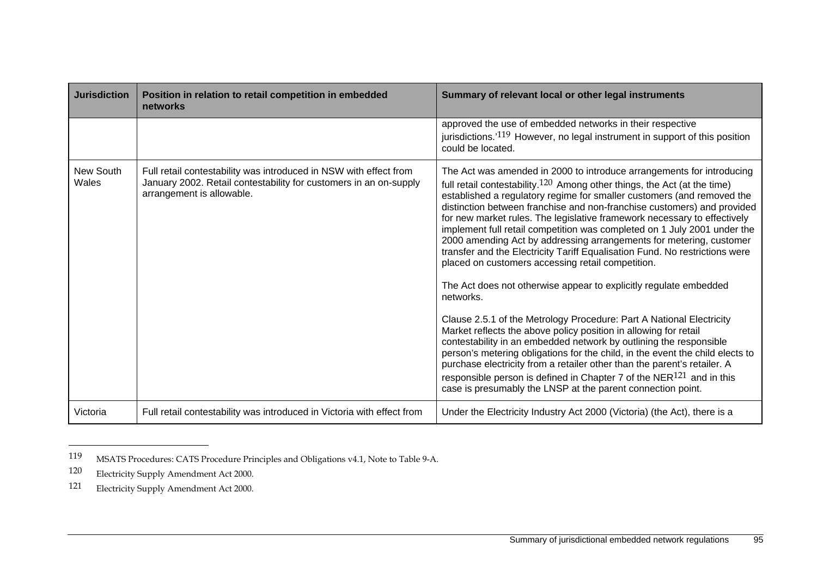| <b>Jurisdiction</b> | Position in relation to retail competition in embedded<br>networks                                                                                                  | Summary of relevant local or other legal instruments                                                                                                                                                                                                                                                                                                                                                                                                                                                                                                                                                                                                                                                                                                                                                                                                                                                                                                                                                                                                                                                                                                                                                                                                                                               |  |
|---------------------|---------------------------------------------------------------------------------------------------------------------------------------------------------------------|----------------------------------------------------------------------------------------------------------------------------------------------------------------------------------------------------------------------------------------------------------------------------------------------------------------------------------------------------------------------------------------------------------------------------------------------------------------------------------------------------------------------------------------------------------------------------------------------------------------------------------------------------------------------------------------------------------------------------------------------------------------------------------------------------------------------------------------------------------------------------------------------------------------------------------------------------------------------------------------------------------------------------------------------------------------------------------------------------------------------------------------------------------------------------------------------------------------------------------------------------------------------------------------------------|--|
|                     |                                                                                                                                                                     | approved the use of embedded networks in their respective<br>jurisdictions.'119 However, no legal instrument in support of this position<br>could be located.                                                                                                                                                                                                                                                                                                                                                                                                                                                                                                                                                                                                                                                                                                                                                                                                                                                                                                                                                                                                                                                                                                                                      |  |
| New South<br>Wales  | Full retail contestability was introduced in NSW with effect from<br>January 2002. Retail contestability for customers in an on-supply<br>arrangement is allowable. | The Act was amended in 2000 to introduce arrangements for introducing<br>full retail contestability. <sup>120</sup> Among other things, the Act (at the time)<br>established a regulatory regime for smaller customers (and removed the<br>distinction between franchise and non-franchise customers) and provided<br>for new market rules. The legislative framework necessary to effectively<br>implement full retail competition was completed on 1 July 2001 under the<br>2000 amending Act by addressing arrangements for metering, customer<br>transfer and the Electricity Tariff Equalisation Fund. No restrictions were<br>placed on customers accessing retail competition.<br>The Act does not otherwise appear to explicitly regulate embedded<br>networks.<br>Clause 2.5.1 of the Metrology Procedure: Part A National Electricity<br>Market reflects the above policy position in allowing for retail<br>contestability in an embedded network by outlining the responsible<br>person's metering obligations for the child, in the event the child elects to<br>purchase electricity from a retailer other than the parent's retailer. A<br>responsible person is defined in Chapter 7 of the $NER^{121}$ and in this<br>case is presumably the LNSP at the parent connection point. |  |
| Victoria            | Full retail contestability was introduced in Victoria with effect from                                                                                              | Under the Electricity Industry Act 2000 (Victoria) (the Act), there is a                                                                                                                                                                                                                                                                                                                                                                                                                                                                                                                                                                                                                                                                                                                                                                                                                                                                                                                                                                                                                                                                                                                                                                                                                           |  |

<sup>119</sup> MSATS Procedures: CATS Procedure Principles and Obligations v4.1, Note to Table 9-A.

<sup>120</sup> Electricity Supply Amendment Act 2000.

<sup>121</sup> Electricity Supply Amendment Act 2000.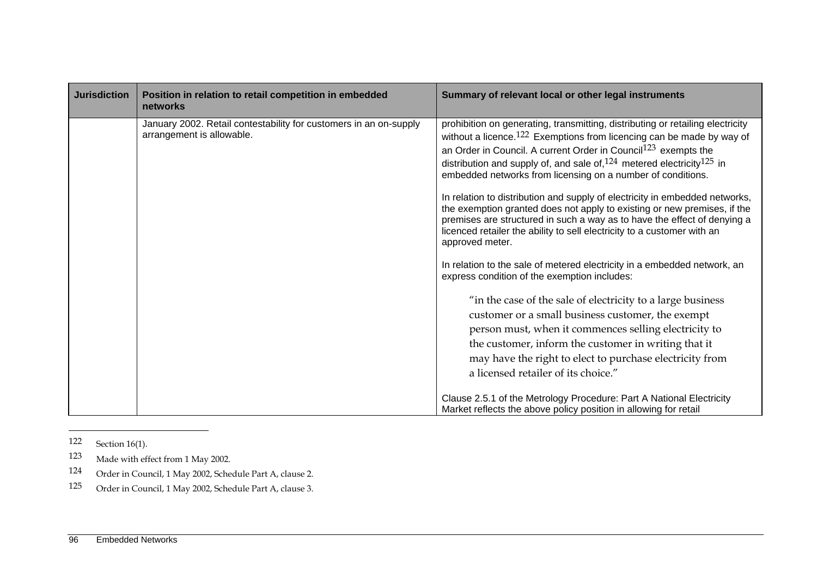| <b>Jurisdiction</b> | Position in relation to retail competition in embedded<br>networks                             | Summary of relevant local or other legal instruments                                                                                                                                                                                                                                                                                                                                                                                                                                                                                                                                                                                                                                                                                                                                                    |
|---------------------|------------------------------------------------------------------------------------------------|---------------------------------------------------------------------------------------------------------------------------------------------------------------------------------------------------------------------------------------------------------------------------------------------------------------------------------------------------------------------------------------------------------------------------------------------------------------------------------------------------------------------------------------------------------------------------------------------------------------------------------------------------------------------------------------------------------------------------------------------------------------------------------------------------------|
|                     | January 2002. Retail contestability for customers in an on-supply<br>arrangement is allowable. | prohibition on generating, transmitting, distributing or retailing electricity<br>without a licence. $122$ Exemptions from licencing can be made by way of<br>an Order in Council. A current Order in Council <sup>123</sup> exempts the<br>distribution and supply of, and sale of, $124$ metered electricity $125$ in<br>embedded networks from licensing on a number of conditions.<br>In relation to distribution and supply of electricity in embedded networks,<br>the exemption granted does not apply to existing or new premises, if the<br>premises are structured in such a way as to have the effect of denying a<br>licenced retailer the ability to sell electricity to a customer with an<br>approved meter.<br>In relation to the sale of metered electricity in a embedded network, an |
|                     |                                                                                                | express condition of the exemption includes:<br>"in the case of the sale of electricity to a large business<br>customer or a small business customer, the exempt<br>person must, when it commences selling electricity to<br>the customer, inform the customer in writing that it<br>may have the right to elect to purchase electricity from<br>a licensed retailer of its choice."<br>Clause 2.5.1 of the Metrology Procedure: Part A National Electricity<br>Market reflects the above policy position in allowing for retail                                                                                                                                                                                                                                                                        |

<sup>122</sup> Section 16(1).

- 123 Made with effect from 1 May 2002.
- 124 Order in Council, 1 May 2002, Schedule Part A, clause 2.
- 125 Order in Council, 1 May 2002, Schedule Part A, clause 3.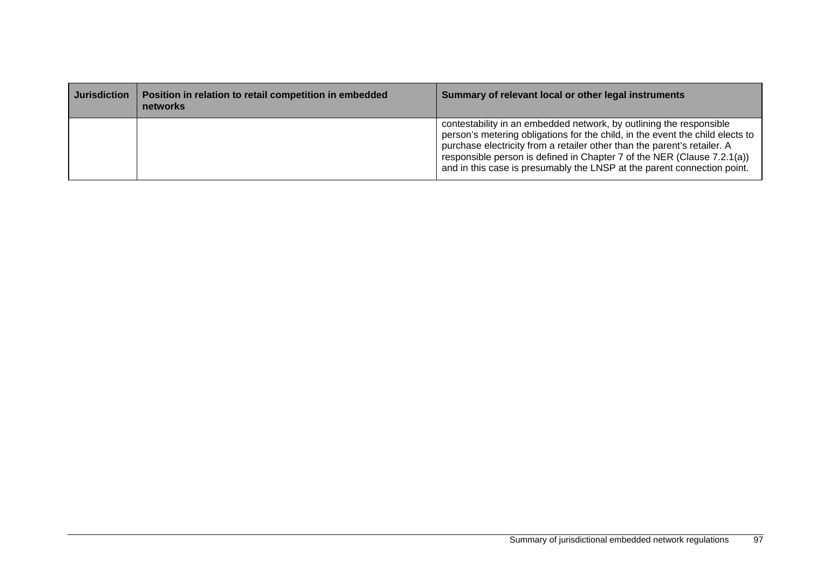| <b>Jurisdiction</b> | Position in relation to retail competition in embedded<br>networks | Summary of relevant local or other legal instruments                                                                                                                                                                                                                                                                                                                                   |
|---------------------|--------------------------------------------------------------------|----------------------------------------------------------------------------------------------------------------------------------------------------------------------------------------------------------------------------------------------------------------------------------------------------------------------------------------------------------------------------------------|
|                     |                                                                    | contestability in an embedded network, by outlining the responsible<br>person's metering obligations for the child, in the event the child elects to<br>purchase electricity from a retailer other than the parent's retailer. A<br>responsible person is defined in Chapter 7 of the NER (Clause 7.2.1(a))<br>and in this case is presumably the LNSP at the parent connection point. |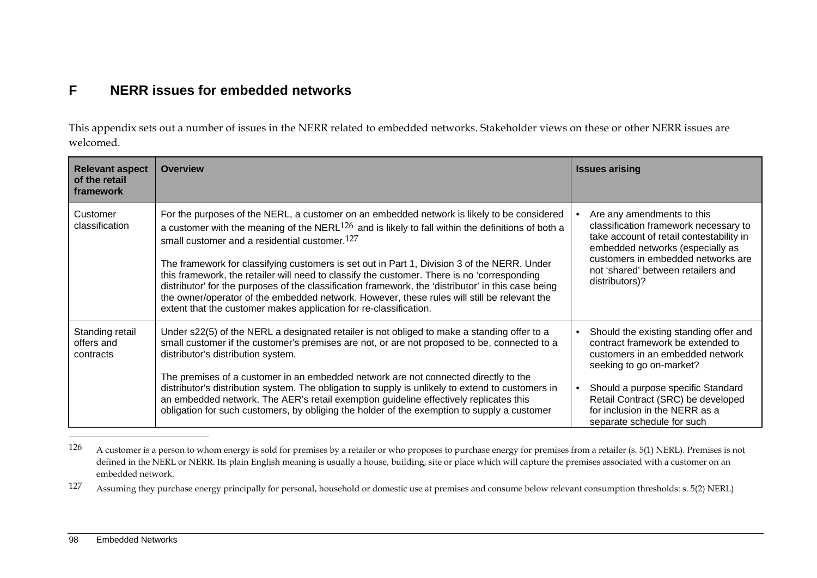# **F NERR issues for embedded networks**

This appendix sets out a number of issues in the NERR related to embedded networks. Stakeholder views on these or other NERR issues are welcomed.

| <b>Relevant aspect</b><br>of the retail<br>framework | <b>Overview</b>                                                                                                                                                                                                                                                                                                                                                                                                                                                                                                                                                                                                                                                                                                                 | <b>Issues arising</b>                                                                                                                                                                                                                                                                   |
|------------------------------------------------------|---------------------------------------------------------------------------------------------------------------------------------------------------------------------------------------------------------------------------------------------------------------------------------------------------------------------------------------------------------------------------------------------------------------------------------------------------------------------------------------------------------------------------------------------------------------------------------------------------------------------------------------------------------------------------------------------------------------------------------|-----------------------------------------------------------------------------------------------------------------------------------------------------------------------------------------------------------------------------------------------------------------------------------------|
| Customer<br>classification                           | For the purposes of the NERL, a customer on an embedded network is likely to be considered<br>a customer with the meaning of the NERL $126$ and is likely to fall within the definitions of both a<br>small customer and a residential customer. $127$<br>The framework for classifying customers is set out in Part 1, Division 3 of the NERR. Under<br>this framework, the retailer will need to classify the customer. There is no 'corresponding<br>distributor' for the purposes of the classification framework, the 'distributor' in this case being<br>the owner/operator of the embedded network. However, these rules will still be relevant the<br>extent that the customer makes application for re-classification. | Are any amendments to this<br>classification framework necessary to<br>take account of retail contestability in<br>embedded networks (especially as<br>customers in embedded networks are<br>not 'shared' between retailers and<br>distributors)?                                       |
| Standing retail<br>offers and<br>contracts           | Under s22(5) of the NERL a designated retailer is not obliged to make a standing offer to a<br>small customer if the customer's premises are not, or are not proposed to be, connected to a<br>distributor's distribution system.<br>The premises of a customer in an embedded network are not connected directly to the<br>distributor's distribution system. The obligation to supply is unlikely to extend to customers in<br>an embedded network. The AER's retail exemption guideline effectively replicates this<br>obligation for such customers, by obliging the holder of the exemption to supply a customer                                                                                                           | Should the existing standing offer and<br>contract framework be extended to<br>customers in an embedded network<br>seeking to go on-market?<br>Should a purpose specific Standard<br>Retail Contract (SRC) be developed<br>for inclusion in the NERR as a<br>separate schedule for such |

<sup>126</sup> A customer is a person to whom energy is sold for premises by a retailer or who proposes to purchase energy for premises from a retailer (s. 5(1) NERL). Premises is not defined in the NERL or NERR. Its plain English meaning is usually a house, building, site or place which will capture the premises associated with a customer on an embedded network.

<sup>127</sup> Assuming they purchase energy principally for personal, household or domestic use at premises and consume below relevant consumption thresholds: s. 5(2) NERL)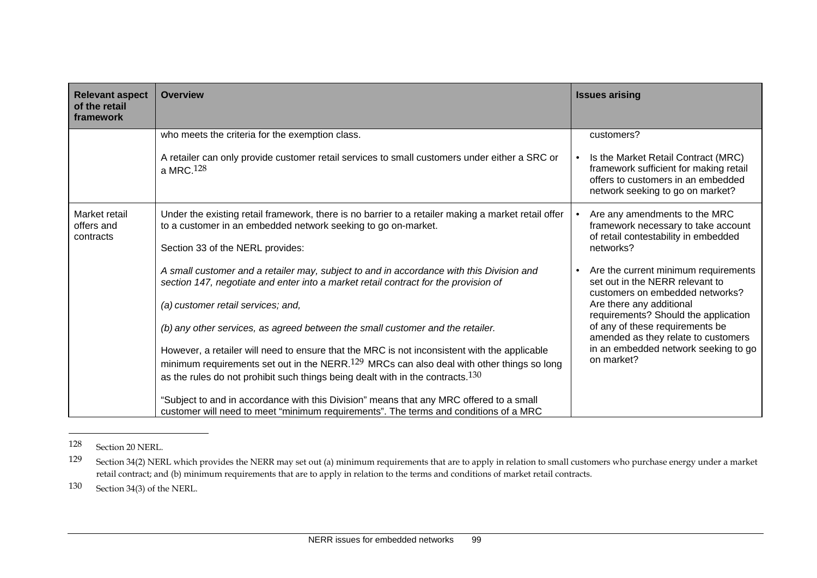| <b>Relevant aspect</b><br>of the retail<br>framework | <b>Overview</b>                                                                                                                                                                 | <b>Issues arising</b>                                                                                                                                                                                                                                                                                       |
|------------------------------------------------------|---------------------------------------------------------------------------------------------------------------------------------------------------------------------------------|-------------------------------------------------------------------------------------------------------------------------------------------------------------------------------------------------------------------------------------------------------------------------------------------------------------|
|                                                      | who meets the criteria for the exemption class.                                                                                                                                 | customers?                                                                                                                                                                                                                                                                                                  |
|                                                      | A retailer can only provide customer retail services to small customers under either a SRC or<br>a MRC. $128$                                                                   | Is the Market Retail Contract (MRC)<br>framework sufficient for making retail<br>offers to customers in an embedded<br>network seeking to go on market?                                                                                                                                                     |
| Market retail<br>offers and                          | Under the existing retail framework, there is no barrier to a retailer making a market retail offer<br>to a customer in an embedded network seeking to go on-market.            | Are any amendments to the MRC<br>framework necessary to take account<br>of retail contestability in embedded<br>networks?<br>Are the current minimum requirements<br>set out in the NERR relevant to<br>customers on embedded networks?<br>Are there any additional<br>requirements? Should the application |
| contracts                                            | Section 33 of the NERL provides:                                                                                                                                                |                                                                                                                                                                                                                                                                                                             |
|                                                      | A small customer and a retailer may, subject to and in accordance with this Division and<br>section 147, negotiate and enter into a market retail contract for the provision of |                                                                                                                                                                                                                                                                                                             |
|                                                      | (a) customer retail services; and,                                                                                                                                              |                                                                                                                                                                                                                                                                                                             |
|                                                      | (b) any other services, as agreed between the small customer and the retailer.                                                                                                  | of any of these requirements be<br>amended as they relate to customers                                                                                                                                                                                                                                      |
|                                                      | However, a retailer will need to ensure that the MRC is not inconsistent with the applicable                                                                                    | in an embedded network seeking to go<br>on market?                                                                                                                                                                                                                                                          |
|                                                      | minimum requirements set out in the NERR. <sup>129</sup> MRCs can also deal with other things so long                                                                           |                                                                                                                                                                                                                                                                                                             |
|                                                      | as the rules do not prohibit such things being dealt with in the contracts. <sup>130</sup>                                                                                      |                                                                                                                                                                                                                                                                                                             |
|                                                      | "Subject to and in accordance with this Division" means that any MRC offered to a small<br>customer will need to meet "minimum requirements". The terms and conditions of a MRC |                                                                                                                                                                                                                                                                                                             |

<sup>128</sup> Section 20 NERL.

130 Section 34(3) of the NERL.

<sup>129</sup> Section 34(2) NERL which provides the NERR may set out (a) minimum requirements that are to apply in relation to small customers who purchase energy under a market retail contract; and (b) minimum requirements that are to apply in relation to the terms and conditions of market retail contracts.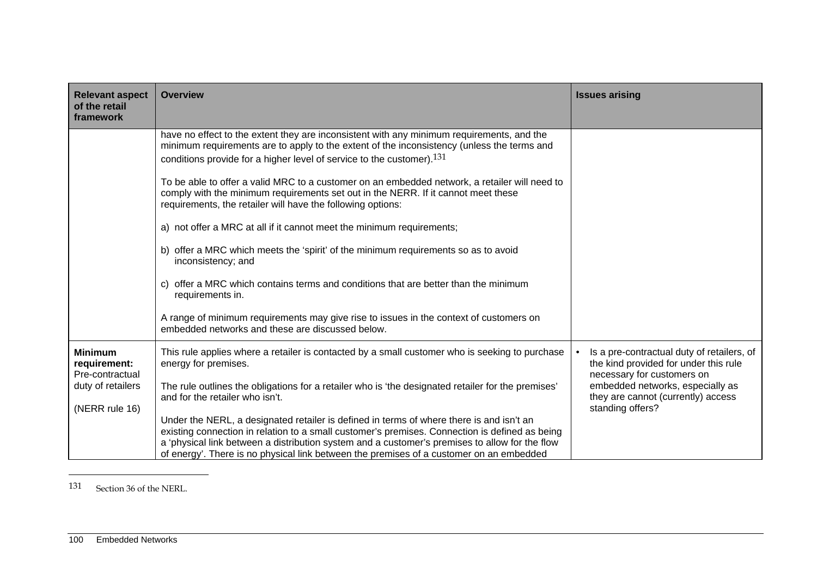| <b>Relevant aspect</b><br>of the retail<br>framework | <b>Overview</b>                                                                                                                                                                                                                                                                                                                                                                         | <b>Issues arising</b>                                                                                             |
|------------------------------------------------------|-----------------------------------------------------------------------------------------------------------------------------------------------------------------------------------------------------------------------------------------------------------------------------------------------------------------------------------------------------------------------------------------|-------------------------------------------------------------------------------------------------------------------|
|                                                      | have no effect to the extent they are inconsistent with any minimum requirements, and the<br>minimum requirements are to apply to the extent of the inconsistency (unless the terms and<br>conditions provide for a higher level of service to the customer). <sup>131</sup>                                                                                                            |                                                                                                                   |
|                                                      | To be able to offer a valid MRC to a customer on an embedded network, a retailer will need to<br>comply with the minimum requirements set out in the NERR. If it cannot meet these<br>requirements, the retailer will have the following options:                                                                                                                                       |                                                                                                                   |
|                                                      | a) not offer a MRC at all if it cannot meet the minimum requirements;                                                                                                                                                                                                                                                                                                                   |                                                                                                                   |
|                                                      | offer a MRC which meets the 'spirit' of the minimum requirements so as to avoid<br>b)<br>inconsistency; and                                                                                                                                                                                                                                                                             |                                                                                                                   |
|                                                      | offer a MRC which contains terms and conditions that are better than the minimum<br>C)<br>requirements in.                                                                                                                                                                                                                                                                              |                                                                                                                   |
|                                                      | A range of minimum requirements may give rise to issues in the context of customers on<br>embedded networks and these are discussed below.                                                                                                                                                                                                                                              |                                                                                                                   |
| <b>Minimum</b><br>requirement:<br>Pre-contractual    | This rule applies where a retailer is contacted by a small customer who is seeking to purchase<br>energy for premises.                                                                                                                                                                                                                                                                  | Is a pre-contractual duty of retailers, of<br>the kind provided for under this rule<br>necessary for customers on |
| duty of retailers<br>(NERR rule 16)                  | The rule outlines the obligations for a retailer who is 'the designated retailer for the premises'<br>and for the retailer who isn't.                                                                                                                                                                                                                                                   | embedded networks, especially as<br>they are cannot (currently) access<br>standing offers?                        |
|                                                      | Under the NERL, a designated retailer is defined in terms of where there is and isn't an<br>existing connection in relation to a small customer's premises. Connection is defined as being<br>a 'physical link between a distribution system and a customer's premises to allow for the flow<br>of energy'. There is no physical link between the premises of a customer on an embedded |                                                                                                                   |

131 Section 36 of the NERL.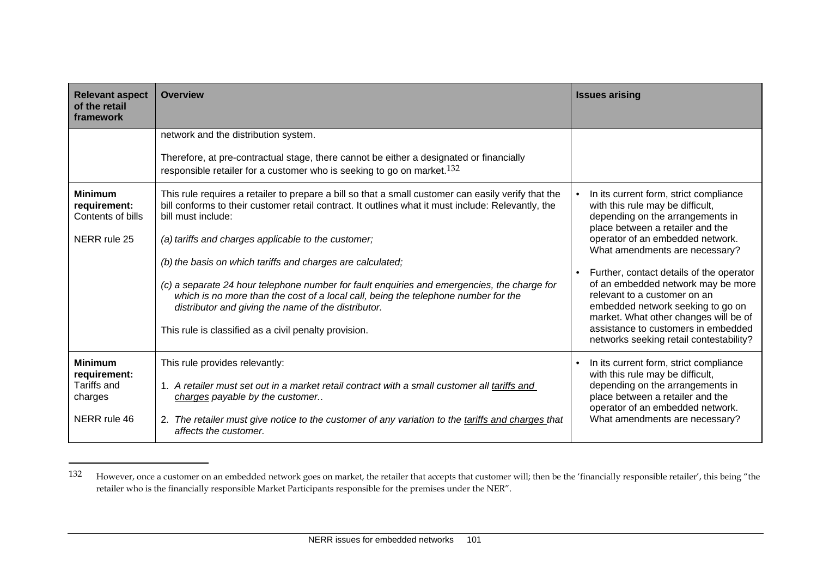| <b>Relevant aspect</b><br>of the retail<br>framework | <b>Overview</b>                                                                                                                                                                                                                          | <b>Issues arising</b>                                                                                                                              |
|------------------------------------------------------|------------------------------------------------------------------------------------------------------------------------------------------------------------------------------------------------------------------------------------------|----------------------------------------------------------------------------------------------------------------------------------------------------|
|                                                      | network and the distribution system.                                                                                                                                                                                                     |                                                                                                                                                    |
|                                                      | Therefore, at pre-contractual stage, there cannot be either a designated or financially<br>responsible retailer for a customer who is seeking to go on market. $132$                                                                     |                                                                                                                                                    |
| <b>Minimum</b><br>requirement:<br>Contents of bills  | This rule requires a retailer to prepare a bill so that a small customer can easily verify that the<br>bill conforms to their customer retail contract. It outlines what it must include: Relevantly, the<br>bill must include:          | In its current form, strict compliance<br>with this rule may be difficult,<br>depending on the arrangements in<br>place between a retailer and the |
| NERR rule 25                                         | (a) tariffs and charges applicable to the customer;                                                                                                                                                                                      | operator of an embedded network.<br>What amendments are necessary?                                                                                 |
|                                                      | (b) the basis on which tariffs and charges are calculated;                                                                                                                                                                               | Further, contact details of the operator                                                                                                           |
|                                                      | (c) a separate 24 hour telephone number for fault enquiries and emergencies, the charge for<br>which is no more than the cost of a local call, being the telephone number for the<br>distributor and giving the name of the distributor. | of an embedded network may be more<br>relevant to a customer on an<br>embedded network seeking to go on<br>market. What other changes will be of   |
|                                                      | This rule is classified as a civil penalty provision.                                                                                                                                                                                    | assistance to customers in embedded<br>networks seeking retail contestability?                                                                     |
| <b>Minimum</b>                                       | This rule provides relevantly:                                                                                                                                                                                                           | In its current form, strict compliance                                                                                                             |
| requirement:<br><b>Tariffs and</b><br>charges        | 1. A retailer must set out in a market retail contract with a small customer all tariffs and<br>charges payable by the customer                                                                                                          | with this rule may be difficult,<br>depending on the arrangements in<br>place between a retailer and the<br>operator of an embedded network.       |
| NERR rule 46                                         | 2. The retailer must give notice to the customer of any variation to the tariffs and charges that<br>affects the customer.                                                                                                               | What amendments are necessary?                                                                                                                     |

<sup>132</sup> However, once a customer on an embedded network goes on market, the retailer that accepts that customer will; then be the 'financially responsible retailer', this being "the retailer who is the financially responsible Market Participants responsible for the premises under the NER".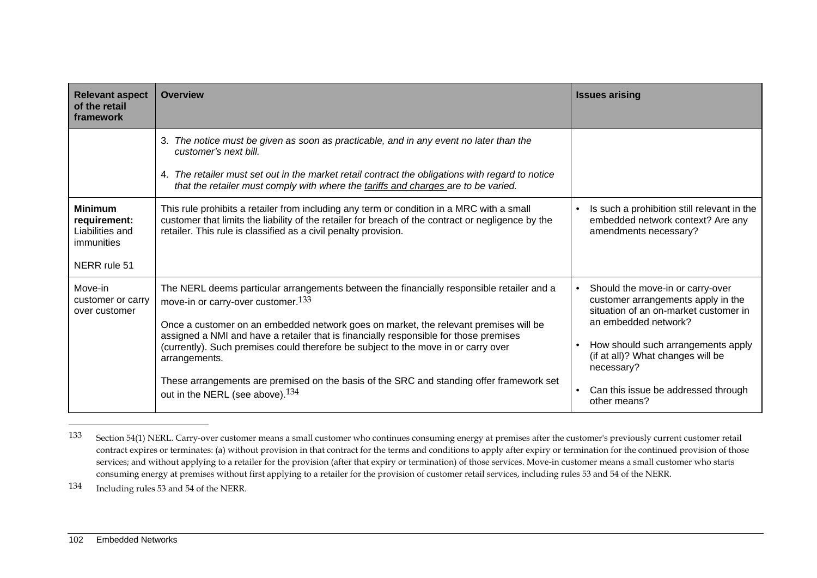| <b>Relevant aspect</b><br>of the retail<br>framework                            | <b>Overview</b>                                                                                                                                                                                                                                                                                                                                                                                                                                                                                                                                                                | <b>Issues arising</b>                                                                                                                                                                                                                                                                   |
|---------------------------------------------------------------------------------|--------------------------------------------------------------------------------------------------------------------------------------------------------------------------------------------------------------------------------------------------------------------------------------------------------------------------------------------------------------------------------------------------------------------------------------------------------------------------------------------------------------------------------------------------------------------------------|-----------------------------------------------------------------------------------------------------------------------------------------------------------------------------------------------------------------------------------------------------------------------------------------|
|                                                                                 | 3. The notice must be given as soon as practicable, and in any event no later than the<br>customer's next bill.<br>4. The retailer must set out in the market retail contract the obligations with regard to notice<br>that the retailer must comply with where the tariffs and charges are to be varied.                                                                                                                                                                                                                                                                      |                                                                                                                                                                                                                                                                                         |
| <b>Minimum</b><br>requirement:<br>Liabilities and<br>immunities<br>NERR rule 51 | This rule prohibits a retailer from including any term or condition in a MRC with a small<br>customer that limits the liability of the retailer for breach of the contract or negligence by the<br>retailer. This rule is classified as a civil penalty provision.                                                                                                                                                                                                                                                                                                             | Is such a prohibition still relevant in the<br>embedded network context? Are any<br>amendments necessary?                                                                                                                                                                               |
| Move-in<br>customer or carry<br>over customer                                   | The NERL deems particular arrangements between the financially responsible retailer and a<br>move-in or carry-over customer. <sup>133</sup><br>Once a customer on an embedded network goes on market, the relevant premises will be<br>assigned a NMI and have a retailer that is financially responsible for those premises<br>(currently). Such premises could therefore be subject to the move in or carry over<br>arrangements.<br>These arrangements are premised on the basis of the SRC and standing offer framework set<br>out in the NERL (see above). <sup>134</sup> | Should the move-in or carry-over<br>customer arrangements apply in the<br>situation of an on-market customer in<br>an embedded network?<br>How should such arrangements apply<br>(if at all)? What changes will be<br>necessary?<br>Can this issue be addressed through<br>other means? |

<sup>133</sup> Section 54(1) NERL. Carry-over customer means a small customer who continues consuming energy at premises after the customer's previously current customer retail contract expires or terminates: (a) without provision in that contract for the terms and conditions to apply after expiry or termination for the continued provision of those services; and without applying to a retailer for the provision (after that expiry or termination) of those services. Move-in customer means a small customer who starts consuming energy at premises without first applying to a retailer for the provision of customer retail services, including rules 53 and 54 of the NERR.

134 Including rules 53 and 54 of the NERR.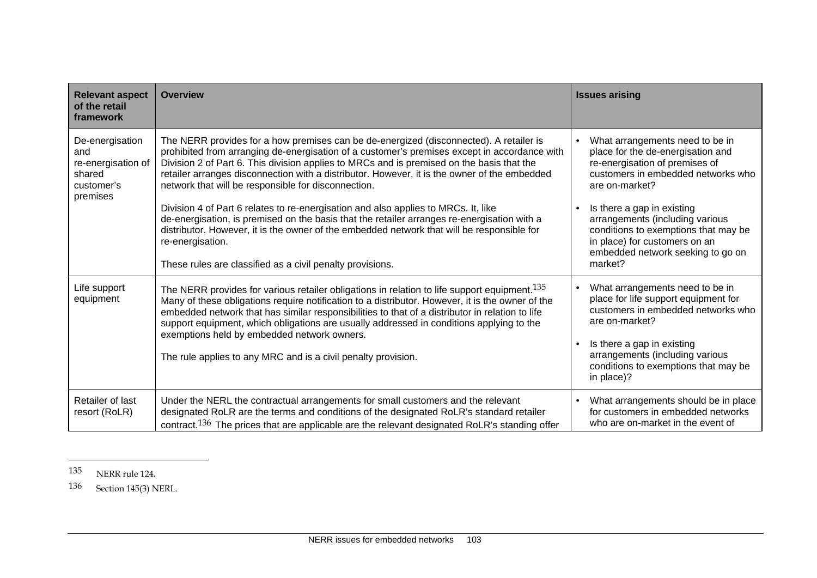| <b>Relevant aspect</b><br>of the retail<br>framework                             | <b>Overview</b>                                                                                                                                                                                                                                                                                                                                                                                                                                                                                                                                                                                                                                                                                                                                                                                                | <b>Issues arising</b>                                                                                                                                                                                                                                                                                                                                    |
|----------------------------------------------------------------------------------|----------------------------------------------------------------------------------------------------------------------------------------------------------------------------------------------------------------------------------------------------------------------------------------------------------------------------------------------------------------------------------------------------------------------------------------------------------------------------------------------------------------------------------------------------------------------------------------------------------------------------------------------------------------------------------------------------------------------------------------------------------------------------------------------------------------|----------------------------------------------------------------------------------------------------------------------------------------------------------------------------------------------------------------------------------------------------------------------------------------------------------------------------------------------------------|
| De-energisation<br>and<br>re-energisation of<br>shared<br>customer's<br>premises | The NERR provides for a how premises can be de-energized (disconnected). A retailer is<br>prohibited from arranging de-energisation of a customer's premises except in accordance with<br>Division 2 of Part 6. This division applies to MRCs and is premised on the basis that the<br>retailer arranges disconnection with a distributor. However, it is the owner of the embedded<br>network that will be responsible for disconnection.<br>Division 4 of Part 6 relates to re-energisation and also applies to MRCs. It, like<br>de-energisation, is premised on the basis that the retailer arranges re-energisation with a<br>distributor. However, it is the owner of the embedded network that will be responsible for<br>re-energisation.<br>These rules are classified as a civil penalty provisions. | What arrangements need to be in<br>place for the de-energisation and<br>re-energisation of premises of<br>customers in embedded networks who<br>are on-market?<br>Is there a gap in existing<br>arrangements (including various<br>conditions to exemptions that may be<br>in place) for customers on an<br>embedded network seeking to go on<br>market? |
| Life support<br>equipment                                                        | The NERR provides for various retailer obligations in relation to life support equipment. <sup>135</sup><br>Many of these obligations require notification to a distributor. However, it is the owner of the<br>embedded network that has similar responsibilities to that of a distributor in relation to life<br>support equipment, which obligations are usually addressed in conditions applying to the<br>exemptions held by embedded network owners.<br>The rule applies to any MRC and is a civil penalty provision.                                                                                                                                                                                                                                                                                    | What arrangements need to be in<br>place for life support equipment for<br>customers in embedded networks who<br>are on-market?<br>Is there a gap in existing<br>arrangements (including various<br>conditions to exemptions that may be<br>in place)?                                                                                                   |
| <b>Retailer of last</b><br>resort (RoLR)                                         | Under the NERL the contractual arrangements for small customers and the relevant<br>designated RoLR are the terms and conditions of the designated RoLR's standard retailer<br>contract. <sup>136</sup> The prices that are applicable are the relevant designated RoLR's standing offer                                                                                                                                                                                                                                                                                                                                                                                                                                                                                                                       | What arrangements should be in place<br>for customers in embedded networks<br>who are on-market in the event of                                                                                                                                                                                                                                          |

<sup>135</sup> NERR rule 124.

<sup>136</sup> Section 145(3) NERL.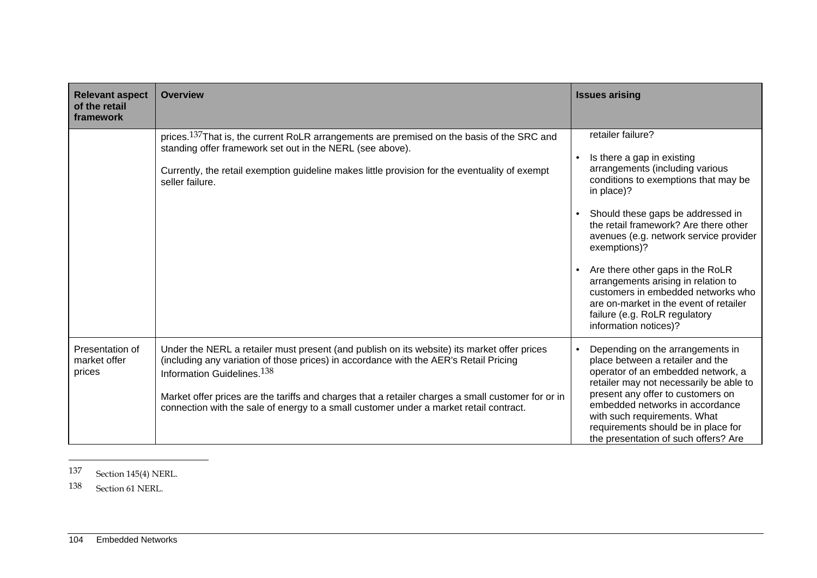| <b>Relevant aspect</b><br>of the retail   | <b>Overview</b>                                                                                                                                                                                                                                                                                                                                                                                                                | <b>Issues arising</b>                                                                                                                                                                                                                                                                                                                                                                                                                                                                                 |
|-------------------------------------------|--------------------------------------------------------------------------------------------------------------------------------------------------------------------------------------------------------------------------------------------------------------------------------------------------------------------------------------------------------------------------------------------------------------------------------|-------------------------------------------------------------------------------------------------------------------------------------------------------------------------------------------------------------------------------------------------------------------------------------------------------------------------------------------------------------------------------------------------------------------------------------------------------------------------------------------------------|
| framework                                 |                                                                                                                                                                                                                                                                                                                                                                                                                                |                                                                                                                                                                                                                                                                                                                                                                                                                                                                                                       |
|                                           | prices. <sup>137</sup> That is, the current RoLR arrangements are premised on the basis of the SRC and<br>standing offer framework set out in the NERL (see above).<br>Currently, the retail exemption guideline makes little provision for the eventuality of exempt<br>seller failure.                                                                                                                                       | retailer failure?<br>Is there a gap in existing<br>arrangements (including various<br>conditions to exemptions that may be<br>in place)?<br>Should these gaps be addressed in<br>the retail framework? Are there other<br>avenues (e.g. network service provider<br>exemptions)?<br>Are there other gaps in the RoLR<br>arrangements arising in relation to<br>customers in embedded networks who<br>are on-market in the event of retailer<br>failure (e.g. RoLR regulatory<br>information notices)? |
| Presentation of<br>market offer<br>prices | Under the NERL a retailer must present (and publish on its website) its market offer prices<br>(including any variation of those prices) in accordance with the AER's Retail Pricing<br>Information Guidelines. <sup>138</sup><br>Market offer prices are the tariffs and charges that a retailer charges a small customer for or in<br>connection with the sale of energy to a small customer under a market retail contract. | Depending on the arrangements in<br>place between a retailer and the<br>operator of an embedded network, a<br>retailer may not necessarily be able to<br>present any offer to customers on<br>embedded networks in accordance<br>with such requirements. What<br>requirements should be in place for<br>the presentation of such offers? Are                                                                                                                                                          |

137 Section 145(4) NERL.

138 Section 61 NERL.